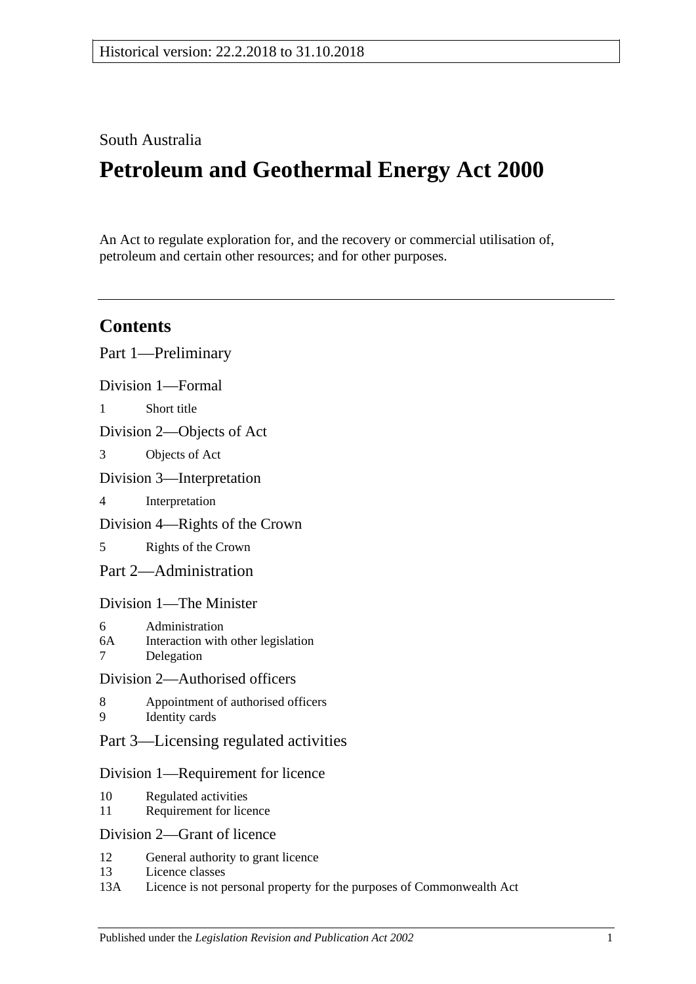# South Australia

# **Petroleum and Geothermal Energy Act 2000**

An Act to regulate exploration for, and the recovery or commercial utilisation of, petroleum and certain other resources; and for other purposes.

# **Contents**

|                                    | Part 1—Preliminary                                                 |
|------------------------------------|--------------------------------------------------------------------|
|                                    | Division 1-Formal                                                  |
| $\mathbf{1}$                       | Short title                                                        |
| Division 2—Objects of Act          |                                                                    |
| 3                                  | Objects of Act                                                     |
| Division 3-Interpretation          |                                                                    |
| 4                                  | Interpretation                                                     |
| Division 4—Rights of the Crown     |                                                                    |
| 5                                  | Rights of the Crown                                                |
|                                    | Part 2-Administration                                              |
| Division 1—The Minister            |                                                                    |
| 6<br>6A<br>$\overline{7}$          | Administration<br>Interaction with other legislation<br>Delegation |
| Division 2—Authorised officers     |                                                                    |
| 8<br>9                             | Appointment of authorised officers<br>Identity cards               |
|                                    | Part 3—Licensing regulated activities                              |
| Division 1—Requirement for licence |                                                                    |
| 10<br>11                           | Regulated activities<br>Requirement for licence                    |
|                                    | Division 2—Grant of licence                                        |
| 12<br>13                           | General authority to grant licence<br>Licence classes              |

13A [Licence is not personal property for the purposes of Commonwealth Act](#page-15-0)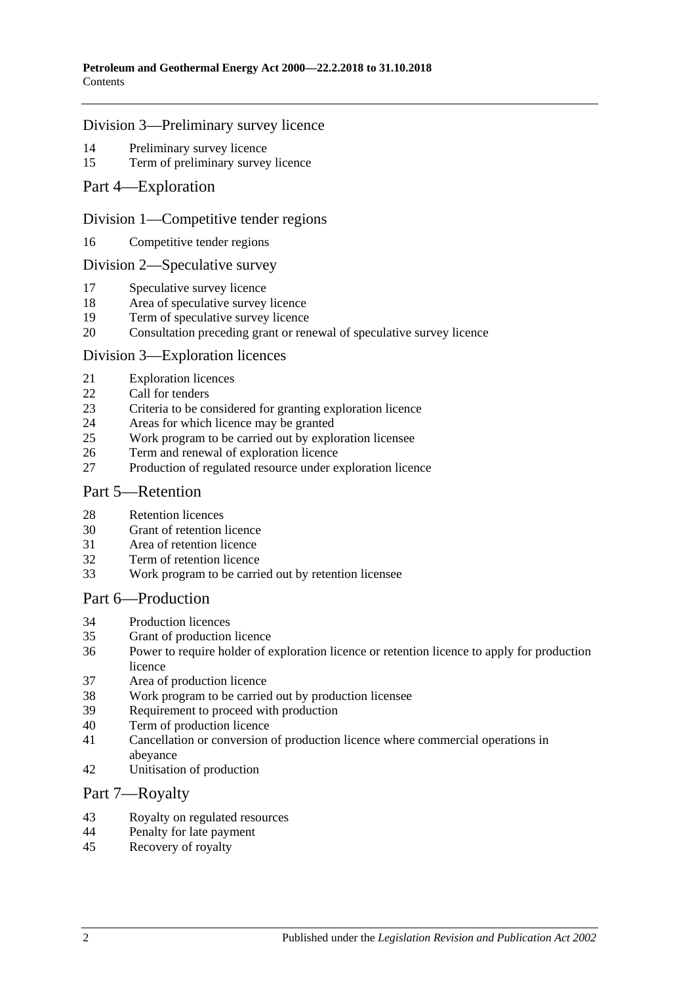#### [Division 3—Preliminary survey licence](#page-15-1)

- [Preliminary survey licence](#page-15-2)<br>15 Term of preliminary survey
- [Term of preliminary survey licence](#page-15-3)
- [Part 4—Exploration](#page-15-4)

#### [Division 1—Competitive tender regions](#page-15-5)

[Competitive tender regions](#page-15-6)

#### [Division 2—Speculative survey](#page-15-7)

- [Speculative survey licence](#page-15-8)
- [Area of speculative survey licence](#page-16-0)
- [Term of speculative survey licence](#page-16-1)
- [Consultation preceding grant or renewal of speculative survey licence](#page-16-2)

#### [Division 3—Exploration licences](#page-16-3)

- [Exploration licences](#page-16-4)
- [Call for tenders](#page-17-0)
- [Criteria to be considered for granting exploration licence](#page-17-1)
- [Areas for which licence may be granted](#page-17-2)
- [Work program to be carried out by exploration licensee](#page-18-0)
- [Term and renewal of exploration licence](#page-18-1)
- [Production of regulated resource under exploration licence](#page-19-0)

#### [Part 5—Retention](#page-19-1)

- [Retention licences](#page-19-2)
- [Grant of retention licence](#page-20-0)
- [Area of retention](#page-21-0) licence
- [Term of retention licence](#page-21-1)
- [Work program to be carried out by retention licensee](#page-21-2)

#### [Part 6—Production](#page-22-0)

- [Production licences](#page-22-1)
- [Grant of production licence](#page-22-2)
- [Power to require holder of exploration licence or retention licence to apply for production](#page-23-0) [licence](#page-23-0)
- [Area of production licence](#page-24-0)
- [Work program to be carried out by production licensee](#page-24-1)
- [Requirement to proceed with production](#page-24-2)
- [Term of production licence](#page-25-0)
- [Cancellation or conversion of production licence where commercial operations in](#page-25-1)  [abeyance](#page-25-1)
- [Unitisation of production](#page-25-2)

#### [Part 7—Royalty](#page-25-3)

- [Royalty on regulated resources](#page-25-4)<br>44 Penalty for late nayment
- [Penalty for late payment](#page-27-0)
- [Recovery of royalty](#page-27-1)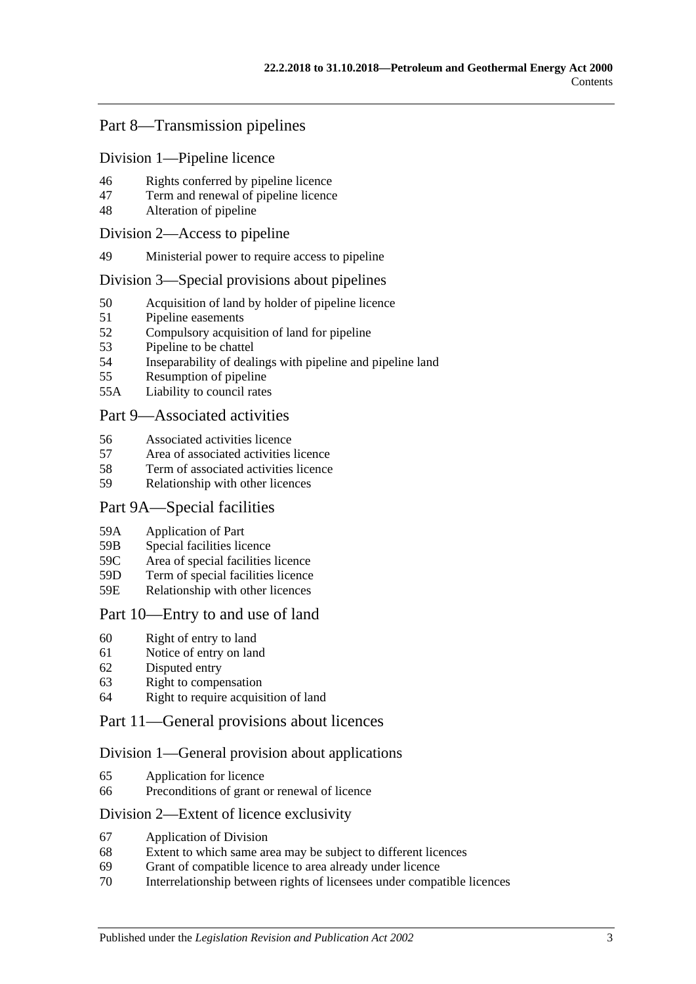## [Part 8—Transmission pipelines](#page-27-2)

[Division 1—Pipeline licence](#page-27-3)

- 46 [Rights conferred by pipeline licence](#page-27-4)
- 47 [Term and renewal of pipeline licence](#page-28-0)
- 48 [Alteration of pipeline](#page-28-1)

#### [Division 2—Access to pipeline](#page-28-2)

49 [Ministerial power to require access to pipeline](#page-28-3)

#### [Division 3—Special provisions about pipelines](#page-29-0)

- 50 [Acquisition of land by holder of pipeline licence](#page-29-1)<br>51 Pipeline easements
- [Pipeline easements](#page-29-2)
- 52 [Compulsory acquisition of land for pipeline](#page-29-3)
- 53 [Pipeline to be chattel](#page-29-4)
- 54 [Inseparability of dealings with pipeline and pipeline land](#page-29-5)
- 55 [Resumption of pipeline](#page-30-0)
- 55A [Liability to council rates](#page-30-1)

## [Part 9—Associated activities](#page-31-0)

- 56 [Associated activities licence](#page-31-1)
- 57 [Area of associated activities licence](#page-31-2)
- 58 [Term of associated activities licence](#page-31-3)
- 59 [Relationship with other licences](#page-32-0)

## [Part 9A—Special facilities](#page-33-0)

- 59A [Application of Part](#page-33-1)
- 59B [Special facilities licence](#page-33-2)
- 59C [Area of special facilities licence](#page-33-3)
- 59D [Term of special facilities licence](#page-33-4)
- 59E [Relationship with other licences](#page-34-0)

## [Part 10—Entry to and use of land](#page-34-1)

- 60 [Right of entry to land](#page-34-2)
- 61 [Notice of entry on land](#page-35-0)
- 62 [Disputed entry](#page-35-1)
- 63 [Right to compensation](#page-35-2)
- 64 [Right to require acquisition of land](#page-36-0)

## [Part 11—General provisions about licences](#page-37-0)

## [Division 1—General provision about applications](#page-37-1)

- 65 [Application for licence](#page-37-2)
- 66 [Preconditions of grant or renewal of licence](#page-38-0)

## [Division 2—Extent of licence exclusivity](#page-38-1)

- 67 [Application of Division](#page-38-2)
- 68 [Extent to which same area may be subject to different licences](#page-38-3)
- 69 [Grant of compatible licence to area already under licence](#page-39-0)
- 70 [Interrelationship between rights of licensees under compatible licences](#page-39-1)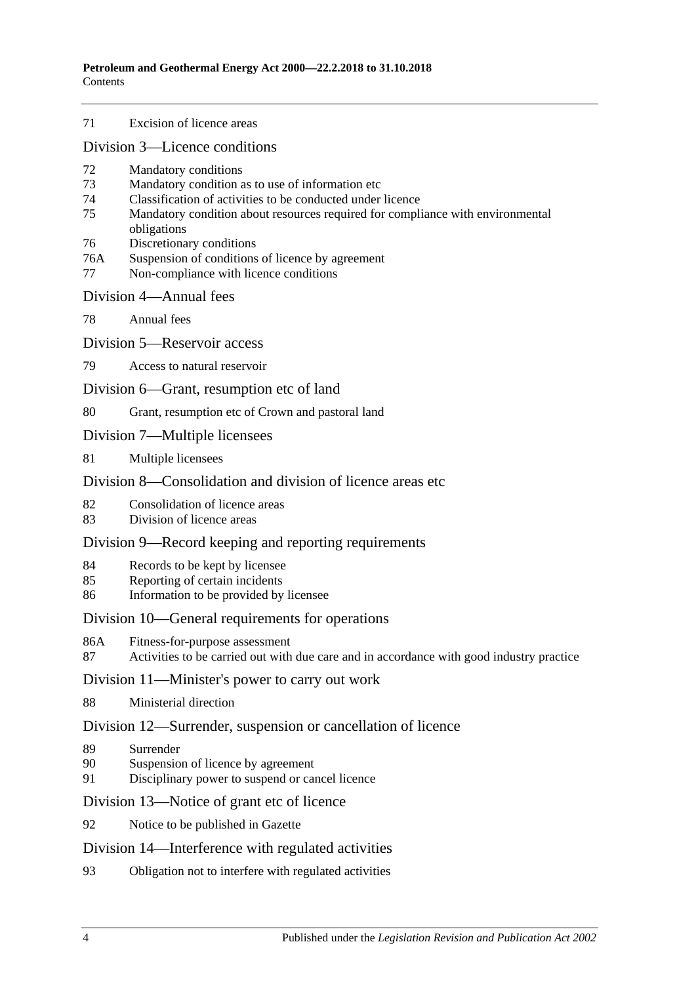71 [Excision of licence areas](#page-39-2)

[Division 3—Licence conditions](#page-39-3)

- 72 [Mandatory conditions](#page-39-4)
- 73 [Mandatory condition as to use of information etc](#page-39-5)
- 74 [Classification of activities to be conducted under licence](#page-40-0)
- 75 [Mandatory condition about resources required for compliance with environmental](#page-40-1)  [obligations](#page-40-1)
- 76 [Discretionary conditions](#page-40-2)
- 76A [Suspension of conditions of licence by agreement](#page-41-0)
- 77 [Non-compliance with licence conditions](#page-41-1)

#### [Division 4—Annual fees](#page-41-2)

78 [Annual fees](#page-41-3)

[Division 5—Reservoir access](#page-41-4)

79 [Access to natural reservoir](#page-41-5)

[Division 6—Grant, resumption etc of land](#page-42-0)

80 [Grant, resumption etc of Crown and pastoral land](#page-42-1)

- [Division 7—Multiple licensees](#page-43-0)
- 81 [Multiple licensees](#page-43-1)

## [Division 8—Consolidation and division of licence areas etc](#page-43-2).

- 82 [Consolidation of licence areas](#page-43-3)
- 83 [Division of licence areas](#page-43-4)

#### [Division 9—Record keeping and reporting requirements](#page-44-0)

- 84 [Records to be kept by licensee](#page-44-1)
- 85 [Reporting of certain incidents](#page-44-2)
- 86 [Information to be provided by licensee](#page-45-0)

#### [Division 10—General requirements for operations](#page-46-0)

- 86A [Fitness-for-purpose assessment](#page-46-1)
- 87 [Activities to be carried out with due care and in accordance with good industry practice](#page-46-2)

#### [Division 11—Minister's power to carry out work](#page-47-0)

88 [Ministerial direction](#page-47-1)

#### [Division 12—Surrender, suspension or cancellation of licence](#page-47-2)

- 89 [Surrender](#page-47-3)
- 90 [Suspension of licence by agreement](#page-47-4)
- 91 [Disciplinary power to suspend or cancel licence](#page-48-0)

[Division 13—Notice of grant etc of licence](#page-48-1)

92 [Notice to be published in Gazette](#page-48-2)

#### [Division 14—Interference with regulated activities](#page-48-3)

93 [Obligation not to interfere with regulated activities](#page-48-4)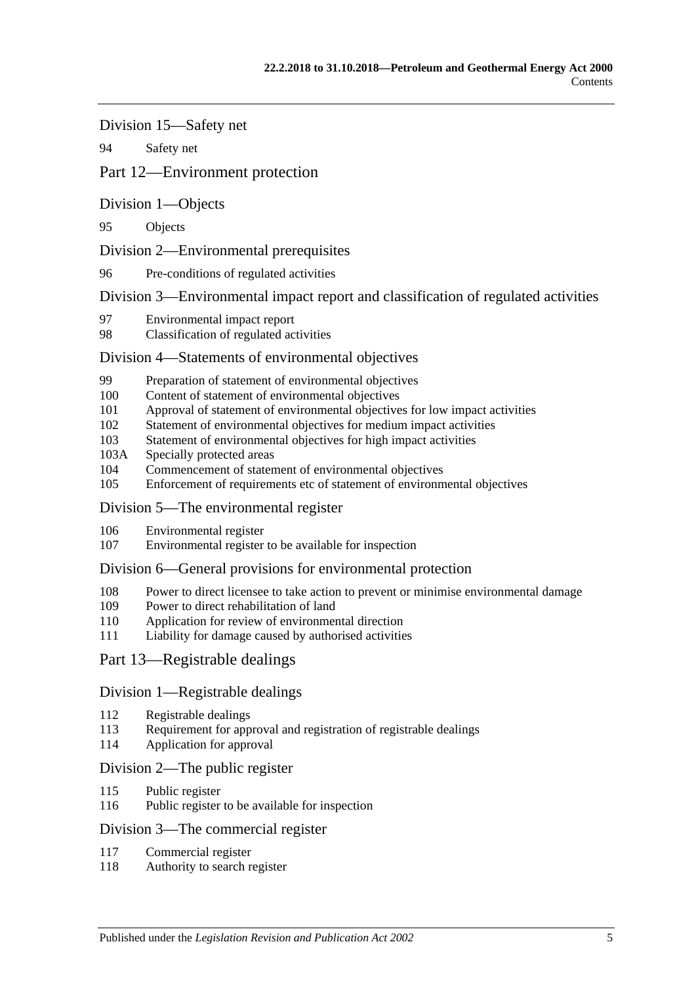[Division 15—Safety net](#page-48-5)

94 [Safety net](#page-48-6)

## [Part 12—Environment protection](#page-49-0)

[Division 1—Objects](#page-49-1)

95 [Objects](#page-49-2)

[Division 2—Environmental prerequisites](#page-49-3)

96 [Pre-conditions of regulated activities](#page-49-4)

[Division 3—Environmental impact report and classification of regulated activities](#page-49-5)

- 97 [Environmental impact report](#page-49-6)
- 98 [Classification of regulated activities](#page-50-0)

#### [Division 4—Statements of environmental objectives](#page-50-1)

- 99 [Preparation of statement of environmental objectives](#page-50-2)
- 100 [Content of statement of environmental objectives](#page-50-3)
- 101 [Approval of statement of environmental objectives for low impact activities](#page-51-0)
- 102 [Statement of environmental objectives for medium impact activities](#page-51-1)
- 103 [Statement of environmental objectives for high impact activities](#page-52-0)
- 103A [Specially protected areas](#page-52-1)
- 104 [Commencement of statement of environmental objectives](#page-52-2)<br>105 Enforcement of requirements etc of statement of environments
- [Enforcement of requirements etc of statement of environmental objectives](#page-53-0)

#### [Division 5—The environmental register](#page-53-1)

- 106 [Environmental register](#page-53-2)
- 107 [Environmental register to be available for inspection](#page-53-3)

#### [Division 6—General provisions for environmental protection](#page-54-0)

- 108 [Power to direct licensee to take action to prevent or minimise environmental damage](#page-54-1)
- 109 [Power to direct rehabilitation of land](#page-54-2)
- 110 [Application for review of environmental direction](#page-55-0)
- 111 [Liability for damage caused by authorised activities](#page-55-1)

#### [Part 13—Registrable dealings](#page-55-2)

#### [Division 1—Registrable dealings](#page-55-3)

- 112 [Registrable dealings](#page-55-4)
- 113 [Requirement for approval and registration of registrable dealings](#page-56-0)
- 114 [Application for approval](#page-56-1)

#### [Division 2—The public register](#page-56-2)

- 115 [Public register](#page-56-3)
- 116 [Public register to be available for inspection](#page-56-4)

#### [Division 3—The commercial register](#page-57-0)

- 117 [Commercial register](#page-57-1)
- 118 [Authority to search register](#page-57-2)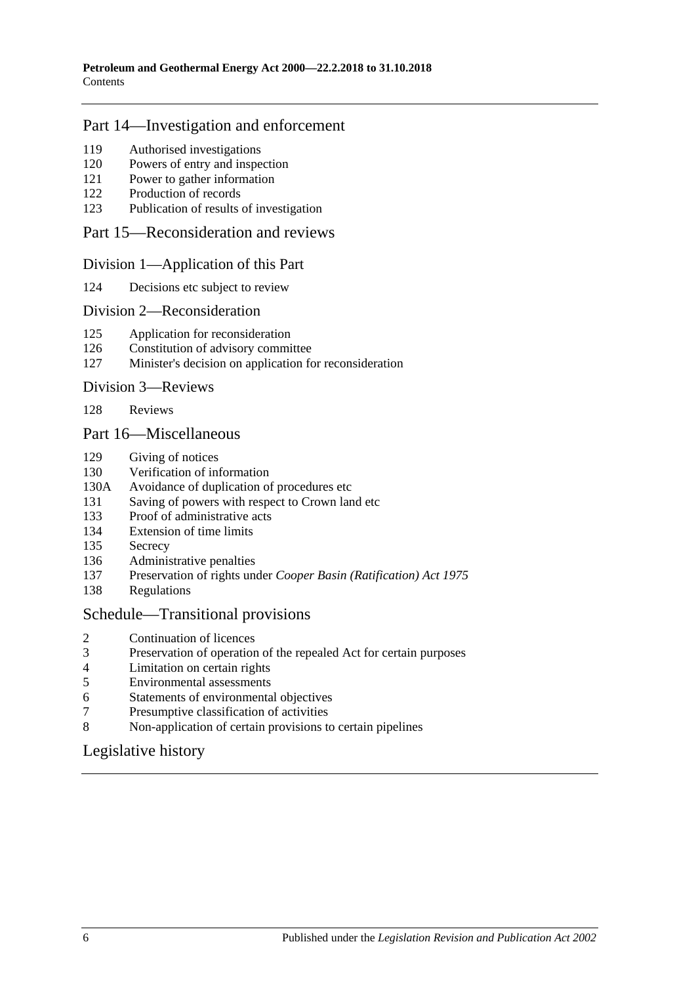## [Part 14—Investigation and enforcement](#page-57-3)

- [Authorised investigations](#page-57-4)
- [Powers of entry and inspection](#page-57-5)
- [Power to gather information](#page-58-0)
- [Production of records](#page-58-1)
- [Publication of results of investigation](#page-59-0)

#### [Part 15—Reconsideration and reviews](#page-59-1)

#### [Division 1—Application of this Part](#page-59-2)

[Decisions etc subject to review](#page-59-3)

#### [Division 2—Reconsideration](#page-59-4)

- [Application for reconsideration](#page-59-5)
- [Constitution of advisory committee](#page-60-0)
- [Minister's decision on application for reconsideration](#page-60-1)

#### [Division 3—Reviews](#page-60-2)

[Reviews](#page-60-3)

#### [Part 16—Miscellaneous](#page-61-0)

- [Giving of notices](#page-61-1)
- [Verification of information](#page-61-2)
- 130A [Avoidance of duplication of procedures etc](#page-61-3)
- [Saving of powers with respect to Crown land etc](#page-63-0)
- [Proof of administrative acts](#page-63-1)
- [Extension of time limits](#page-63-2)
- [Secrecy](#page-63-3)
- [Administrative penalties](#page-64-0)
- Preservation of rights under *[Cooper Basin \(Ratification\) Act](#page-64-1) 1975*
- [Regulations](#page-64-2)

#### [Schedule—Transitional provisions](#page-65-0)

- [Continuation of licences](#page-65-1)
- [Preservation of operation of the repealed Act for certain purposes](#page-65-2)
- [Limitation on certain rights](#page-65-3)
- [Environmental assessments](#page-66-0)<br>6 Statements of environmental
- [Statements of environmental objectives](#page-66-1)
- [Presumptive classification of activities](#page-66-2)
- [Non-application of certain provisions to certain pipelines](#page-66-3)

## [Legislative history](#page-67-0)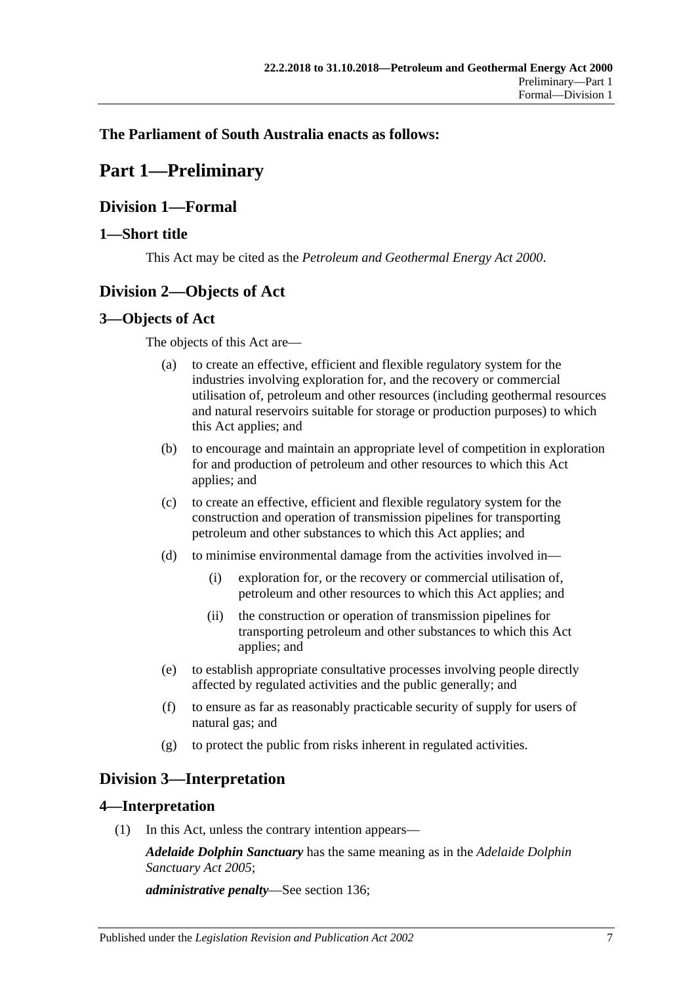## <span id="page-6-0"></span>**The Parliament of South Australia enacts as follows:**

# **Part 1—Preliminary**

## <span id="page-6-1"></span>**Division 1—Formal**

## <span id="page-6-2"></span>**1—Short title**

This Act may be cited as the *Petroleum and Geothermal Energy Act 2000*.

# <span id="page-6-3"></span>**Division 2—Objects of Act**

## <span id="page-6-4"></span>**3—Objects of Act**

The objects of this Act are—

- (a) to create an effective, efficient and flexible regulatory system for the industries involving exploration for, and the recovery or commercial utilisation of, petroleum and other resources (including geothermal resources and natural reservoirs suitable for storage or production purposes) to which this Act applies; and
- (b) to encourage and maintain an appropriate level of competition in exploration for and production of petroleum and other resources to which this Act applies; and
- (c) to create an effective, efficient and flexible regulatory system for the construction and operation of transmission pipelines for transporting petroleum and other substances to which this Act applies; and
- (d) to minimise environmental damage from the activities involved in—
	- (i) exploration for, or the recovery or commercial utilisation of, petroleum and other resources to which this Act applies; and
	- (ii) the construction or operation of transmission pipelines for transporting petroleum and other substances to which this Act applies; and
- (e) to establish appropriate consultative processes involving people directly affected by regulated activities and the public generally; and
- (f) to ensure as far as reasonably practicable security of supply for users of natural gas; and
- (g) to protect the public from risks inherent in regulated activities.

## <span id="page-6-5"></span>**Division 3—Interpretation**

## <span id="page-6-6"></span>**4—Interpretation**

(1) In this Act, unless the contrary intention appears—

*Adelaide Dolphin Sanctuary* has the same meaning as in the *[Adelaide Dolphin](http://www.legislation.sa.gov.au/index.aspx?action=legref&type=act&legtitle=Adelaide%20Dolphin%20Sanctuary%20Act%202005)  [Sanctuary Act](http://www.legislation.sa.gov.au/index.aspx?action=legref&type=act&legtitle=Adelaide%20Dolphin%20Sanctuary%20Act%202005) 2005*;

*administrative penalty*—See [section](#page-64-0) 136;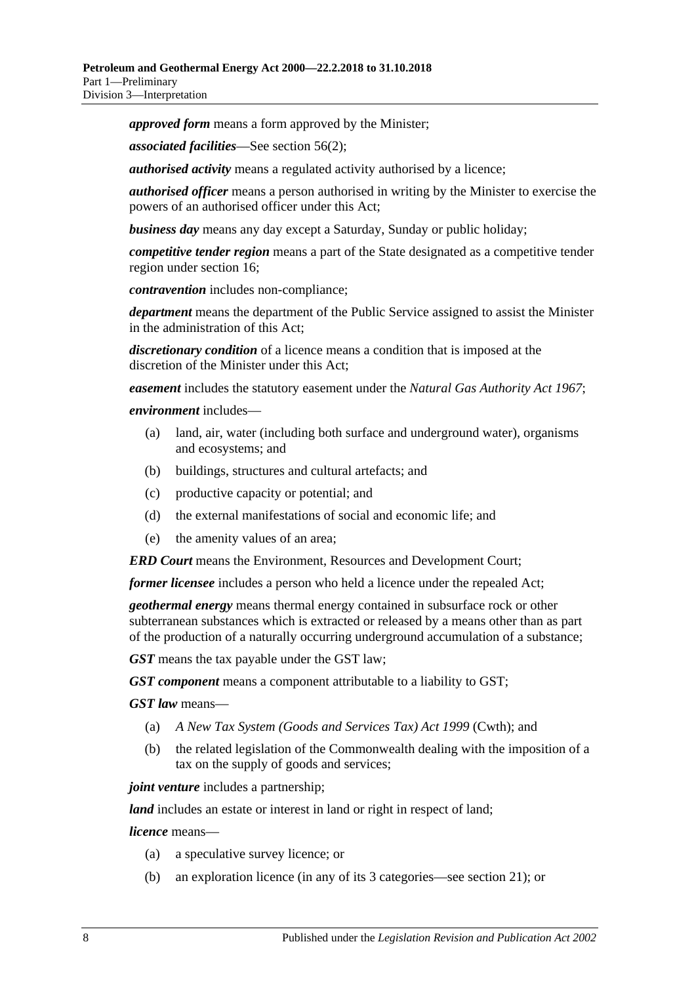*approved form* means a form approved by the Minister;

*associated facilities*—See [section](#page-31-4) 56(2);

*authorised activity* means a regulated activity authorised by a licence;

*authorised officer* means a person authorised in writing by the Minister to exercise the powers of an authorised officer under this Act;

*business day* means any day except a Saturday, Sunday or public holiday;

*competitive tender region* means a part of the State designated as a competitive tender region under [section](#page-15-6) 16;

*contravention* includes non-compliance;

*department* means the department of the Public Service assigned to assist the Minister in the administration of this Act;

*discretionary condition* of a licence means a condition that is imposed at the discretion of the Minister under this Act;

*easement* includes the statutory easement under the *[Natural Gas Authority Act](http://www.legislation.sa.gov.au/index.aspx?action=legref&type=act&legtitle=Natural%20Gas%20Authority%20Act%201967) 1967*;

#### *environment* includes—

- (a) land, air, water (including both surface and underground water), organisms and ecosystems; and
- (b) buildings, structures and cultural artefacts; and
- (c) productive capacity or potential; and
- (d) the external manifestations of social and economic life; and
- (e) the amenity values of an area;

*ERD Court* means the Environment, Resources and Development Court;

*former licensee* includes a person who held a licence under the repealed Act;

*geothermal energy* means thermal energy contained in subsurface rock or other subterranean substances which is extracted or released by a means other than as part of the production of a naturally occurring underground accumulation of a substance;

*GST* means the tax payable under the GST law;

*GST component* means a component attributable to a liability to GST;

*GST law* means—

- (a) *A New Tax System (Goods and Services Tax) Act 1999* (Cwth); and
- (b) the related legislation of the Commonwealth dealing with the imposition of a tax on the supply of goods and services;

*joint venture* includes a partnership;

*land* includes an estate or interest in land or right in respect of land;

*licence* means—

- (a) a speculative survey licence; or
- (b) an exploration licence (in any of its 3 categories—see [section](#page-16-4) 21); or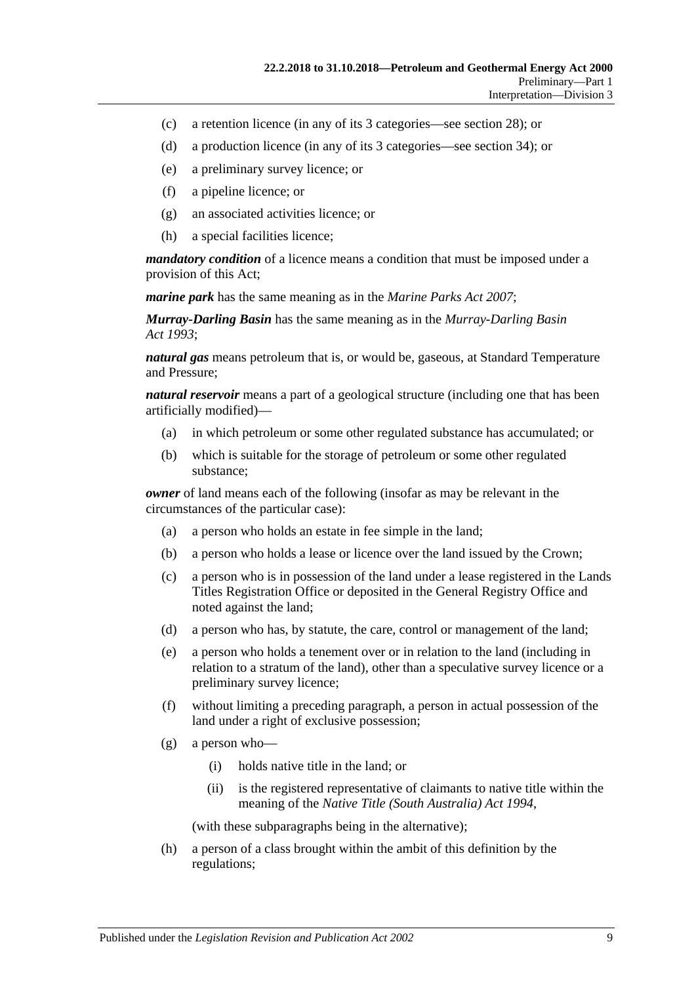- (c) a retention licence (in any of its 3 categories—see [section](#page-19-2) 28); or
- (d) a production licence (in any of its 3 categories—see [section](#page-22-1) 34); or
- (e) a preliminary survey licence; or
- (f) a pipeline licence; or
- (g) an associated activities licence; or
- (h) a special facilities licence;

*mandatory condition* of a licence means a condition that must be imposed under a provision of this Act;

*marine park* has the same meaning as in the *[Marine Parks Act](http://www.legislation.sa.gov.au/index.aspx?action=legref&type=act&legtitle=Marine%20Parks%20Act%202007) 2007*;

*Murray-Darling Basin* has the same meaning as in the *[Murray-Darling Basin](http://www.legislation.sa.gov.au/index.aspx?action=legref&type=act&legtitle=Murray-Darling%20Basin%20Act%201993)  Act [1993](http://www.legislation.sa.gov.au/index.aspx?action=legref&type=act&legtitle=Murray-Darling%20Basin%20Act%201993)*;

*natural gas* means petroleum that is, or would be, gaseous, at Standard Temperature and Pressure;

*natural reservoir* means a part of a geological structure (including one that has been artificially modified)—

- (a) in which petroleum or some other regulated substance has accumulated; or
- (b) which is suitable for the storage of petroleum or some other regulated substance;

*owner* of land means each of the following (insofar as may be relevant in the circumstances of the particular case):

- (a) a person who holds an estate in fee simple in the land;
- (b) a person who holds a lease or licence over the land issued by the Crown;
- (c) a person who is in possession of the land under a lease registered in the Lands Titles Registration Office or deposited in the General Registry Office and noted against the land;
- (d) a person who has, by statute, the care, control or management of the land;
- (e) a person who holds a tenement over or in relation to the land (including in relation to a stratum of the land), other than a speculative survey licence or a preliminary survey licence;
- (f) without limiting a preceding paragraph, a person in actual possession of the land under a right of exclusive possession;
- (g) a person who—
	- (i) holds native title in the land; or
	- (ii) is the registered representative of claimants to native title within the meaning of the *Native Title [\(South Australia\) Act](http://www.legislation.sa.gov.au/index.aspx?action=legref&type=act&legtitle=Native%20Title%20(South%20Australia)%20Act%201994) 1994*,

(with these subparagraphs being in the alternative);

(h) a person of a class brought within the ambit of this definition by the regulations;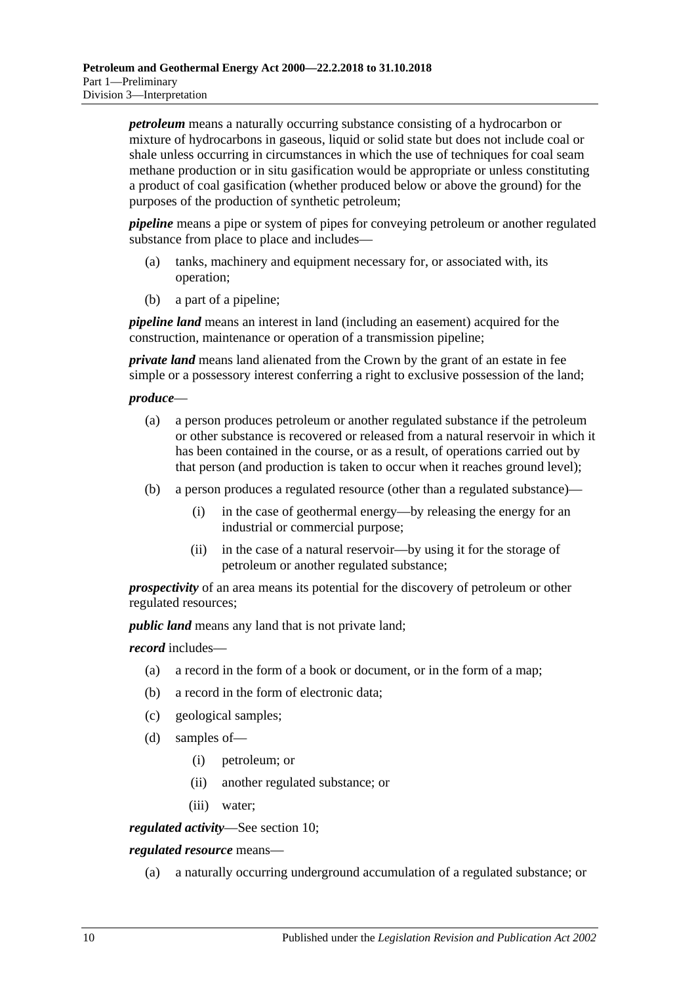*petroleum* means a naturally occurring substance consisting of a hydrocarbon or mixture of hydrocarbons in gaseous, liquid or solid state but does not include coal or shale unless occurring in circumstances in which the use of techniques for coal seam methane production or in situ gasification would be appropriate or unless constituting a product of coal gasification (whether produced below or above the ground) for the purposes of the production of synthetic petroleum;

*pipeline* means a pipe or system of pipes for conveying petroleum or another regulated substance from place to place and includes—

- (a) tanks, machinery and equipment necessary for, or associated with, its operation;
- (b) a part of a pipeline;

*pipeline land* means an interest in land (including an easement) acquired for the construction, maintenance or operation of a transmission pipeline;

*private land* means land alienated from the Crown by the grant of an estate in fee simple or a possessory interest conferring a right to exclusive possession of the land;

#### *produce*—

- (a) a person produces petroleum or another regulated substance if the petroleum or other substance is recovered or released from a natural reservoir in which it has been contained in the course, or as a result, of operations carried out by that person (and production is taken to occur when it reaches ground level);
- (b) a person produces a regulated resource (other than a regulated substance)—
	- (i) in the case of geothermal energy—by releasing the energy for an industrial or commercial purpose;
	- (ii) in the case of a natural reservoir—by using it for the storage of petroleum or another regulated substance;

*prospectivity* of an area means its potential for the discovery of petroleum or other regulated resources;

*public land* means any land that is not private land;

*record* includes—

- (a) a record in the form of a book or document, or in the form of a map;
- (b) a record in the form of electronic data;
- (c) geological samples;
- (d) samples of—
	- (i) petroleum; or
	- (ii) another regulated substance; or
	- (iii) water;

*regulated activity*—See [section](#page-13-3) 10;

*regulated resource* means—

(a) a naturally occurring underground accumulation of a regulated substance; or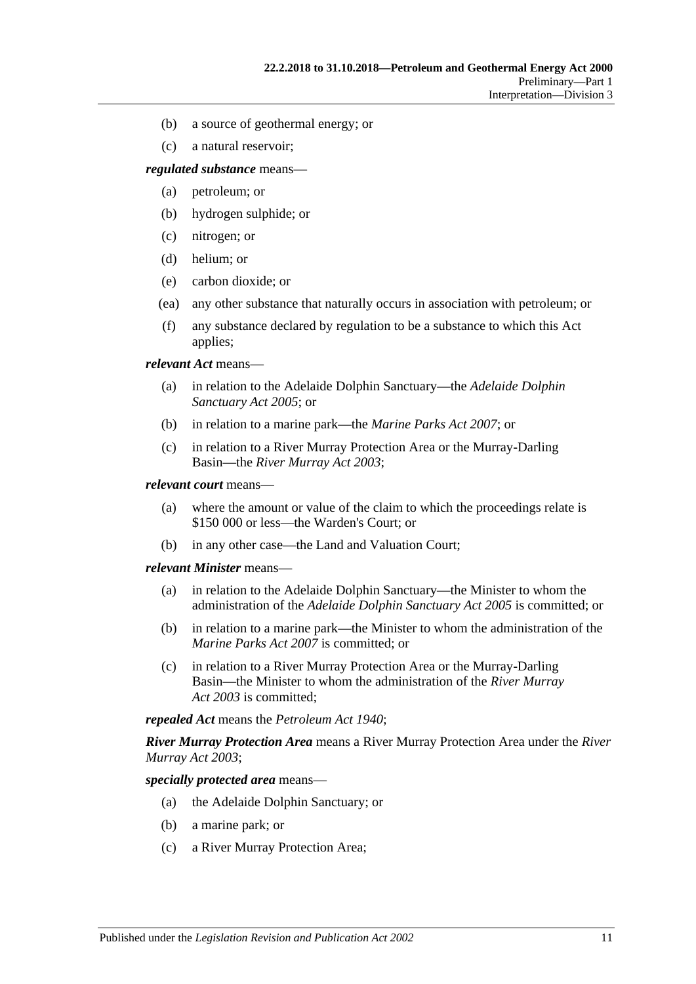- (b) a source of geothermal energy; or
- (c) a natural reservoir;

*regulated substance* means—

- (a) petroleum; or
- (b) hydrogen sulphide; or
- (c) nitrogen; or
- (d) helium; or
- (e) carbon dioxide; or
- (ea) any other substance that naturally occurs in association with petroleum; or
- (f) any substance declared by regulation to be a substance to which this Act applies;

*relevant Act* means—

- (a) in relation to the Adelaide Dolphin Sanctuary—the *[Adelaide Dolphin](http://www.legislation.sa.gov.au/index.aspx?action=legref&type=act&legtitle=Adelaide%20Dolphin%20Sanctuary%20Act%202005)  [Sanctuary Act](http://www.legislation.sa.gov.au/index.aspx?action=legref&type=act&legtitle=Adelaide%20Dolphin%20Sanctuary%20Act%202005) 2005*; or
- (b) in relation to a marine park—the *[Marine Parks Act](http://www.legislation.sa.gov.au/index.aspx?action=legref&type=act&legtitle=Marine%20Parks%20Act%202007) 2007*; or
- (c) in relation to a River Murray Protection Area or the Murray-Darling Basin—the *[River Murray Act](http://www.legislation.sa.gov.au/index.aspx?action=legref&type=act&legtitle=River%20Murray%20Act%202003) 2003*;

#### *relevant court* means—

- (a) where the amount or value of the claim to which the proceedings relate is \$150 000 or less—the Warden's Court; or
- (b) in any other case—the Land and Valuation Court;

#### *relevant Minister* means—

- (a) in relation to the Adelaide Dolphin Sanctuary—the Minister to whom the administration of the *[Adelaide Dolphin Sanctuary Act](http://www.legislation.sa.gov.au/index.aspx?action=legref&type=act&legtitle=Adelaide%20Dolphin%20Sanctuary%20Act%202005) 2005* is committed; or
- (b) in relation to a marine park—the Minister to whom the administration of the *[Marine Parks Act](http://www.legislation.sa.gov.au/index.aspx?action=legref&type=act&legtitle=Marine%20Parks%20Act%202007) 2007* is committed; or
- (c) in relation to a River Murray Protection Area or the Murray-Darling Basin—the Minister to whom the administration of the *[River Murray](http://www.legislation.sa.gov.au/index.aspx?action=legref&type=act&legtitle=River%20Murray%20Act%202003)  Act [2003](http://www.legislation.sa.gov.au/index.aspx?action=legref&type=act&legtitle=River%20Murray%20Act%202003)* is committed;

*repealed Act* means the *[Petroleum Act](http://www.legislation.sa.gov.au/index.aspx?action=legref&type=act&legtitle=Petroleum%20Act%201940) 1940*;

*River Murray Protection Area* means a River Murray Protection Area under the *[River](http://www.legislation.sa.gov.au/index.aspx?action=legref&type=act&legtitle=River%20Murray%20Act%202003)  [Murray Act](http://www.legislation.sa.gov.au/index.aspx?action=legref&type=act&legtitle=River%20Murray%20Act%202003) 2003*;

*specially protected area* means—

- (a) the Adelaide Dolphin Sanctuary; or
- (b) a marine park; or
- (c) a River Murray Protection Area;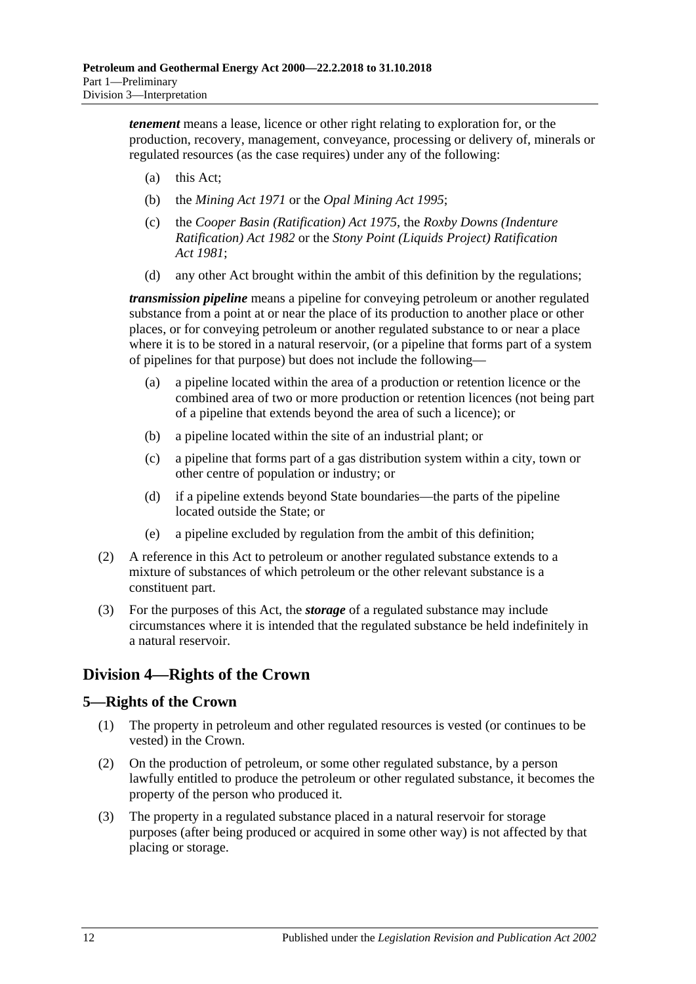*tenement* means a lease, licence or other right relating to exploration for, or the production, recovery, management, conveyance, processing or delivery of, minerals or regulated resources (as the case requires) under any of the following:

- (a) this Act;
- (b) the *[Mining Act](http://www.legislation.sa.gov.au/index.aspx?action=legref&type=act&legtitle=Mining%20Act%201971) 1971* or the *[Opal Mining Act](http://www.legislation.sa.gov.au/index.aspx?action=legref&type=act&legtitle=Opal%20Mining%20Act%201995) 1995*;
- (c) the *[Cooper Basin \(Ratification\) Act](http://www.legislation.sa.gov.au/index.aspx?action=legref&type=act&legtitle=Cooper%20Basin%20(Ratification)%20Act%201975) 1975*, the *[Roxby Downs \(Indenture](http://www.legislation.sa.gov.au/index.aspx?action=legref&type=act&legtitle=Roxby%20Downs%20(Indenture%20Ratification)%20Act%201982)  [Ratification\) Act](http://www.legislation.sa.gov.au/index.aspx?action=legref&type=act&legtitle=Roxby%20Downs%20(Indenture%20Ratification)%20Act%201982) 1982* or the *[Stony Point \(Liquids Project\) Ratification](http://www.legislation.sa.gov.au/index.aspx?action=legref&type=act&legtitle=Stony%20Point%20(Liquids%20Project)%20Ratification%20Act%201981)  Act [1981](http://www.legislation.sa.gov.au/index.aspx?action=legref&type=act&legtitle=Stony%20Point%20(Liquids%20Project)%20Ratification%20Act%201981)*;
- (d) any other Act brought within the ambit of this definition by the regulations;

*transmission pipeline* means a pipeline for conveying petroleum or another regulated substance from a point at or near the place of its production to another place or other places, or for conveying petroleum or another regulated substance to or near a place where it is to be stored in a natural reservoir, (or a pipeline that forms part of a system of pipelines for that purpose) but does not include the following—

- (a) a pipeline located within the area of a production or retention licence or the combined area of two or more production or retention licences (not being part of a pipeline that extends beyond the area of such a licence); or
- (b) a pipeline located within the site of an industrial plant; or
- (c) a pipeline that forms part of a gas distribution system within a city, town or other centre of population or industry; or
- (d) if a pipeline extends beyond State boundaries—the parts of the pipeline located outside the State; or
- (e) a pipeline excluded by regulation from the ambit of this definition;
- (2) A reference in this Act to petroleum or another regulated substance extends to a mixture of substances of which petroleum or the other relevant substance is a constituent part.
- (3) For the purposes of this Act, the *storage* of a regulated substance may include circumstances where it is intended that the regulated substance be held indefinitely in a natural reservoir.

# <span id="page-11-0"></span>**Division 4—Rights of the Crown**

## <span id="page-11-1"></span>**5—Rights of the Crown**

- (1) The property in petroleum and other regulated resources is vested (or continues to be vested) in the Crown.
- (2) On the production of petroleum, or some other regulated substance, by a person lawfully entitled to produce the petroleum or other regulated substance, it becomes the property of the person who produced it.
- (3) The property in a regulated substance placed in a natural reservoir for storage purposes (after being produced or acquired in some other way) is not affected by that placing or storage.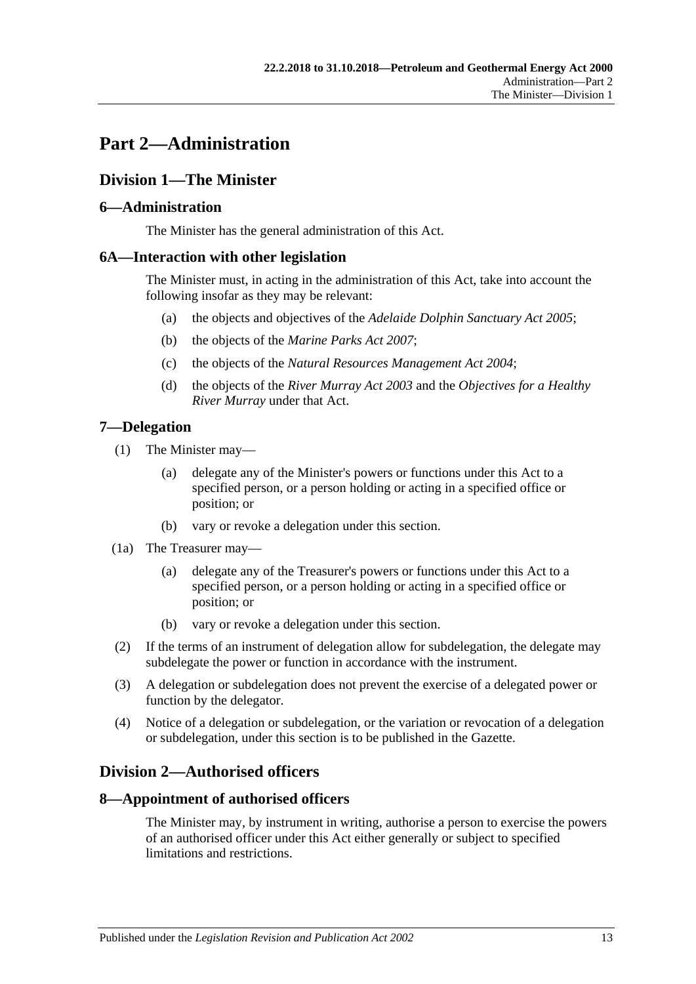# <span id="page-12-0"></span>**Part 2—Administration**

# <span id="page-12-1"></span>**Division 1—The Minister**

## <span id="page-12-2"></span>**6—Administration**

The Minister has the general administration of this Act.

## <span id="page-12-3"></span>**6A—Interaction with other legislation**

The Minister must, in acting in the administration of this Act, take into account the following insofar as they may be relevant:

- (a) the objects and objectives of the *[Adelaide Dolphin Sanctuary Act](http://www.legislation.sa.gov.au/index.aspx?action=legref&type=act&legtitle=Adelaide%20Dolphin%20Sanctuary%20Act%202005) 2005*;
- (b) the objects of the *[Marine Parks Act](http://www.legislation.sa.gov.au/index.aspx?action=legref&type=act&legtitle=Marine%20Parks%20Act%202007) 2007*;
- (c) the objects of the *[Natural Resources Management Act](http://www.legislation.sa.gov.au/index.aspx?action=legref&type=act&legtitle=Natural%20Resources%20Management%20Act%202004) 2004*;
- (d) the objects of the *[River Murray Act](http://www.legislation.sa.gov.au/index.aspx?action=legref&type=act&legtitle=River%20Murray%20Act%202003) 2003* and the *Objectives for a Healthy River Murray* under that Act.

## <span id="page-12-4"></span>**7—Delegation**

- (1) The Minister may—
	- (a) delegate any of the Minister's powers or functions under this Act to a specified person, or a person holding or acting in a specified office or position; or
	- (b) vary or revoke a delegation under this section.
- (1a) The Treasurer may—
	- (a) delegate any of the Treasurer's powers or functions under this Act to a specified person, or a person holding or acting in a specified office or position; or
	- (b) vary or revoke a delegation under this section.
- (2) If the terms of an instrument of delegation allow for subdelegation, the delegate may subdelegate the power or function in accordance with the instrument.
- (3) A delegation or subdelegation does not prevent the exercise of a delegated power or function by the delegator.
- (4) Notice of a delegation or subdelegation, or the variation or revocation of a delegation or subdelegation, under this section is to be published in the Gazette.

# <span id="page-12-5"></span>**Division 2—Authorised officers**

## <span id="page-12-6"></span>**8—Appointment of authorised officers**

The Minister may, by instrument in writing, authorise a person to exercise the powers of an authorised officer under this Act either generally or subject to specified limitations and restrictions.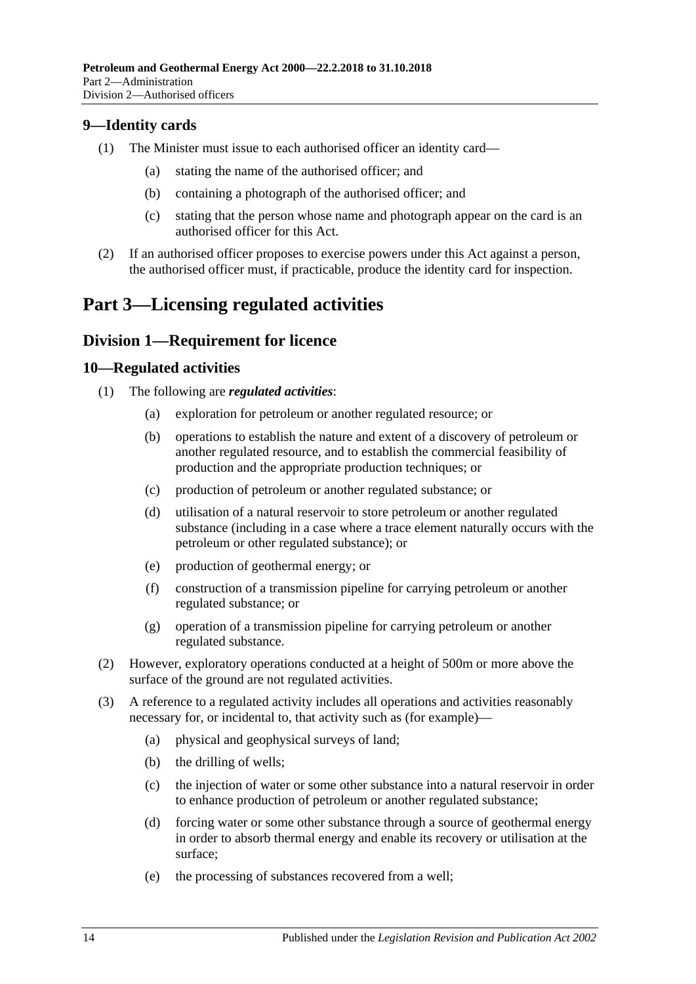## <span id="page-13-0"></span>**9—Identity cards**

- (1) The Minister must issue to each authorised officer an identity card—
	- (a) stating the name of the authorised officer; and
	- (b) containing a photograph of the authorised officer; and
	- (c) stating that the person whose name and photograph appear on the card is an authorised officer for this Act.
- (2) If an authorised officer proposes to exercise powers under this Act against a person, the authorised officer must, if practicable, produce the identity card for inspection.

# <span id="page-13-1"></span>**Part 3—Licensing regulated activities**

## <span id="page-13-2"></span>**Division 1—Requirement for licence**

#### <span id="page-13-3"></span>**10—Regulated activities**

- (1) The following are *regulated activities*:
	- (a) exploration for petroleum or another regulated resource; or
	- (b) operations to establish the nature and extent of a discovery of petroleum or another regulated resource, and to establish the commercial feasibility of production and the appropriate production techniques; or
	- (c) production of petroleum or another regulated substance; or
	- (d) utilisation of a natural reservoir to store petroleum or another regulated substance (including in a case where a trace element naturally occurs with the petroleum or other regulated substance); or
	- (e) production of geothermal energy; or
	- (f) construction of a transmission pipeline for carrying petroleum or another regulated substance; or
	- (g) operation of a transmission pipeline for carrying petroleum or another regulated substance.
- (2) However, exploratory operations conducted at a height of 500m or more above the surface of the ground are not regulated activities.
- (3) A reference to a regulated activity includes all operations and activities reasonably necessary for, or incidental to, that activity such as (for example)—
	- (a) physical and geophysical surveys of land;
	- (b) the drilling of wells;
	- (c) the injection of water or some other substance into a natural reservoir in order to enhance production of petroleum or another regulated substance;
	- (d) forcing water or some other substance through a source of geothermal energy in order to absorb thermal energy and enable its recovery or utilisation at the surface;
	- (e) the processing of substances recovered from a well;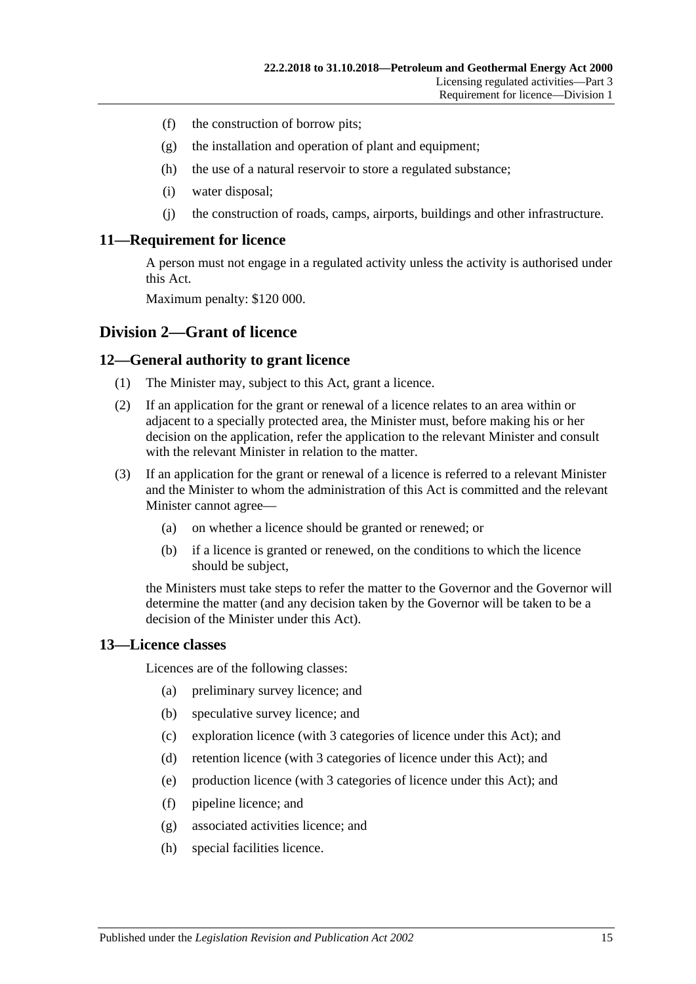- (f) the construction of borrow pits;
- (g) the installation and operation of plant and equipment;
- (h) the use of a natural reservoir to store a regulated substance;
- (i) water disposal;
- (j) the construction of roads, camps, airports, buildings and other infrastructure.

#### <span id="page-14-0"></span>**11—Requirement for licence**

A person must not engage in a regulated activity unless the activity is authorised under this Act.

Maximum penalty: \$120 000.

#### <span id="page-14-1"></span>**Division 2—Grant of licence**

#### <span id="page-14-2"></span>**12—General authority to grant licence**

- (1) The Minister may, subject to this Act, grant a licence.
- (2) If an application for the grant or renewal of a licence relates to an area within or adjacent to a specially protected area, the Minister must, before making his or her decision on the application, refer the application to the relevant Minister and consult with the relevant Minister in relation to the matter.
- (3) If an application for the grant or renewal of a licence is referred to a relevant Minister and the Minister to whom the administration of this Act is committed and the relevant Minister cannot agree—
	- (a) on whether a licence should be granted or renewed; or
	- (b) if a licence is granted or renewed, on the conditions to which the licence should be subject,

the Ministers must take steps to refer the matter to the Governor and the Governor will determine the matter (and any decision taken by the Governor will be taken to be a decision of the Minister under this Act).

#### <span id="page-14-3"></span>**13—Licence classes**

Licences are of the following classes:

- (a) preliminary survey licence; and
- (b) speculative survey licence; and
- (c) exploration licence (with 3 categories of licence under this Act); and
- (d) retention licence (with 3 categories of licence under this Act); and
- (e) production licence (with 3 categories of licence under this Act); and
- (f) pipeline licence; and
- (g) associated activities licence; and
- (h) special facilities licence.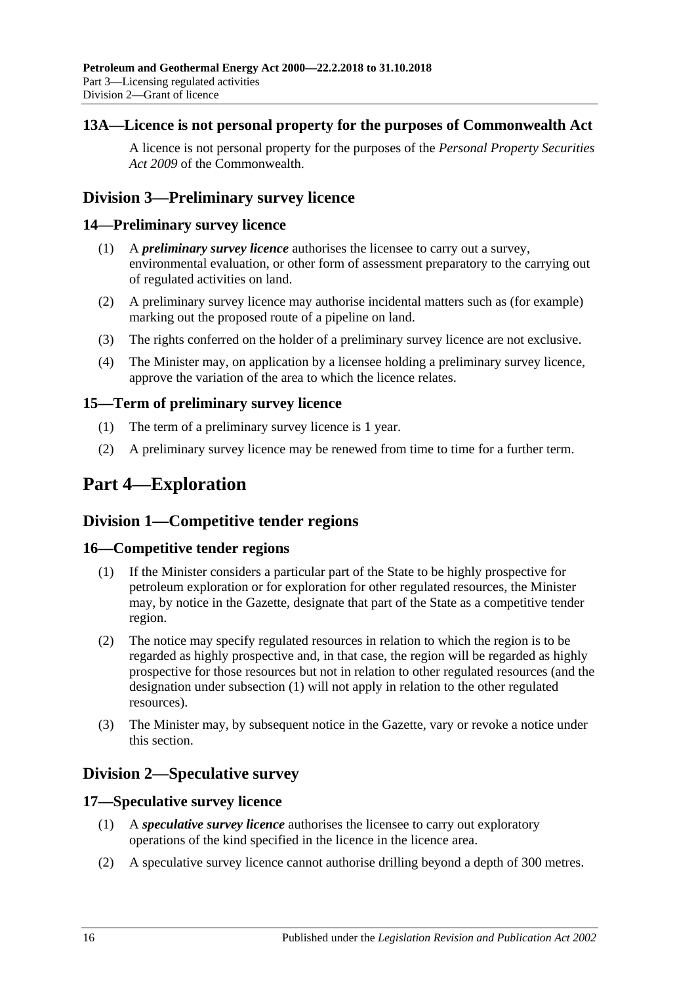## <span id="page-15-0"></span>**13A—Licence is not personal property for the purposes of Commonwealth Act**

A licence is not personal property for the purposes of the *Personal Property Securities Act 2009* of the Commonwealth.

# <span id="page-15-1"></span>**Division 3—Preliminary survey licence**

## <span id="page-15-2"></span>**14—Preliminary survey licence**

- (1) A *preliminary survey licence* authorises the licensee to carry out a survey, environmental evaluation, or other form of assessment preparatory to the carrying out of regulated activities on land.
- (2) A preliminary survey licence may authorise incidental matters such as (for example) marking out the proposed route of a pipeline on land.
- (3) The rights conferred on the holder of a preliminary survey licence are not exclusive.
- (4) The Minister may, on application by a licensee holding a preliminary survey licence, approve the variation of the area to which the licence relates.

## <span id="page-15-3"></span>**15—Term of preliminary survey licence**

- (1) The term of a preliminary survey licence is 1 year.
- (2) A preliminary survey licence may be renewed from time to time for a further term.

# <span id="page-15-4"></span>**Part 4—Exploration**

# <span id="page-15-5"></span>**Division 1—Competitive tender regions**

## <span id="page-15-9"></span><span id="page-15-6"></span>**16—Competitive tender regions**

- (1) If the Minister considers a particular part of the State to be highly prospective for petroleum exploration or for exploration for other regulated resources, the Minister may, by notice in the Gazette, designate that part of the State as a competitive tender region.
- (2) The notice may specify regulated resources in relation to which the region is to be regarded as highly prospective and, in that case, the region will be regarded as highly prospective for those resources but not in relation to other regulated resources (and the designation under [subsection](#page-15-9) (1) will not apply in relation to the other regulated resources).
- (3) The Minister may, by subsequent notice in the Gazette, vary or revoke a notice under this section.

# <span id="page-15-7"></span>**Division 2—Speculative survey**

## <span id="page-15-8"></span>**17—Speculative survey licence**

- (1) A *speculative survey licence* authorises the licensee to carry out exploratory operations of the kind specified in the licence in the licence area.
- (2) A speculative survey licence cannot authorise drilling beyond a depth of 300 metres.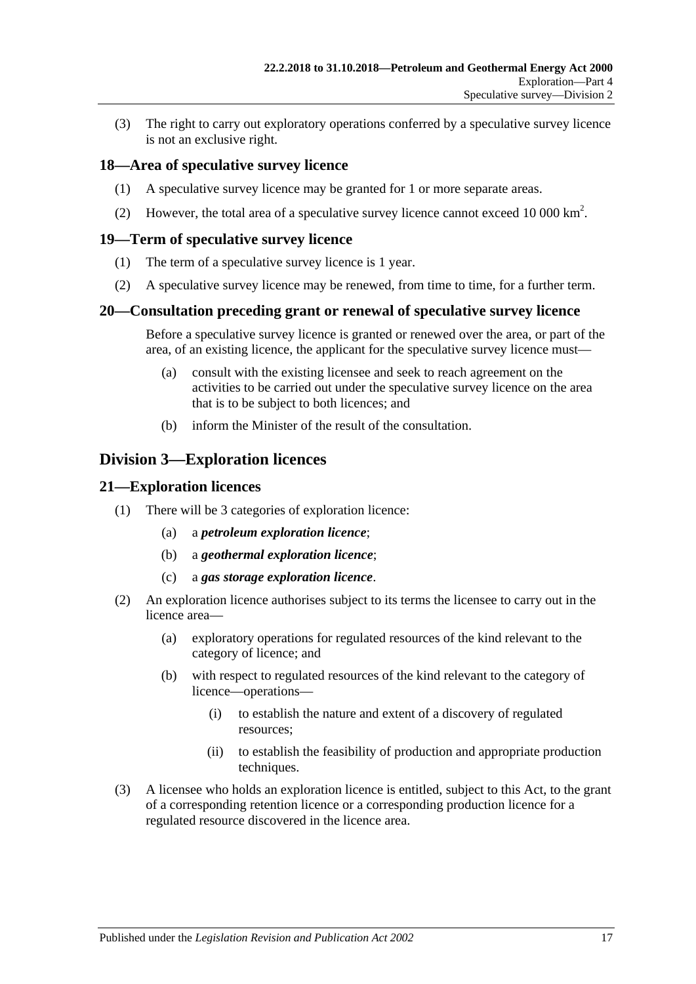(3) The right to carry out exploratory operations conferred by a speculative survey licence is not an exclusive right.

## <span id="page-16-0"></span>**18—Area of speculative survey licence**

- (1) A speculative survey licence may be granted for 1 or more separate areas.
- (2) However, the total area of a speculative survey licence cannot exceed 10 000  $\text{km}^2$ .

## <span id="page-16-1"></span>**19—Term of speculative survey licence**

- (1) The term of a speculative survey licence is 1 year.
- (2) A speculative survey licence may be renewed, from time to time, for a further term.

## <span id="page-16-2"></span>**20—Consultation preceding grant or renewal of speculative survey licence**

Before a speculative survey licence is granted or renewed over the area, or part of the area, of an existing licence, the applicant for the speculative survey licence must—

- (a) consult with the existing licensee and seek to reach agreement on the activities to be carried out under the speculative survey licence on the area that is to be subject to both licences; and
- (b) inform the Minister of the result of the consultation.

# <span id="page-16-3"></span>**Division 3—Exploration licences**

## <span id="page-16-4"></span>**21—Exploration licences**

- (1) There will be 3 categories of exploration licence:
	- (a) a *petroleum exploration licence*;
	- (b) a *geothermal exploration licence*;
	- (c) a *gas storage exploration licence*.
- (2) An exploration licence authorises subject to its terms the licensee to carry out in the licence area—
	- (a) exploratory operations for regulated resources of the kind relevant to the category of licence; and
	- (b) with respect to regulated resources of the kind relevant to the category of licence—operations—
		- (i) to establish the nature and extent of a discovery of regulated resources;
		- (ii) to establish the feasibility of production and appropriate production techniques.
- (3) A licensee who holds an exploration licence is entitled, subject to this Act, to the grant of a corresponding retention licence or a corresponding production licence for a regulated resource discovered in the licence area.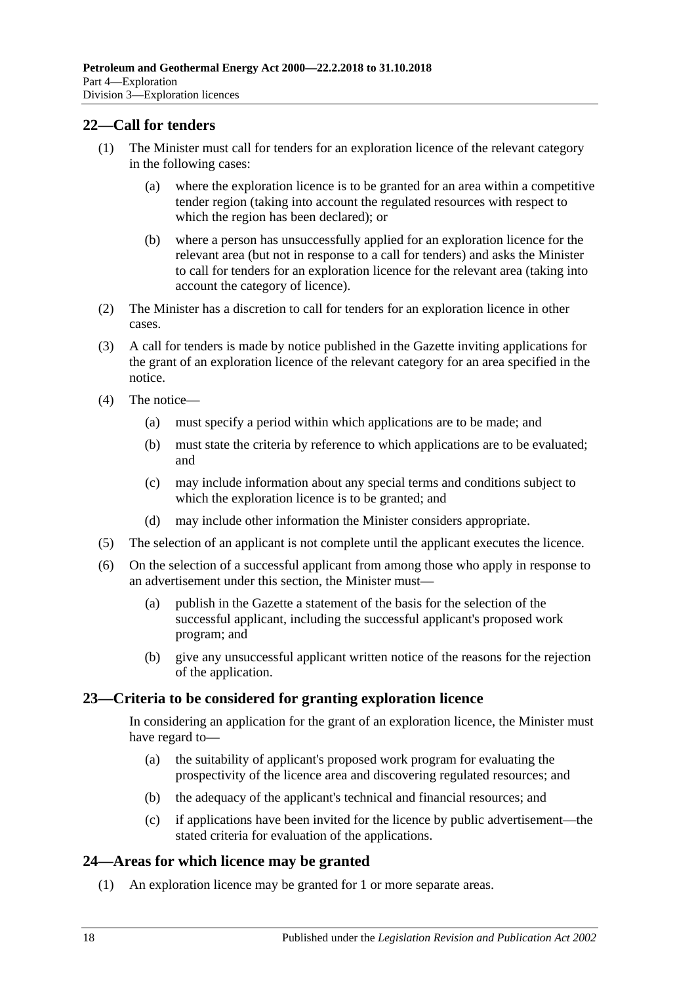## <span id="page-17-0"></span>**22—Call for tenders**

- (1) The Minister must call for tenders for an exploration licence of the relevant category in the following cases:
	- (a) where the exploration licence is to be granted for an area within a competitive tender region (taking into account the regulated resources with respect to which the region has been declared); or
	- (b) where a person has unsuccessfully applied for an exploration licence for the relevant area (but not in response to a call for tenders) and asks the Minister to call for tenders for an exploration licence for the relevant area (taking into account the category of licence).
- (2) The Minister has a discretion to call for tenders for an exploration licence in other cases.
- (3) A call for tenders is made by notice published in the Gazette inviting applications for the grant of an exploration licence of the relevant category for an area specified in the notice.
- (4) The notice—
	- (a) must specify a period within which applications are to be made; and
	- (b) must state the criteria by reference to which applications are to be evaluated; and
	- (c) may include information about any special terms and conditions subject to which the exploration licence is to be granted; and
	- (d) may include other information the Minister considers appropriate.
- (5) The selection of an applicant is not complete until the applicant executes the licence.
- (6) On the selection of a successful applicant from among those who apply in response to an advertisement under this section, the Minister must—
	- (a) publish in the Gazette a statement of the basis for the selection of the successful applicant, including the successful applicant's proposed work program; and
	- (b) give any unsuccessful applicant written notice of the reasons for the rejection of the application.

#### <span id="page-17-1"></span>**23—Criteria to be considered for granting exploration licence**

In considering an application for the grant of an exploration licence, the Minister must have regard to—

- (a) the suitability of applicant's proposed work program for evaluating the prospectivity of the licence area and discovering regulated resources; and
- (b) the adequacy of the applicant's technical and financial resources; and
- (c) if applications have been invited for the licence by public advertisement—the stated criteria for evaluation of the applications.

## <span id="page-17-2"></span>**24—Areas for which licence may be granted**

(1) An exploration licence may be granted for 1 or more separate areas.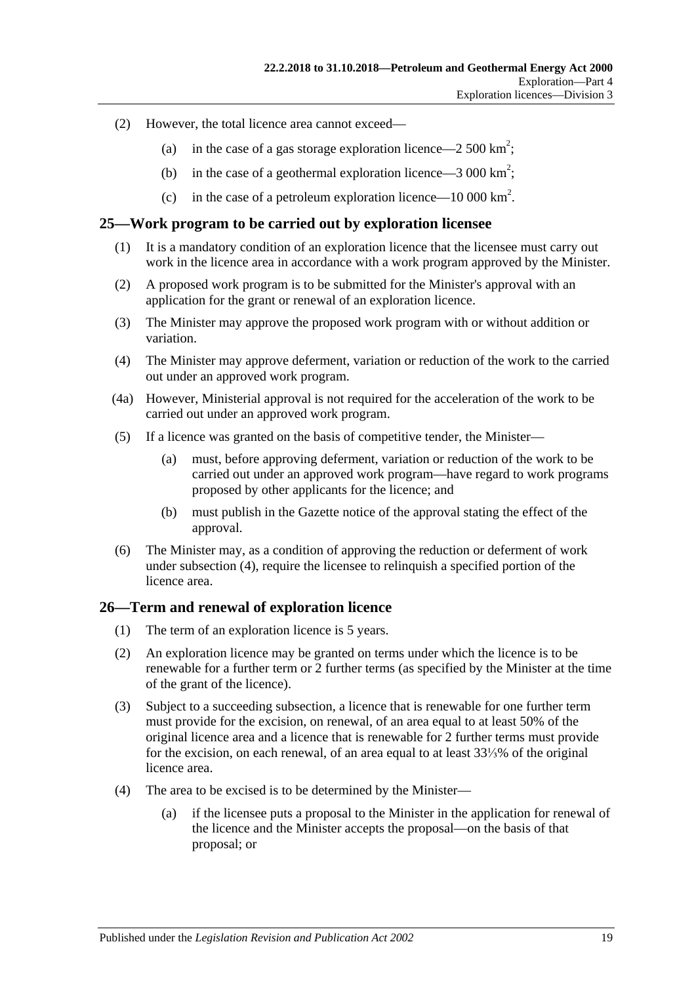- (2) However, the total licence area cannot exceed—
	- (a) in the case of a gas storage exploration licence—2 500 km<sup>2</sup>;
	- (b) in the case of a geothermal exploration licence  $-3000 \text{ km}^2$ ;
	- (c) in the case of a petroleum exploration licence—10 000 km<sup>2</sup>.

#### <span id="page-18-0"></span>**25—Work program to be carried out by exploration licensee**

- (1) It is a mandatory condition of an exploration licence that the licensee must carry out work in the licence area in accordance with a work program approved by the Minister.
- (2) A proposed work program is to be submitted for the Minister's approval with an application for the grant or renewal of an exploration licence.
- (3) The Minister may approve the proposed work program with or without addition or variation.
- <span id="page-18-2"></span>(4) The Minister may approve deferment, variation or reduction of the work to the carried out under an approved work program.
- (4a) However, Ministerial approval is not required for the acceleration of the work to be carried out under an approved work program.
- (5) If a licence was granted on the basis of competitive tender, the Minister—
	- (a) must, before approving deferment, variation or reduction of the work to be carried out under an approved work program—have regard to work programs proposed by other applicants for the licence; and
	- (b) must publish in the Gazette notice of the approval stating the effect of the approval.
- (6) The Minister may, as a condition of approving the reduction or deferment of work under [subsection](#page-18-2) (4), require the licensee to relinquish a specified portion of the licence area.

#### <span id="page-18-1"></span>**26—Term and renewal of exploration licence**

- (1) The term of an exploration licence is 5 years.
- (2) An exploration licence may be granted on terms under which the licence is to be renewable for a further term or 2 further terms (as specified by the Minister at the time of the grant of the licence).
- <span id="page-18-4"></span>(3) Subject to a succeeding subsection, a licence that is renewable for one further term must provide for the excision, on renewal, of an area equal to at least 50% of the original licence area and a licence that is renewable for 2 further terms must provide for the excision, on each renewal, of an area equal to at least 33⅓% of the original licence area.
- <span id="page-18-5"></span><span id="page-18-3"></span>(4) The area to be excised is to be determined by the Minister—
	- (a) if the licensee puts a proposal to the Minister in the application for renewal of the licence and the Minister accepts the proposal—on the basis of that proposal; or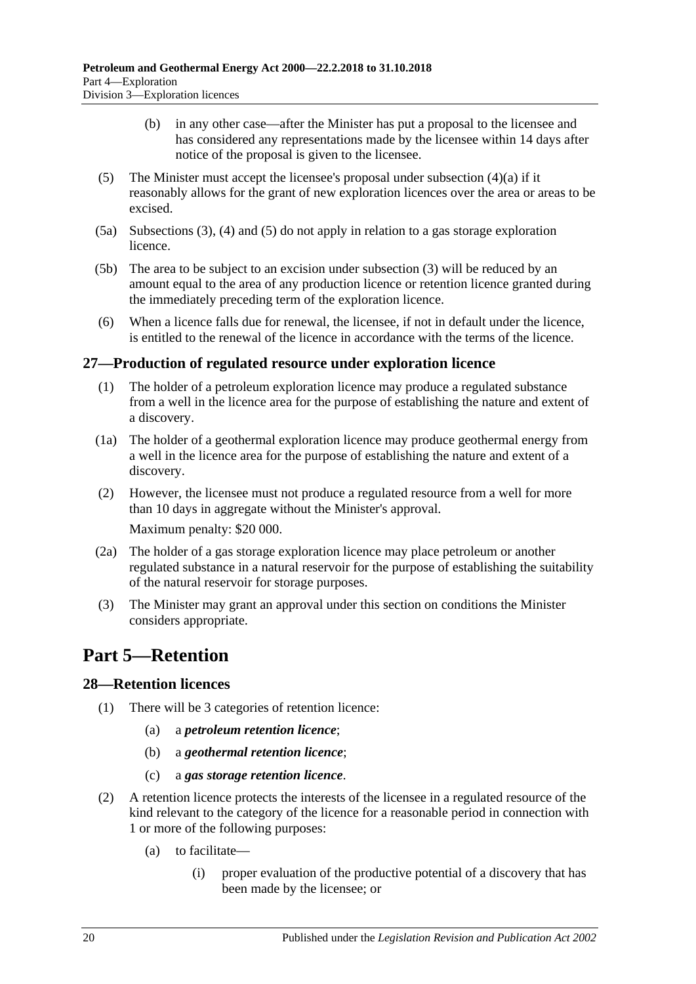- (b) in any other case—after the Minister has put a proposal to the licensee and has considered any representations made by the licensee within 14 days after notice of the proposal is given to the licensee.
- <span id="page-19-3"></span>(5) The Minister must accept the licensee's proposal under [subsection](#page-18-3)  $(4)(a)$  if it reasonably allows for the grant of new exploration licences over the area or areas to be excised.
- (5a) [Subsections](#page-18-4) (3), [\(4\)](#page-18-5) and [\(5\)](#page-19-3) do not apply in relation to a gas storage exploration licence.
- (5b) The area to be subject to an excision under [subsection](#page-18-4) (3) will be reduced by an amount equal to the area of any production licence or retention licence granted during the immediately preceding term of the exploration licence.
- (6) When a licence falls due for renewal, the licensee, if not in default under the licence, is entitled to the renewal of the licence in accordance with the terms of the licence.

## <span id="page-19-0"></span>**27—Production of regulated resource under exploration licence**

- (1) The holder of a petroleum exploration licence may produce a regulated substance from a well in the licence area for the purpose of establishing the nature and extent of a discovery.
- (1a) The holder of a geothermal exploration licence may produce geothermal energy from a well in the licence area for the purpose of establishing the nature and extent of a discovery.
- (2) However, the licensee must not produce a regulated resource from a well for more than 10 days in aggregate without the Minister's approval. Maximum penalty: \$20 000.
- (2a) The holder of a gas storage exploration licence may place petroleum or another regulated substance in a natural reservoir for the purpose of establishing the suitability of the natural reservoir for storage purposes.
- (3) The Minister may grant an approval under this section on conditions the Minister considers appropriate.

# <span id="page-19-1"></span>**Part 5—Retention**

## <span id="page-19-2"></span>**28—Retention licences**

- (1) There will be 3 categories of retention licence:
	- (a) a *petroleum retention licence*;
	- (b) a *geothermal retention licence*;
	- (c) a *gas storage retention licence*.
- <span id="page-19-4"></span>(2) A retention licence protects the interests of the licensee in a regulated resource of the kind relevant to the category of the licence for a reasonable period in connection with 1 or more of the following purposes:
	- (a) to facilitate—
		- (i) proper evaluation of the productive potential of a discovery that has been made by the licensee; or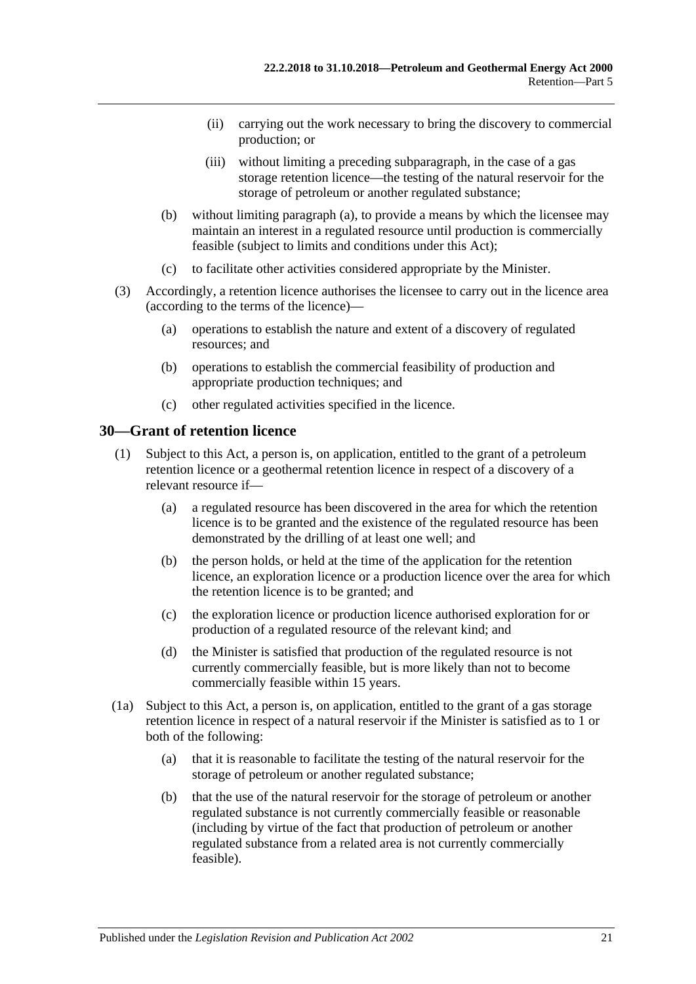- (ii) carrying out the work necessary to bring the discovery to commercial production; or
- (iii) without limiting a preceding subparagraph, in the case of a gas storage retention licence—the testing of the natural reservoir for the storage of petroleum or another regulated substance;
- (b) without limiting [paragraph](#page-19-4) (a), to provide a means by which the licensee may maintain an interest in a regulated resource until production is commercially feasible (subject to limits and conditions under this Act);
- (c) to facilitate other activities considered appropriate by the Minister.
- (3) Accordingly, a retention licence authorises the licensee to carry out in the licence area (according to the terms of the licence)—
	- (a) operations to establish the nature and extent of a discovery of regulated resources; and
	- (b) operations to establish the commercial feasibility of production and appropriate production techniques; and
	- (c) other regulated activities specified in the licence.

#### <span id="page-20-0"></span>**30—Grant of retention licence**

- (1) Subject to this Act, a person is, on application, entitled to the grant of a petroleum retention licence or a geothermal retention licence in respect of a discovery of a relevant resource if—
	- (a) a regulated resource has been discovered in the area for which the retention licence is to be granted and the existence of the regulated resource has been demonstrated by the drilling of at least one well; and
	- (b) the person holds, or held at the time of the application for the retention licence, an exploration licence or a production licence over the area for which the retention licence is to be granted; and
	- (c) the exploration licence or production licence authorised exploration for or production of a regulated resource of the relevant kind; and
	- (d) the Minister is satisfied that production of the regulated resource is not currently commercially feasible, but is more likely than not to become commercially feasible within 15 years.
- (1a) Subject to this Act, a person is, on application, entitled to the grant of a gas storage retention licence in respect of a natural reservoir if the Minister is satisfied as to 1 or both of the following:
	- (a) that it is reasonable to facilitate the testing of the natural reservoir for the storage of petroleum or another regulated substance;
	- (b) that the use of the natural reservoir for the storage of petroleum or another regulated substance is not currently commercially feasible or reasonable (including by virtue of the fact that production of petroleum or another regulated substance from a related area is not currently commercially feasible).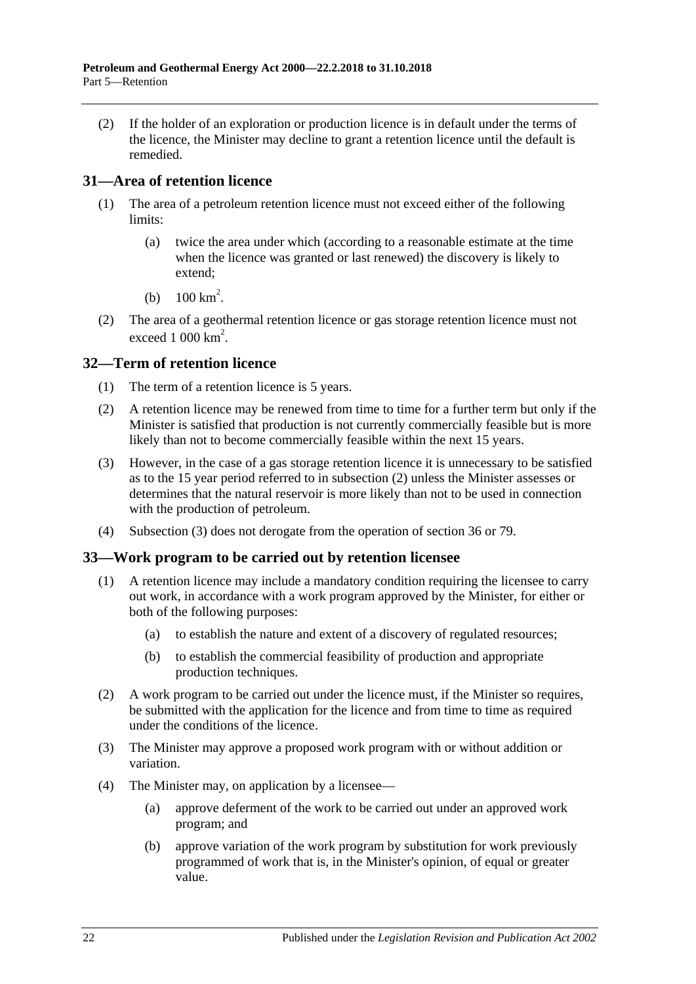(2) If the holder of an exploration or production licence is in default under the terms of the licence, the Minister may decline to grant a retention licence until the default is remedied.

## <span id="page-21-0"></span>**31—Area of retention licence**

- (1) The area of a petroleum retention licence must not exceed either of the following limits:
	- (a) twice the area under which (according to a reasonable estimate at the time when the licence was granted or last renewed) the discovery is likely to extend;
	- (b)  $100 \text{ km}^2$ .
- (2) The area of a geothermal retention licence or gas storage retention licence must not exceed  $1000 \text{ km}^2$ .

## <span id="page-21-1"></span>**32—Term of retention licence**

- (1) The term of a retention licence is 5 years.
- <span id="page-21-3"></span>(2) A retention licence may be renewed from time to time for a further term but only if the Minister is satisfied that production is not currently commercially feasible but is more likely than not to become commercially feasible within the next 15 years.
- <span id="page-21-4"></span>(3) However, in the case of a gas storage retention licence it is unnecessary to be satisfied as to the 15 year period referred to in [subsection](#page-21-3) (2) unless the Minister assesses or determines that the natural reservoir is more likely than not to be used in connection with the production of petroleum.
- (4) [Subsection](#page-21-4) (3) does not derogate from the operation of [section](#page-23-0) 36 or [79.](#page-41-5)

## <span id="page-21-2"></span>**33—Work program to be carried out by retention licensee**

- (1) A retention licence may include a mandatory condition requiring the licensee to carry out work, in accordance with a work program approved by the Minister, for either or both of the following purposes:
	- (a) to establish the nature and extent of a discovery of regulated resources;
	- (b) to establish the commercial feasibility of production and appropriate production techniques.
- (2) A work program to be carried out under the licence must, if the Minister so requires, be submitted with the application for the licence and from time to time as required under the conditions of the licence.
- (3) The Minister may approve a proposed work program with or without addition or variation.
- (4) The Minister may, on application by a licensee—
	- (a) approve deferment of the work to be carried out under an approved work program; and
	- (b) approve variation of the work program by substitution for work previously programmed of work that is, in the Minister's opinion, of equal or greater value.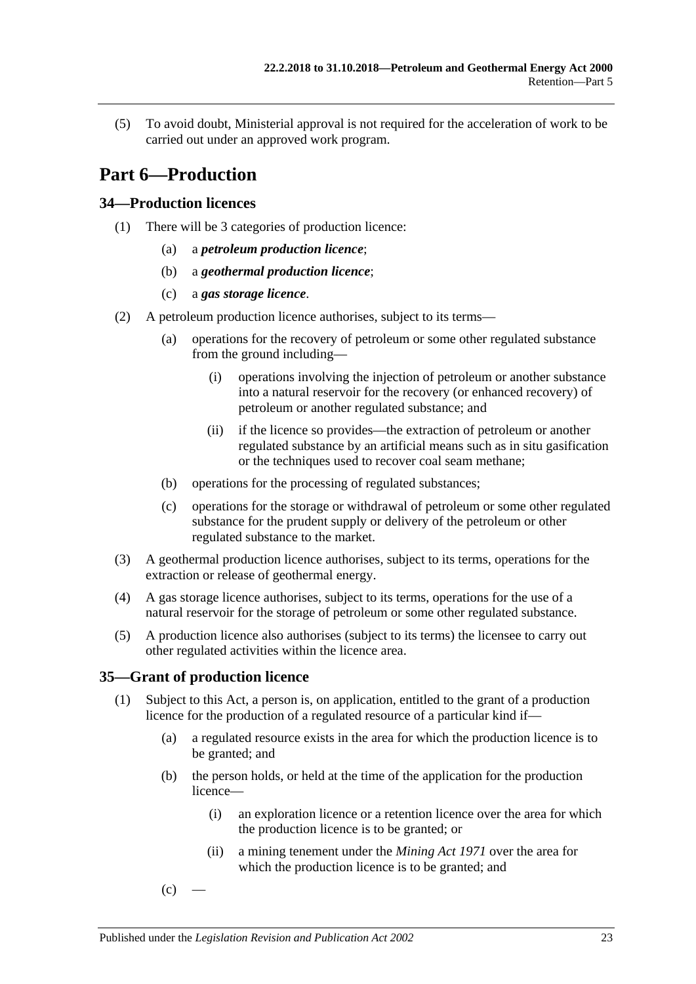(5) To avoid doubt, Ministerial approval is not required for the acceleration of work to be carried out under an approved work program.

# <span id="page-22-0"></span>**Part 6—Production**

## <span id="page-22-1"></span>**34—Production licences**

- (1) There will be 3 categories of production licence:
	- (a) a *petroleum production licence*;
	- (b) a *geothermal production licence*;
	- (c) a *gas storage licence*.
- (2) A petroleum production licence authorises, subject to its terms—
	- (a) operations for the recovery of petroleum or some other regulated substance from the ground including—
		- (i) operations involving the injection of petroleum or another substance into a natural reservoir for the recovery (or enhanced recovery) of petroleum or another regulated substance; and
		- (ii) if the licence so provides—the extraction of petroleum or another regulated substance by an artificial means such as in situ gasification or the techniques used to recover coal seam methane;
	- (b) operations for the processing of regulated substances;
	- (c) operations for the storage or withdrawal of petroleum or some other regulated substance for the prudent supply or delivery of the petroleum or other regulated substance to the market.
- (3) A geothermal production licence authorises, subject to its terms, operations for the extraction or release of geothermal energy.
- (4) A gas storage licence authorises, subject to its terms, operations for the use of a natural reservoir for the storage of petroleum or some other regulated substance.
- (5) A production licence also authorises (subject to its terms) the licensee to carry out other regulated activities within the licence area.

## <span id="page-22-5"></span><span id="page-22-2"></span>**35—Grant of production licence**

- <span id="page-22-7"></span><span id="page-22-6"></span><span id="page-22-4"></span><span id="page-22-3"></span>(1) Subject to this Act, a person is, on application, entitled to the grant of a production licence for the production of a regulated resource of a particular kind if—
	- (a) a regulated resource exists in the area for which the production licence is to be granted; and
	- (b) the person holds, or held at the time of the application for the production licence—
		- (i) an exploration licence or a retention licence over the area for which the production licence is to be granted; or
		- (ii) a mining tenement under the *[Mining Act](http://www.legislation.sa.gov.au/index.aspx?action=legref&type=act&legtitle=Mining%20Act%201971) 1971* over the area for which the production licence is to be granted; and
	- $(c)$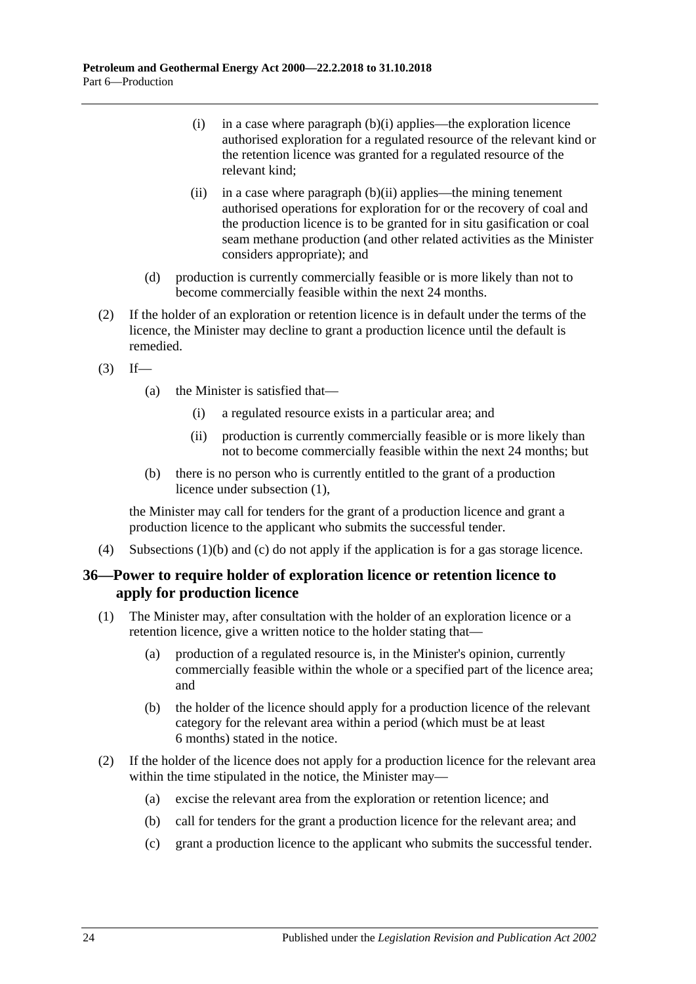- (i) in a case where [paragraph](#page-22-3) (b)(i) applies—the exploration licence authorised exploration for a regulated resource of the relevant kind or the retention licence was granted for a regulated resource of the relevant kind;
- (ii) in a case where [paragraph](#page-22-4)  $(b)(ii)$  applies—the mining tenement authorised operations for exploration for or the recovery of coal and the production licence is to be granted for in situ gasification or coal seam methane production (and other related activities as the Minister considers appropriate); and
- (d) production is currently commercially feasible or is more likely than not to become commercially feasible within the next 24 months.
- (2) If the holder of an exploration or retention licence is in default under the terms of the licence, the Minister may decline to grant a production licence until the default is remedied.
- $(3)$  If—
	- (a) the Minister is satisfied that—
		- (i) a regulated resource exists in a particular area; and
		- (ii) production is currently commercially feasible or is more likely than not to become commercially feasible within the next 24 months; but
	- (b) there is no person who is currently entitled to the grant of a production licence under [subsection](#page-22-5) (1),

the Minister may call for tenders for the grant of a production licence and grant a production licence to the applicant who submits the successful tender.

(4) [Subsections](#page-22-6) (1)(b) and [\(c\)](#page-22-7) do not apply if the application is for a gas storage licence.

## <span id="page-23-0"></span>**36—Power to require holder of exploration licence or retention licence to apply for production licence**

- (1) The Minister may, after consultation with the holder of an exploration licence or a retention licence, give a written notice to the holder stating that—
	- (a) production of a regulated resource is, in the Minister's opinion, currently commercially feasible within the whole or a specified part of the licence area; and
	- (b) the holder of the licence should apply for a production licence of the relevant category for the relevant area within a period (which must be at least 6 months) stated in the notice.
- (2) If the holder of the licence does not apply for a production licence for the relevant area within the time stipulated in the notice, the Minister may—
	- (a) excise the relevant area from the exploration or retention licence; and
	- (b) call for tenders for the grant a production licence for the relevant area; and
	- (c) grant a production licence to the applicant who submits the successful tender.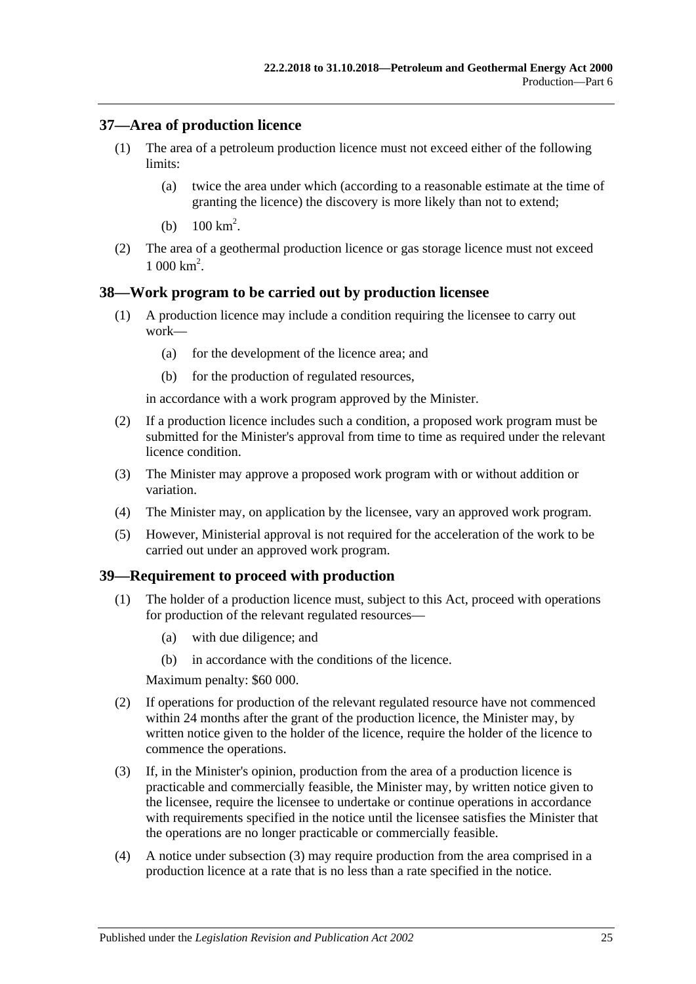## <span id="page-24-0"></span>**37—Area of production licence**

- (1) The area of a petroleum production licence must not exceed either of the following limits:
	- (a) twice the area under which (according to a reasonable estimate at the time of granting the licence) the discovery is more likely than not to extend;
	- (b)  $100 \text{ km}^2$ .
- (2) The area of a geothermal production licence or gas storage licence must not exceed  $1000 \text{ km}^2$ .

## <span id="page-24-1"></span>**38—Work program to be carried out by production licensee**

- (1) A production licence may include a condition requiring the licensee to carry out work—
	- (a) for the development of the licence area; and
	- (b) for the production of regulated resources,

in accordance with a work program approved by the Minister.

- (2) If a production licence includes such a condition, a proposed work program must be submitted for the Minister's approval from time to time as required under the relevant licence condition.
- (3) The Minister may approve a proposed work program with or without addition or variation.
- (4) The Minister may, on application by the licensee, vary an approved work program.
- (5) However, Ministerial approval is not required for the acceleration of the work to be carried out under an approved work program.

#### <span id="page-24-2"></span>**39—Requirement to proceed with production**

- (1) The holder of a production licence must, subject to this Act, proceed with operations for production of the relevant regulated resources—
	- (a) with due diligence; and
	- (b) in accordance with the conditions of the licence.

Maximum penalty: \$60 000.

- (2) If operations for production of the relevant regulated resource have not commenced within 24 months after the grant of the production licence, the Minister may, by written notice given to the holder of the licence, require the holder of the licence to commence the operations.
- <span id="page-24-3"></span>(3) If, in the Minister's opinion, production from the area of a production licence is practicable and commercially feasible, the Minister may, by written notice given to the licensee, require the licensee to undertake or continue operations in accordance with requirements specified in the notice until the licensee satisfies the Minister that the operations are no longer practicable or commercially feasible.
- (4) A notice under [subsection](#page-24-3) (3) may require production from the area comprised in a production licence at a rate that is no less than a rate specified in the notice.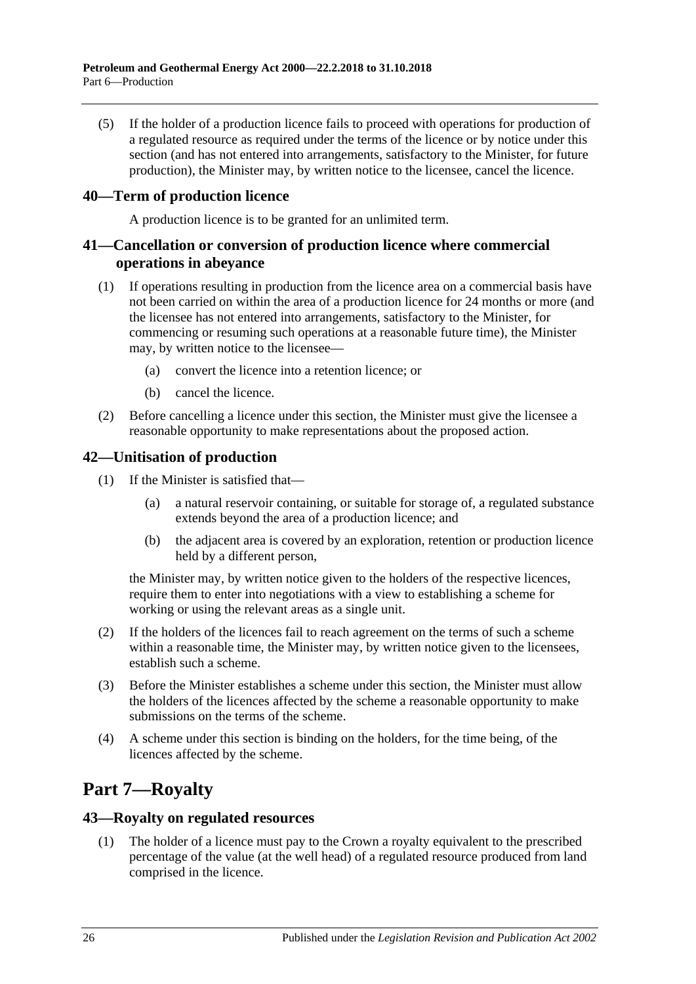(5) If the holder of a production licence fails to proceed with operations for production of a regulated resource as required under the terms of the licence or by notice under this section (and has not entered into arrangements, satisfactory to the Minister, for future production), the Minister may, by written notice to the licensee, cancel the licence.

## <span id="page-25-0"></span>**40—Term of production licence**

A production licence is to be granted for an unlimited term.

## <span id="page-25-1"></span>**41—Cancellation or conversion of production licence where commercial operations in abeyance**

- (1) If operations resulting in production from the licence area on a commercial basis have not been carried on within the area of a production licence for 24 months or more (and the licensee has not entered into arrangements, satisfactory to the Minister, for commencing or resuming such operations at a reasonable future time), the Minister may, by written notice to the licensee—
	- (a) convert the licence into a retention licence; or
	- (b) cancel the licence.
- (2) Before cancelling a licence under this section, the Minister must give the licensee a reasonable opportunity to make representations about the proposed action.

## <span id="page-25-2"></span>**42—Unitisation of production**

- (1) If the Minister is satisfied that—
	- (a) a natural reservoir containing, or suitable for storage of, a regulated substance extends beyond the area of a production licence; and
	- (b) the adjacent area is covered by an exploration, retention or production licence held by a different person,

the Minister may, by written notice given to the holders of the respective licences, require them to enter into negotiations with a view to establishing a scheme for working or using the relevant areas as a single unit.

- (2) If the holders of the licences fail to reach agreement on the terms of such a scheme within a reasonable time, the Minister may, by written notice given to the licensees, establish such a scheme.
- (3) Before the Minister establishes a scheme under this section, the Minister must allow the holders of the licences affected by the scheme a reasonable opportunity to make submissions on the terms of the scheme.
- (4) A scheme under this section is binding on the holders, for the time being, of the licences affected by the scheme.

# <span id="page-25-3"></span>**Part 7—Royalty**

#### <span id="page-25-4"></span>**43—Royalty on regulated resources**

(1) The holder of a licence must pay to the Crown a royalty equivalent to the prescribed percentage of the value (at the well head) of a regulated resource produced from land comprised in the licence.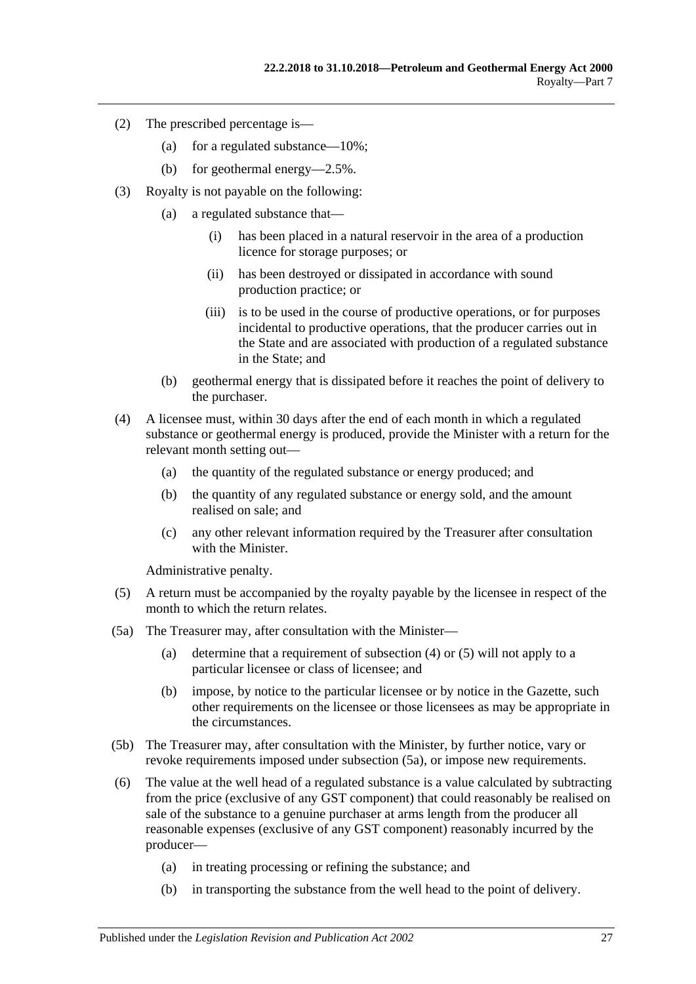- (2) The prescribed percentage is—
	- (a) for a regulated substance—10%;
	- (b) for geothermal energy—2.5%.
- (3) Royalty is not payable on the following:
	- (a) a regulated substance that—
		- (i) has been placed in a natural reservoir in the area of a production licence for storage purposes; or
		- (ii) has been destroyed or dissipated in accordance with sound production practice; or
		- (iii) is to be used in the course of productive operations, or for purposes incidental to productive operations, that the producer carries out in the State and are associated with production of a regulated substance in the State; and
	- (b) geothermal energy that is dissipated before it reaches the point of delivery to the purchaser.
- <span id="page-26-0"></span>(4) A licensee must, within 30 days after the end of each month in which a regulated substance or geothermal energy is produced, provide the Minister with a return for the relevant month setting out—
	- (a) the quantity of the regulated substance or energy produced; and
	- (b) the quantity of any regulated substance or energy sold, and the amount realised on sale; and
	- (c) any other relevant information required by the Treasurer after consultation with the Minister.

Administrative penalty.

- <span id="page-26-1"></span>(5) A return must be accompanied by the royalty payable by the licensee in respect of the month to which the return relates.
- <span id="page-26-2"></span>(5a) The Treasurer may, after consultation with the Minister—
	- (a) determine that a requirement of [subsection](#page-26-0) (4) or [\(5\)](#page-26-1) will not apply to a particular licensee or class of licensee; and
	- (b) impose, by notice to the particular licensee or by notice in the Gazette, such other requirements on the licensee or those licensees as may be appropriate in the circumstances.
- (5b) The Treasurer may, after consultation with the Minister, by further notice, vary or revoke requirements imposed under [subsection](#page-26-2) (5a), or impose new requirements.
- <span id="page-26-3"></span>(6) The value at the well head of a regulated substance is a value calculated by subtracting from the price (exclusive of any GST component) that could reasonably be realised on sale of the substance to a genuine purchaser at arms length from the producer all reasonable expenses (exclusive of any GST component) reasonably incurred by the producer—
	- (a) in treating processing or refining the substance; and
	- (b) in transporting the substance from the well head to the point of delivery.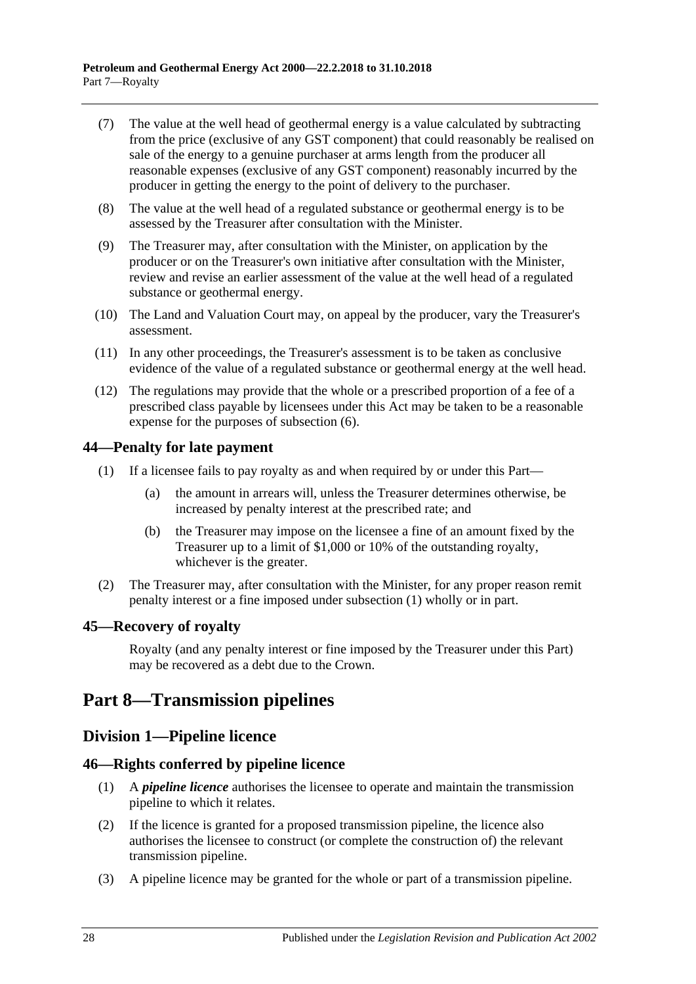- (7) The value at the well head of geothermal energy is a value calculated by subtracting from the price (exclusive of any GST component) that could reasonably be realised on sale of the energy to a genuine purchaser at arms length from the producer all reasonable expenses (exclusive of any GST component) reasonably incurred by the producer in getting the energy to the point of delivery to the purchaser.
- (8) The value at the well head of a regulated substance or geothermal energy is to be assessed by the Treasurer after consultation with the Minister.
- (9) The Treasurer may, after consultation with the Minister, on application by the producer or on the Treasurer's own initiative after consultation with the Minister, review and revise an earlier assessment of the value at the well head of a regulated substance or geothermal energy.
- (10) The Land and Valuation Court may, on appeal by the producer, vary the Treasurer's assessment.
- (11) In any other proceedings, the Treasurer's assessment is to be taken as conclusive evidence of the value of a regulated substance or geothermal energy at the well head.
- (12) The regulations may provide that the whole or a prescribed proportion of a fee of a prescribed class payable by licensees under this Act may be taken to be a reasonable expense for the purposes of [subsection](#page-26-3) (6).

## <span id="page-27-5"></span><span id="page-27-0"></span>**44—Penalty for late payment**

- (1) If a licensee fails to pay royalty as and when required by or under this Part—
	- (a) the amount in arrears will, unless the Treasurer determines otherwise, be increased by penalty interest at the prescribed rate; and
	- (b) the Treasurer may impose on the licensee a fine of an amount fixed by the Treasurer up to a limit of \$1,000 or 10% of the outstanding royalty, whichever is the greater.
- (2) The Treasurer may, after consultation with the Minister, for any proper reason remit penalty interest or a fine imposed under [subsection](#page-27-5) (1) wholly or in part.

## <span id="page-27-1"></span>**45—Recovery of royalty**

Royalty (and any penalty interest or fine imposed by the Treasurer under this Part) may be recovered as a debt due to the Crown.

# <span id="page-27-2"></span>**Part 8—Transmission pipelines**

## <span id="page-27-3"></span>**Division 1—Pipeline licence**

## <span id="page-27-4"></span>**46—Rights conferred by pipeline licence**

- (1) A *pipeline licence* authorises the licensee to operate and maintain the transmission pipeline to which it relates.
- (2) If the licence is granted for a proposed transmission pipeline, the licence also authorises the licensee to construct (or complete the construction of) the relevant transmission pipeline.
- (3) A pipeline licence may be granted for the whole or part of a transmission pipeline.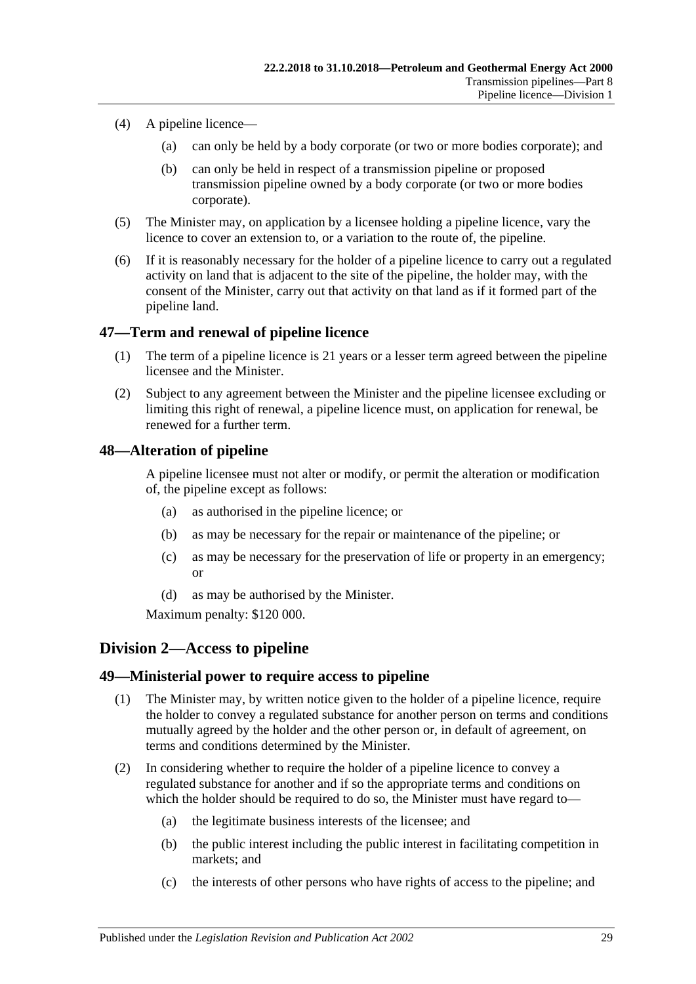- (4) A pipeline licence—
	- (a) can only be held by a body corporate (or two or more bodies corporate); and
	- (b) can only be held in respect of a transmission pipeline or proposed transmission pipeline owned by a body corporate (or two or more bodies corporate).
- (5) The Minister may, on application by a licensee holding a pipeline licence, vary the licence to cover an extension to, or a variation to the route of, the pipeline.
- (6) If it is reasonably necessary for the holder of a pipeline licence to carry out a regulated activity on land that is adjacent to the site of the pipeline, the holder may, with the consent of the Minister, carry out that activity on that land as if it formed part of the pipeline land.

## <span id="page-28-0"></span>**47—Term and renewal of pipeline licence**

- (1) The term of a pipeline licence is 21 years or a lesser term agreed between the pipeline licensee and the Minister.
- (2) Subject to any agreement between the Minister and the pipeline licensee excluding or limiting this right of renewal, a pipeline licence must, on application for renewal, be renewed for a further term.

## <span id="page-28-1"></span>**48—Alteration of pipeline**

A pipeline licensee must not alter or modify, or permit the alteration or modification of, the pipeline except as follows:

- (a) as authorised in the pipeline licence; or
- (b) as may be necessary for the repair or maintenance of the pipeline; or
- (c) as may be necessary for the preservation of life or property in an emergency; or
- (d) as may be authorised by the Minister.

Maximum penalty: \$120 000.

## <span id="page-28-2"></span>**Division 2—Access to pipeline**

## <span id="page-28-3"></span>**49—Ministerial power to require access to pipeline**

- (1) The Minister may, by written notice given to the holder of a pipeline licence, require the holder to convey a regulated substance for another person on terms and conditions mutually agreed by the holder and the other person or, in default of agreement, on terms and conditions determined by the Minister.
- (2) In considering whether to require the holder of a pipeline licence to convey a regulated substance for another and if so the appropriate terms and conditions on which the holder should be required to do so, the Minister must have regard to—
	- (a) the legitimate business interests of the licensee; and
	- (b) the public interest including the public interest in facilitating competition in markets; and
	- (c) the interests of other persons who have rights of access to the pipeline; and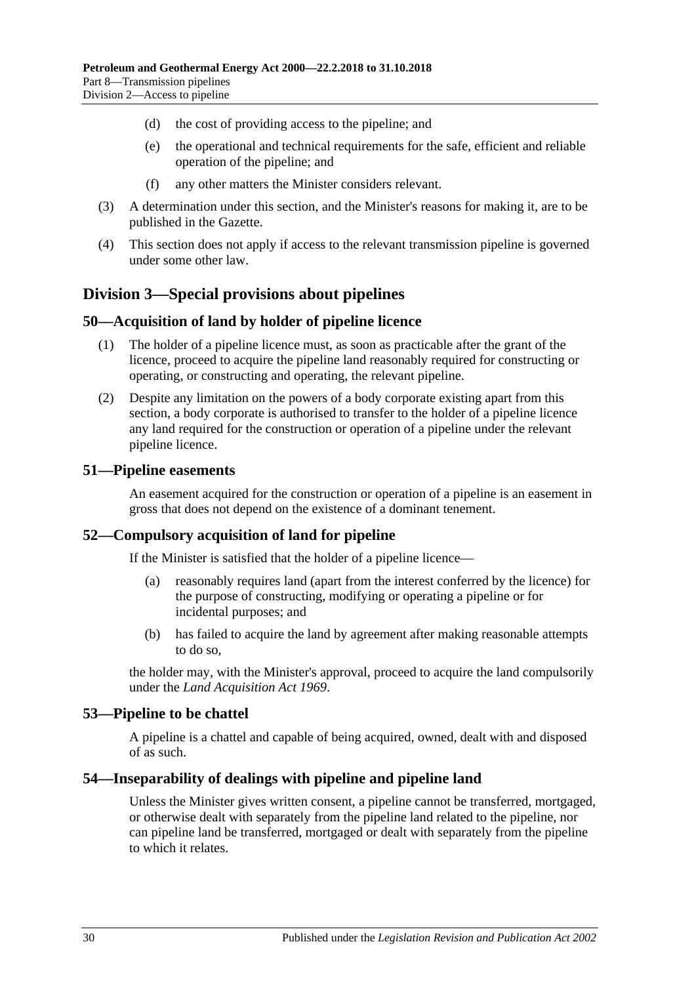- (d) the cost of providing access to the pipeline; and
- (e) the operational and technical requirements for the safe, efficient and reliable operation of the pipeline; and
- (f) any other matters the Minister considers relevant.
- (3) A determination under this section, and the Minister's reasons for making it, are to be published in the Gazette.
- (4) This section does not apply if access to the relevant transmission pipeline is governed under some other law.

# <span id="page-29-0"></span>**Division 3—Special provisions about pipelines**

#### <span id="page-29-1"></span>**50—Acquisition of land by holder of pipeline licence**

- (1) The holder of a pipeline licence must, as soon as practicable after the grant of the licence, proceed to acquire the pipeline land reasonably required for constructing or operating, or constructing and operating, the relevant pipeline.
- (2) Despite any limitation on the powers of a body corporate existing apart from this section, a body corporate is authorised to transfer to the holder of a pipeline licence any land required for the construction or operation of a pipeline under the relevant pipeline licence.

#### <span id="page-29-2"></span>**51—Pipeline easements**

An easement acquired for the construction or operation of a pipeline is an easement in gross that does not depend on the existence of a dominant tenement.

## <span id="page-29-3"></span>**52—Compulsory acquisition of land for pipeline**

If the Minister is satisfied that the holder of a pipeline licence—

- (a) reasonably requires land (apart from the interest conferred by the licence) for the purpose of constructing, modifying or operating a pipeline or for incidental purposes; and
- (b) has failed to acquire the land by agreement after making reasonable attempts to do so,

the holder may, with the Minister's approval, proceed to acquire the land compulsorily under the *[Land Acquisition Act](http://www.legislation.sa.gov.au/index.aspx?action=legref&type=act&legtitle=Land%20Acquisition%20Act%201969) 1969*.

#### <span id="page-29-4"></span>**53—Pipeline to be chattel**

A pipeline is a chattel and capable of being acquired, owned, dealt with and disposed of as such.

#### <span id="page-29-5"></span>**54—Inseparability of dealings with pipeline and pipeline land**

Unless the Minister gives written consent, a pipeline cannot be transferred, mortgaged, or otherwise dealt with separately from the pipeline land related to the pipeline, nor can pipeline land be transferred, mortgaged or dealt with separately from the pipeline to which it relates.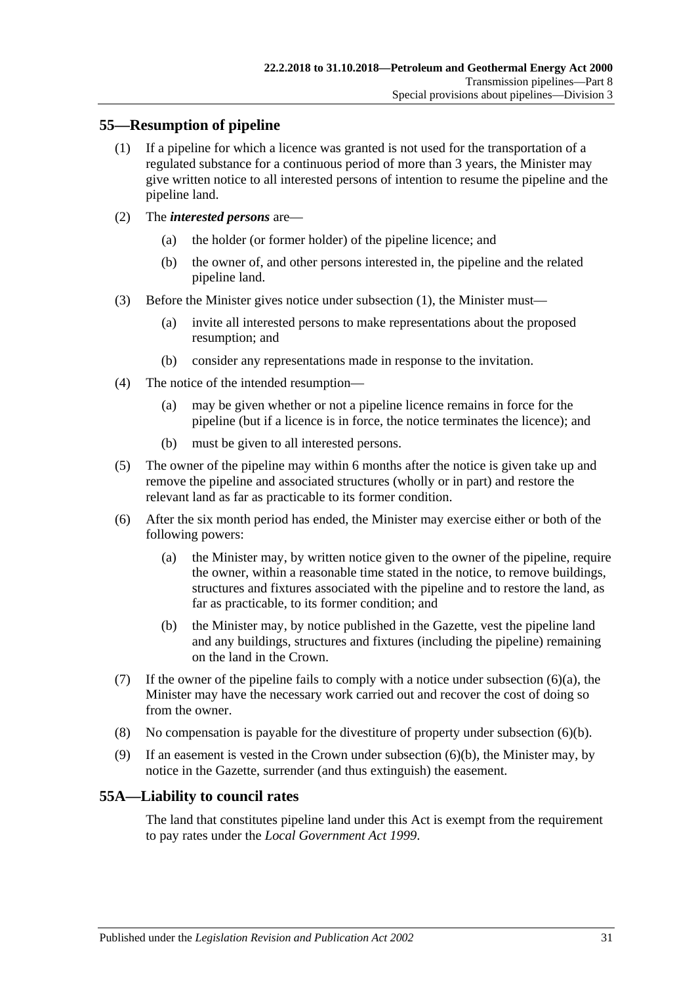## <span id="page-30-2"></span><span id="page-30-0"></span>**55—Resumption of pipeline**

- (1) If a pipeline for which a licence was granted is not used for the transportation of a regulated substance for a continuous period of more than 3 years, the Minister may give written notice to all interested persons of intention to resume the pipeline and the pipeline land.
- (2) The *interested persons* are—
	- (a) the holder (or former holder) of the pipeline licence; and
	- (b) the owner of, and other persons interested in, the pipeline and the related pipeline land.
- (3) Before the Minister gives notice under [subsection](#page-30-2) (1), the Minister must—
	- (a) invite all interested persons to make representations about the proposed resumption; and
	- (b) consider any representations made in response to the invitation.
- (4) The notice of the intended resumption—
	- (a) may be given whether or not a pipeline licence remains in force for the pipeline (but if a licence is in force, the notice terminates the licence); and
	- (b) must be given to all interested persons.
- (5) The owner of the pipeline may within 6 months after the notice is given take up and remove the pipeline and associated structures (wholly or in part) and restore the relevant land as far as practicable to its former condition.
- <span id="page-30-3"></span>(6) After the six month period has ended, the Minister may exercise either or both of the following powers:
	- (a) the Minister may, by written notice given to the owner of the pipeline, require the owner, within a reasonable time stated in the notice, to remove buildings, structures and fixtures associated with the pipeline and to restore the land, as far as practicable, to its former condition; and
	- (b) the Minister may, by notice published in the Gazette, vest the pipeline land and any buildings, structures and fixtures (including the pipeline) remaining on the land in the Crown.
- <span id="page-30-4"></span>(7) If the owner of the pipeline fails to comply with a notice under [subsection](#page-30-3)  $(6)(a)$ , the Minister may have the necessary work carried out and recover the cost of doing so from the owner.
- (8) No compensation is payable for the divestiture of property under [subsection](#page-30-4) (6)(b).
- (9) If an easement is vested in the Crown under [subsection](#page-30-4) (6)(b), the Minister may, by notice in the Gazette, surrender (and thus extinguish) the easement.

## <span id="page-30-1"></span>**55A—Liability to council rates**

The land that constitutes pipeline land under this Act is exempt from the requirement to pay rates under the *[Local Government Act](http://www.legislation.sa.gov.au/index.aspx?action=legref&type=act&legtitle=Local%20Government%20Act%201999) 1999*.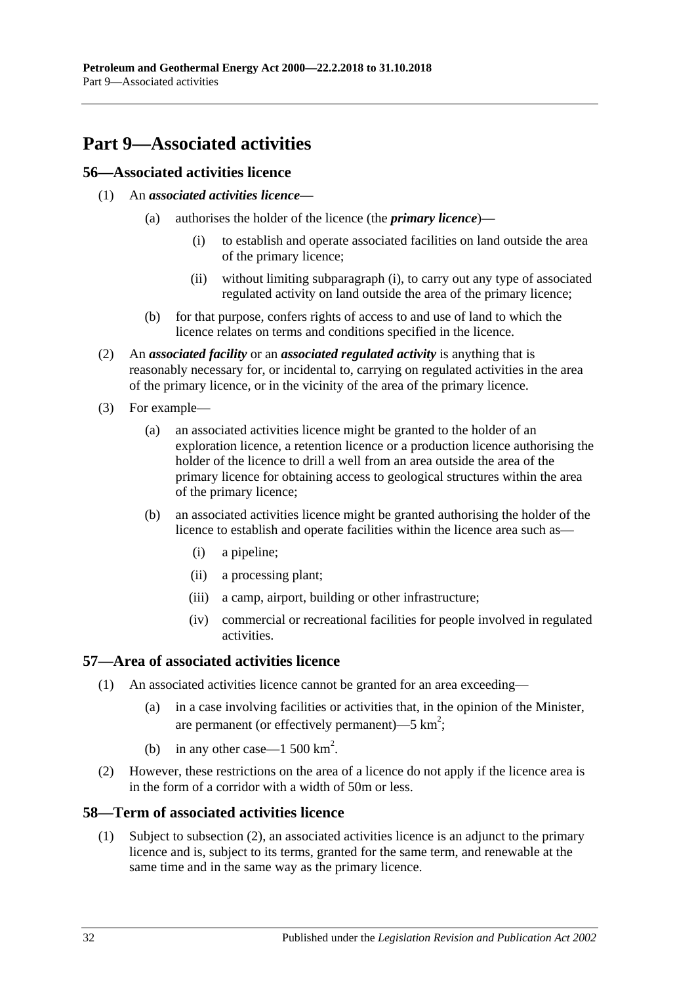# <span id="page-31-0"></span>**Part 9—Associated activities**

## <span id="page-31-1"></span>**56—Associated activities licence**

- <span id="page-31-5"></span>(1) An *associated activities licence*—
	- (a) authorises the holder of the licence (the *primary licence*)—
		- (i) to establish and operate associated facilities on land outside the area of the primary licence;
		- (ii) without limiting [subparagraph](#page-31-5) (i), to carry out any type of associated regulated activity on land outside the area of the primary licence;
	- (b) for that purpose, confers rights of access to and use of land to which the licence relates on terms and conditions specified in the licence.
- <span id="page-31-4"></span>(2) An *associated facility* or an *associated regulated activity* is anything that is reasonably necessary for, or incidental to, carrying on regulated activities in the area of the primary licence, or in the vicinity of the area of the primary licence.
- (3) For example—
	- (a) an associated activities licence might be granted to the holder of an exploration licence, a retention licence or a production licence authorising the holder of the licence to drill a well from an area outside the area of the primary licence for obtaining access to geological structures within the area of the primary licence;
	- (b) an associated activities licence might be granted authorising the holder of the licence to establish and operate facilities within the licence area such as—
		- (i) a pipeline;
		- (ii) a processing plant;
		- (iii) a camp, airport, building or other infrastructure;
		- (iv) commercial or recreational facilities for people involved in regulated activities.

## <span id="page-31-2"></span>**57—Area of associated activities licence**

- (1) An associated activities licence cannot be granted for an area exceeding—
	- (a) in a case involving facilities or activities that, in the opinion of the Minister, are permanent (or effectively permanent)—5  $km^2$ ;
	- (b) in any other case—1 500  $\text{km}^2$ .
- (2) However, these restrictions on the area of a licence do not apply if the licence area is in the form of a corridor with a width of 50m or less.

## <span id="page-31-3"></span>**58—Term of associated activities licence**

(1) Subject to [subsection](#page-32-1) (2), an associated activities licence is an adjunct to the primary licence and is, subject to its terms, granted for the same term, and renewable at the same time and in the same way as the primary licence.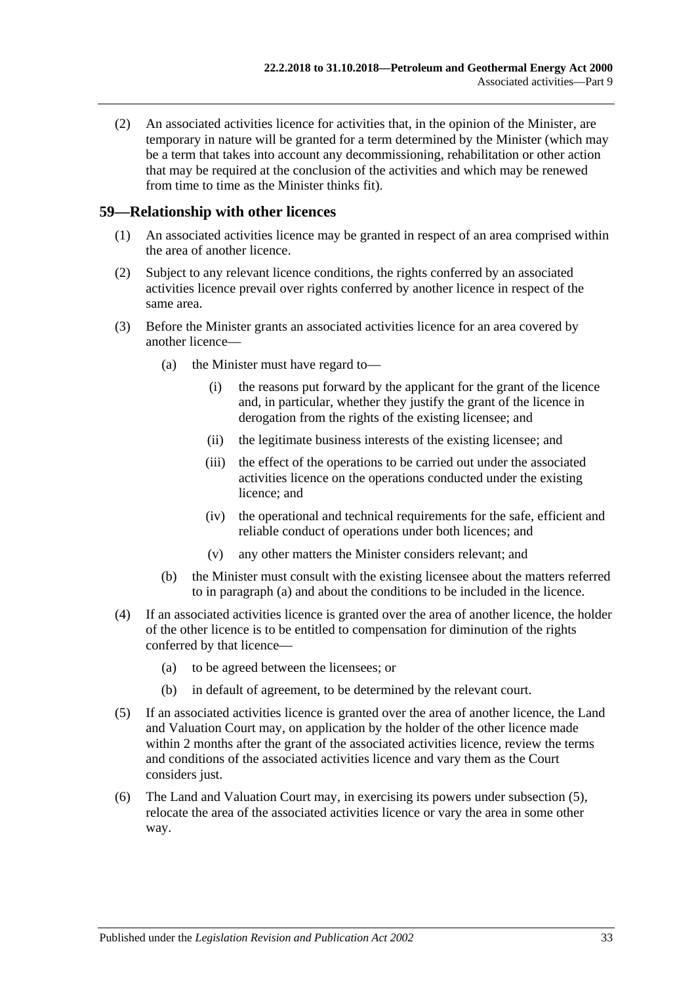<span id="page-32-1"></span>(2) An associated activities licence for activities that, in the opinion of the Minister, are temporary in nature will be granted for a term determined by the Minister (which may be a term that takes into account any decommissioning, rehabilitation or other action that may be required at the conclusion of the activities and which may be renewed from time to time as the Minister thinks fit).

#### <span id="page-32-0"></span>**59—Relationship with other licences**

- (1) An associated activities licence may be granted in respect of an area comprised within the area of another licence.
- (2) Subject to any relevant licence conditions, the rights conferred by an associated activities licence prevail over rights conferred by another licence in respect of the same area.
- <span id="page-32-2"></span>(3) Before the Minister grants an associated activities licence for an area covered by another licence—
	- (a) the Minister must have regard to—
		- (i) the reasons put forward by the applicant for the grant of the licence and, in particular, whether they justify the grant of the licence in derogation from the rights of the existing licensee; and
		- (ii) the legitimate business interests of the existing licensee; and
		- (iii) the effect of the operations to be carried out under the associated activities licence on the operations conducted under the existing licence; and
		- (iv) the operational and technical requirements for the safe, efficient and reliable conduct of operations under both licences; and
		- (v) any other matters the Minister considers relevant; and
	- (b) the Minister must consult with the existing licensee about the matters referred to in [paragraph](#page-32-2) (a) and about the conditions to be included in the licence.
- (4) If an associated activities licence is granted over the area of another licence, the holder of the other licence is to be entitled to compensation for diminution of the rights conferred by that licence—
	- (a) to be agreed between the licensees; or
	- (b) in default of agreement, to be determined by the relevant court.
- <span id="page-32-3"></span>(5) If an associated activities licence is granted over the area of another licence, the Land and Valuation Court may, on application by the holder of the other licence made within 2 months after the grant of the associated activities licence, review the terms and conditions of the associated activities licence and vary them as the Court considers just.
- (6) The Land and Valuation Court may, in exercising its powers under [subsection](#page-32-3) (5), relocate the area of the associated activities licence or vary the area in some other way.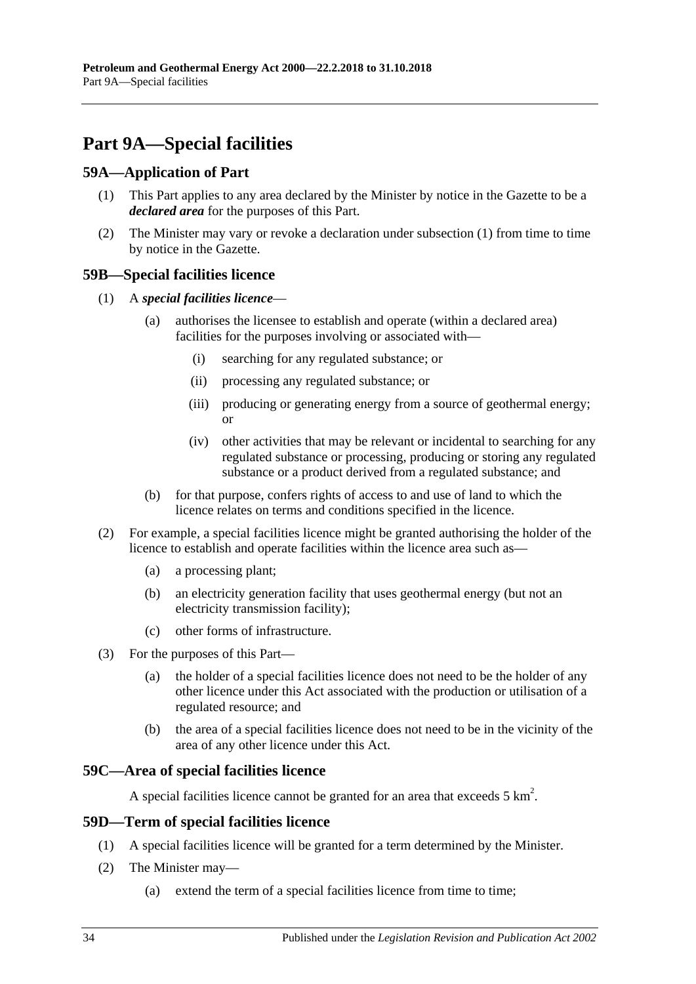# <span id="page-33-0"></span>**Part 9A—Special facilities**

## <span id="page-33-5"></span><span id="page-33-1"></span>**59A—Application of Part**

- (1) This Part applies to any area declared by the Minister by notice in the Gazette to be a *declared area* for the purposes of this Part.
- (2) The Minister may vary or revoke a declaration under [subsection](#page-33-5) (1) from time to time by notice in the Gazette.

## <span id="page-33-2"></span>**59B—Special facilities licence**

- (1) A *special facilities licence*
	- (a) authorises the licensee to establish and operate (within a declared area) facilities for the purposes involving or associated with—
		- (i) searching for any regulated substance; or
		- (ii) processing any regulated substance; or
		- (iii) producing or generating energy from a source of geothermal energy; or
		- (iv) other activities that may be relevant or incidental to searching for any regulated substance or processing, producing or storing any regulated substance or a product derived from a regulated substance; and
	- (b) for that purpose, confers rights of access to and use of land to which the licence relates on terms and conditions specified in the licence.
- (2) For example, a special facilities licence might be granted authorising the holder of the licence to establish and operate facilities within the licence area such as—
	- (a) a processing plant;
	- (b) an electricity generation facility that uses geothermal energy (but not an electricity transmission facility);
	- (c) other forms of infrastructure.
- (3) For the purposes of this Part—
	- (a) the holder of a special facilities licence does not need to be the holder of any other licence under this Act associated with the production or utilisation of a regulated resource; and
	- (b) the area of a special facilities licence does not need to be in the vicinity of the area of any other licence under this Act.

## <span id="page-33-3"></span>**59C—Area of special facilities licence**

A special facilities licence cannot be granted for an area that exceeds  $5 \text{ km}^2$ .

## <span id="page-33-4"></span>**59D—Term of special facilities licence**

- (1) A special facilities licence will be granted for a term determined by the Minister.
- (2) The Minister may—
	- (a) extend the term of a special facilities licence from time to time;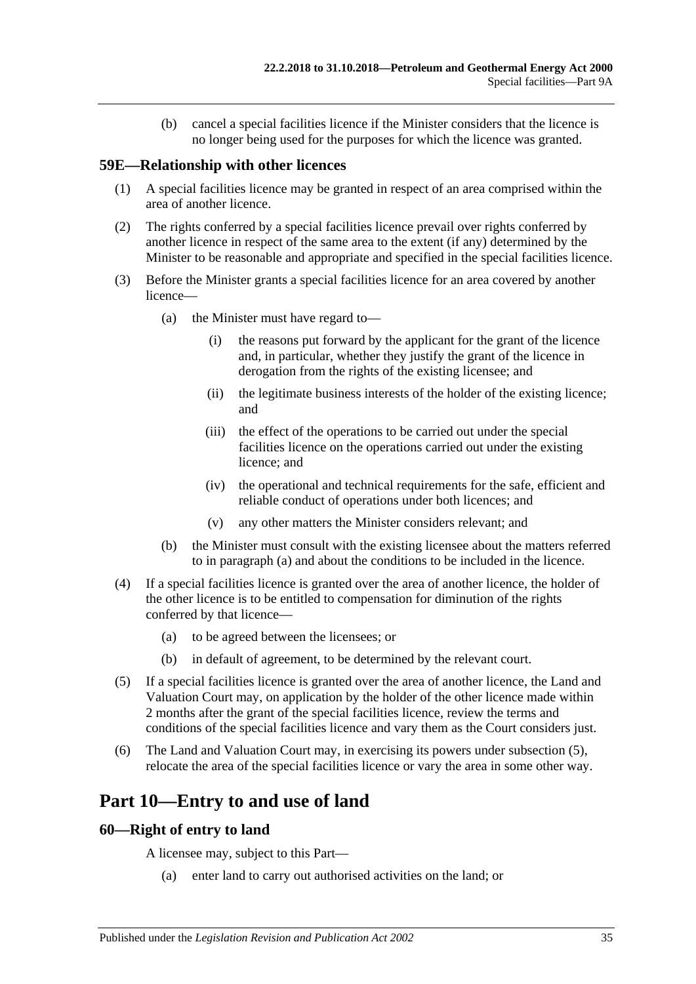(b) cancel a special facilities licence if the Minister considers that the licence is no longer being used for the purposes for which the licence was granted.

## <span id="page-34-0"></span>**59E—Relationship with other licences**

- (1) A special facilities licence may be granted in respect of an area comprised within the area of another licence.
- (2) The rights conferred by a special facilities licence prevail over rights conferred by another licence in respect of the same area to the extent (if any) determined by the Minister to be reasonable and appropriate and specified in the special facilities licence.
- <span id="page-34-3"></span>(3) Before the Minister grants a special facilities licence for an area covered by another licence—
	- (a) the Minister must have regard to—
		- (i) the reasons put forward by the applicant for the grant of the licence and, in particular, whether they justify the grant of the licence in derogation from the rights of the existing licensee; and
		- (ii) the legitimate business interests of the holder of the existing licence; and
		- (iii) the effect of the operations to be carried out under the special facilities licence on the operations carried out under the existing licence; and
		- (iv) the operational and technical requirements for the safe, efficient and reliable conduct of operations under both licences; and
		- (v) any other matters the Minister considers relevant; and
	- (b) the Minister must consult with the existing licensee about the matters referred to in [paragraph](#page-34-3) (a) and about the conditions to be included in the licence.
- (4) If a special facilities licence is granted over the area of another licence, the holder of the other licence is to be entitled to compensation for diminution of the rights conferred by that licence-
	- (a) to be agreed between the licensees; or
	- (b) in default of agreement, to be determined by the relevant court.
- <span id="page-34-4"></span>(5) If a special facilities licence is granted over the area of another licence, the Land and Valuation Court may, on application by the holder of the other licence made within 2 months after the grant of the special facilities licence, review the terms and conditions of the special facilities licence and vary them as the Court considers just.
- (6) The Land and Valuation Court may, in exercising its powers under [subsection](#page-34-4) (5), relocate the area of the special facilities licence or vary the area in some other way.

# <span id="page-34-1"></span>**Part 10—Entry to and use of land**

#### <span id="page-34-2"></span>**60—Right of entry to land**

A licensee may, subject to this Part—

(a) enter land to carry out authorised activities on the land; or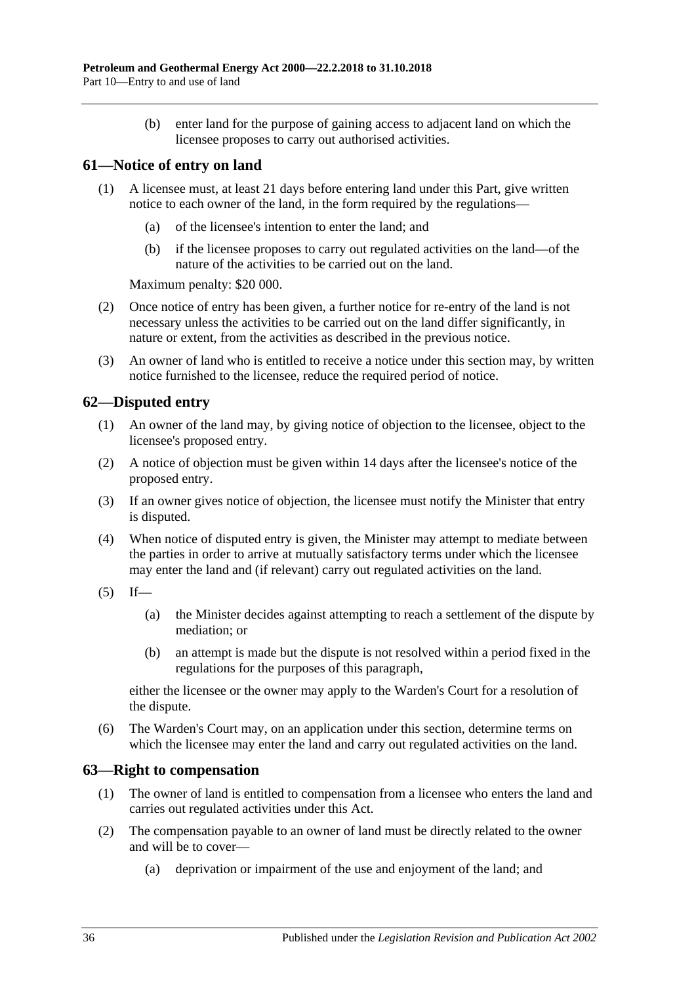(b) enter land for the purpose of gaining access to adjacent land on which the licensee proposes to carry out authorised activities.

## <span id="page-35-0"></span>**61—Notice of entry on land**

- (1) A licensee must, at least 21 days before entering land under this Part, give written notice to each owner of the land, in the form required by the regulations—
	- (a) of the licensee's intention to enter the land; and
	- (b) if the licensee proposes to carry out regulated activities on the land—of the nature of the activities to be carried out on the land.

Maximum penalty: \$20 000.

- (2) Once notice of entry has been given, a further notice for re-entry of the land is not necessary unless the activities to be carried out on the land differ significantly, in nature or extent, from the activities as described in the previous notice.
- (3) An owner of land who is entitled to receive a notice under this section may, by written notice furnished to the licensee, reduce the required period of notice.

## <span id="page-35-1"></span>**62—Disputed entry**

- (1) An owner of the land may, by giving notice of objection to the licensee, object to the licensee's proposed entry.
- (2) A notice of objection must be given within 14 days after the licensee's notice of the proposed entry.
- (3) If an owner gives notice of objection, the licensee must notify the Minister that entry is disputed.
- (4) When notice of disputed entry is given, the Minister may attempt to mediate between the parties in order to arrive at mutually satisfactory terms under which the licensee may enter the land and (if relevant) carry out regulated activities on the land.
- $(5)$  If—
	- (a) the Minister decides against attempting to reach a settlement of the dispute by mediation; or
	- (b) an attempt is made but the dispute is not resolved within a period fixed in the regulations for the purposes of this paragraph,

either the licensee or the owner may apply to the Warden's Court for a resolution of the dispute.

(6) The Warden's Court may, on an application under this section, determine terms on which the licensee may enter the land and carry out regulated activities on the land.

## <span id="page-35-2"></span>**63—Right to compensation**

- (1) The owner of land is entitled to compensation from a licensee who enters the land and carries out regulated activities under this Act.
- (2) The compensation payable to an owner of land must be directly related to the owner and will be to cover—
	- (a) deprivation or impairment of the use and enjoyment of the land; and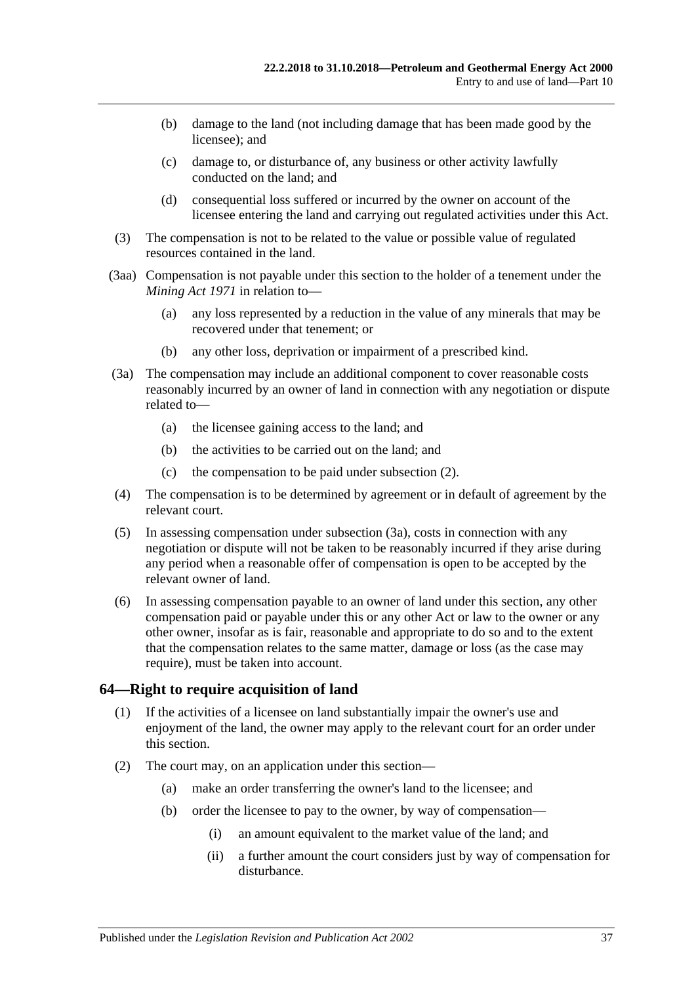- (b) damage to the land (not including damage that has been made good by the licensee); and
- (c) damage to, or disturbance of, any business or other activity lawfully conducted on the land; and
- (d) consequential loss suffered or incurred by the owner on account of the licensee entering the land and carrying out regulated activities under this Act.
- (3) The compensation is not to be related to the value or possible value of regulated resources contained in the land.
- (3aa) Compensation is not payable under this section to the holder of a tenement under the *[Mining Act](http://www.legislation.sa.gov.au/index.aspx?action=legref&type=act&legtitle=Mining%20Act%201971) 1971* in relation to—
	- (a) any loss represented by a reduction in the value of any minerals that may be recovered under that tenement; or
	- (b) any other loss, deprivation or impairment of a prescribed kind.
- <span id="page-36-0"></span>(3a) The compensation may include an additional component to cover reasonable costs reasonably incurred by an owner of land in connection with any negotiation or dispute related to—
	- (a) the licensee gaining access to the land; and
	- (b) the activities to be carried out on the land; and
	- (c) the compensation to be paid under [subsection](#page-35-0) (2).
- (4) The compensation is to be determined by agreement or in default of agreement by the relevant court.
- (5) In assessing compensation under [subsection](#page-36-0) (3a), costs in connection with any negotiation or dispute will not be taken to be reasonably incurred if they arise during any period when a reasonable offer of compensation is open to be accepted by the relevant owner of land.
- (6) In assessing compensation payable to an owner of land under this section, any other compensation paid or payable under this or any other Act or law to the owner or any other owner, insofar as is fair, reasonable and appropriate to do so and to the extent that the compensation relates to the same matter, damage or loss (as the case may require), must be taken into account.

#### **64—Right to require acquisition of land**

- (1) If the activities of a licensee on land substantially impair the owner's use and enjoyment of the land, the owner may apply to the relevant court for an order under this section.
- (2) The court may, on an application under this section—
	- (a) make an order transferring the owner's land to the licensee; and
	- (b) order the licensee to pay to the owner, by way of compensation—
		- (i) an amount equivalent to the market value of the land; and
		- (ii) a further amount the court considers just by way of compensation for disturbance.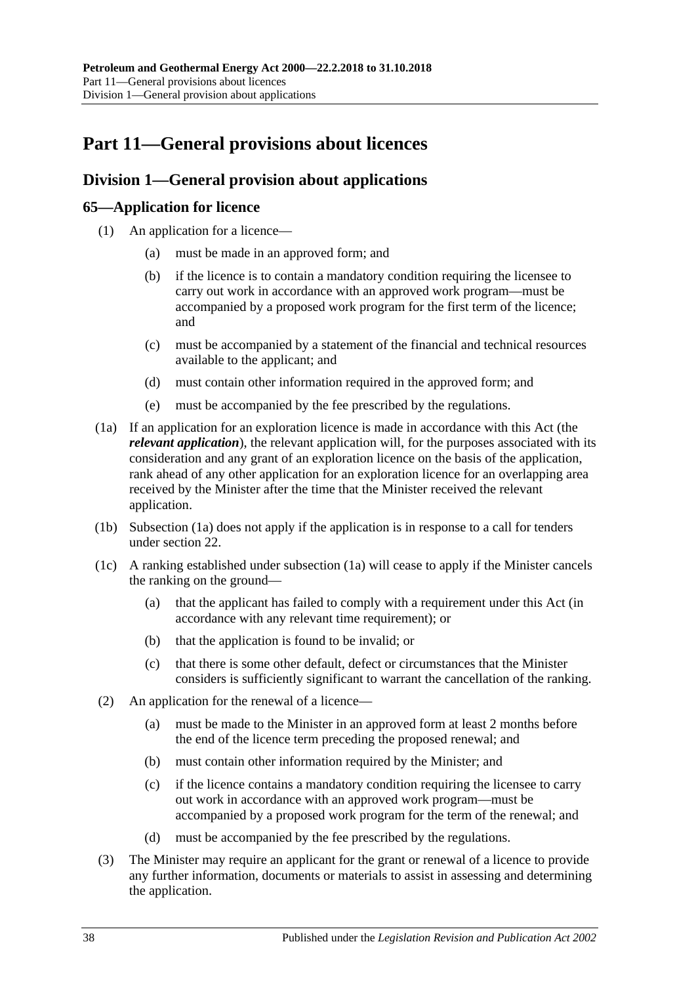# **Part 11—General provisions about licences**

## **Division 1—General provision about applications**

### **65—Application for licence**

- (1) An application for a licence—
	- (a) must be made in an approved form; and
	- (b) if the licence is to contain a mandatory condition requiring the licensee to carry out work in accordance with an approved work program—must be accompanied by a proposed work program for the first term of the licence; and
	- (c) must be accompanied by a statement of the financial and technical resources available to the applicant; and
	- (d) must contain other information required in the approved form; and
	- (e) must be accompanied by the fee prescribed by the regulations.
- <span id="page-37-0"></span>(1a) If an application for an exploration licence is made in accordance with this Act (the *relevant application*), the relevant application will, for the purposes associated with its consideration and any grant of an exploration licence on the basis of the application, rank ahead of any other application for an exploration licence for an overlapping area received by the Minister after the time that the Minister received the relevant application.
- (1b) [Subsection](#page-37-0) (1a) does not apply if the application is in response to a call for tenders under [section](#page-17-0) 22.
- (1c) A ranking established under [subsection](#page-37-0) (1a) will cease to apply if the Minister cancels the ranking on the ground—
	- (a) that the applicant has failed to comply with a requirement under this Act (in accordance with any relevant time requirement); or
	- (b) that the application is found to be invalid; or
	- (c) that there is some other default, defect or circumstances that the Minister considers is sufficiently significant to warrant the cancellation of the ranking.
- (2) An application for the renewal of a licence—
	- (a) must be made to the Minister in an approved form at least 2 months before the end of the licence term preceding the proposed renewal; and
	- (b) must contain other information required by the Minister; and
	- (c) if the licence contains a mandatory condition requiring the licensee to carry out work in accordance with an approved work program—must be accompanied by a proposed work program for the term of the renewal; and
	- (d) must be accompanied by the fee prescribed by the regulations.
- <span id="page-37-1"></span>(3) The Minister may require an applicant for the grant or renewal of a licence to provide any further information, documents or materials to assist in assessing and determining the application.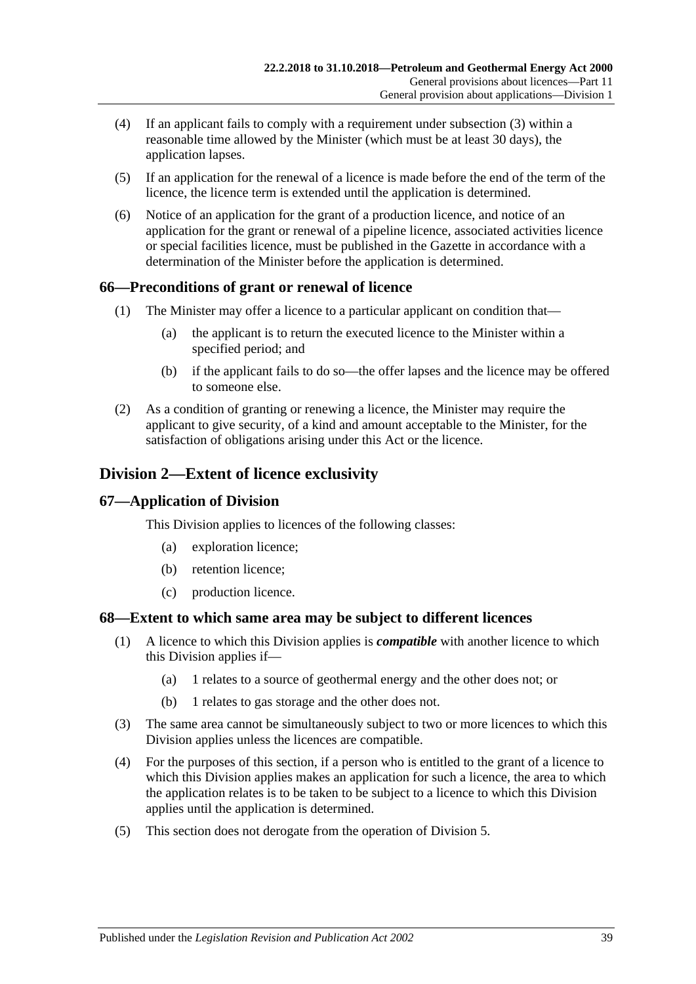- (4) If an applicant fails to comply with a requirement under [subsection](#page-37-1) (3) within a reasonable time allowed by the Minister (which must be at least 30 days), the application lapses.
- (5) If an application for the renewal of a licence is made before the end of the term of the licence, the licence term is extended until the application is determined.
- (6) Notice of an application for the grant of a production licence, and notice of an application for the grant or renewal of a pipeline licence, associated activities licence or special facilities licence, must be published in the Gazette in accordance with a determination of the Minister before the application is determined.

#### **66—Preconditions of grant or renewal of licence**

- (1) The Minister may offer a licence to a particular applicant on condition that—
	- (a) the applicant is to return the executed licence to the Minister within a specified period; and
	- (b) if the applicant fails to do so—the offer lapses and the licence may be offered to someone else.
- (2) As a condition of granting or renewing a licence, the Minister may require the applicant to give security, of a kind and amount acceptable to the Minister, for the satisfaction of obligations arising under this Act or the licence.

## **Division 2—Extent of licence exclusivity**

#### **67—Application of Division**

This Division applies to licences of the following classes:

- (a) exploration licence;
- (b) retention licence;
- (c) production licence.

#### **68—Extent to which same area may be subject to different licences**

- (1) A licence to which this Division applies is *compatible* with another licence to which this Division applies if—
	- (a) 1 relates to a source of geothermal energy and the other does not; or
	- (b) 1 relates to gas storage and the other does not.
- (3) The same area cannot be simultaneously subject to two or more licences to which this Division applies unless the licences are compatible.
- (4) For the purposes of this section, if a person who is entitled to the grant of a licence to which this Division applies makes an application for such a licence, the area to which the application relates is to be taken to be subject to a licence to which this Division applies until the application is determined.
- (5) This section does not derogate from the operation of [Division 5.](#page-41-0)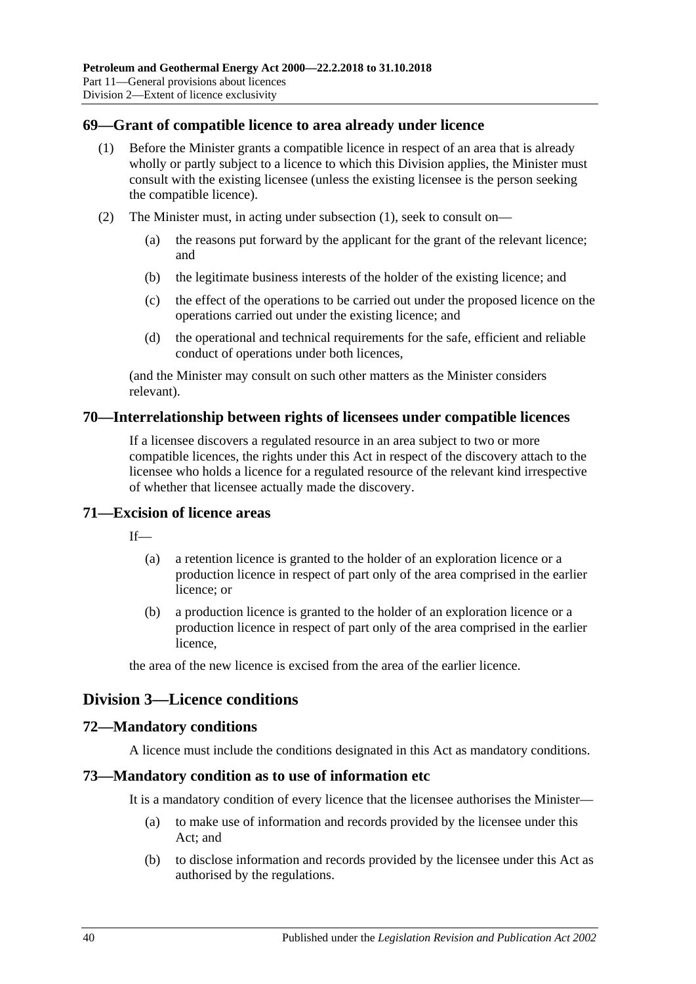#### <span id="page-39-0"></span>**69—Grant of compatible licence to area already under licence**

- (1) Before the Minister grants a compatible licence in respect of an area that is already wholly or partly subject to a licence to which this Division applies, the Minister must consult with the existing licensee (unless the existing licensee is the person seeking the compatible licence).
- (2) The Minister must, in acting under [subsection](#page-39-0) (1), seek to consult on—
	- (a) the reasons put forward by the applicant for the grant of the relevant licence; and
	- (b) the legitimate business interests of the holder of the existing licence; and
	- (c) the effect of the operations to be carried out under the proposed licence on the operations carried out under the existing licence; and
	- (d) the operational and technical requirements for the safe, efficient and reliable conduct of operations under both licences,

(and the Minister may consult on such other matters as the Minister considers relevant).

#### **70—Interrelationship between rights of licensees under compatible licences**

If a licensee discovers a regulated resource in an area subject to two or more compatible licences, the rights under this Act in respect of the discovery attach to the licensee who holds a licence for a regulated resource of the relevant kind irrespective of whether that licensee actually made the discovery.

#### **71—Excision of licence areas**

 $If$ <sub>—</sub>

- (a) a retention licence is granted to the holder of an exploration licence or a production licence in respect of part only of the area comprised in the earlier licence; or
- (b) a production licence is granted to the holder of an exploration licence or a production licence in respect of part only of the area comprised in the earlier licence,

the area of the new licence is excised from the area of the earlier licence.

#### **Division 3—Licence conditions**

#### **72—Mandatory conditions**

A licence must include the conditions designated in this Act as mandatory conditions.

#### **73—Mandatory condition as to use of information etc**

It is a mandatory condition of every licence that the licensee authorises the Minister—

- (a) to make use of information and records provided by the licensee under this Act; and
- (b) to disclose information and records provided by the licensee under this Act as authorised by the regulations.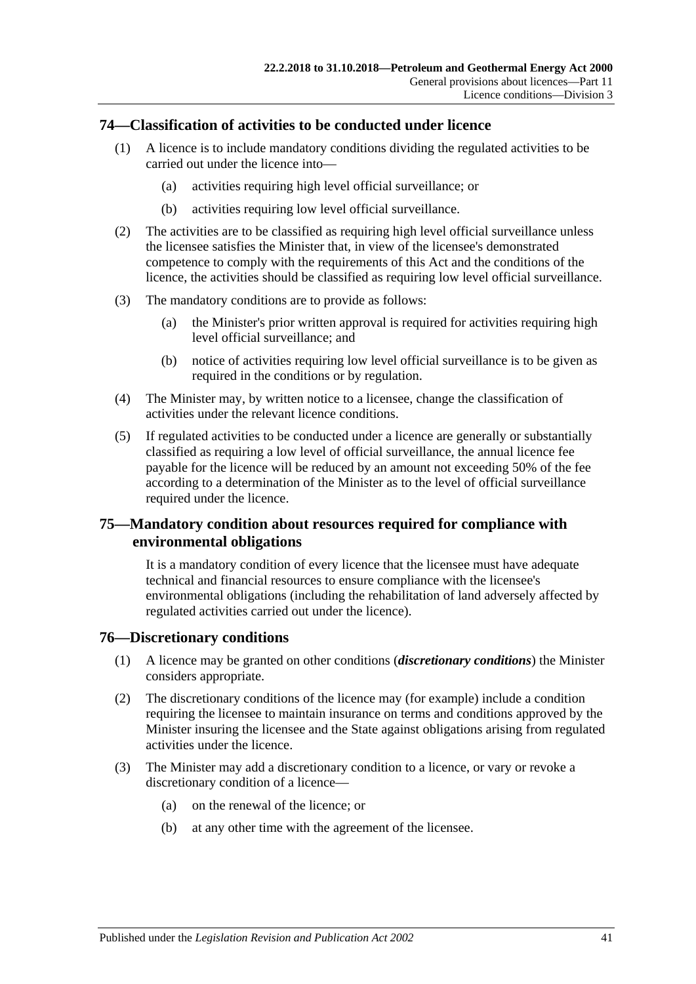#### <span id="page-40-0"></span>**74—Classification of activities to be conducted under licence**

- (1) A licence is to include mandatory conditions dividing the regulated activities to be carried out under the licence into—
	- (a) activities requiring high level official surveillance; or
	- (b) activities requiring low level official surveillance.
- (2) The activities are to be classified as requiring high level official surveillance unless the licensee satisfies the Minister that, in view of the licensee's demonstrated competence to comply with the requirements of this Act and the conditions of the licence, the activities should be classified as requiring low level official surveillance.
- (3) The mandatory conditions are to provide as follows:
	- (a) the Minister's prior written approval is required for activities requiring high level official surveillance; and
	- (b) notice of activities requiring low level official surveillance is to be given as required in the conditions or by regulation.
- <span id="page-40-1"></span>(4) The Minister may, by written notice to a licensee, change the classification of activities under the relevant licence conditions.
- (5) If regulated activities to be conducted under a licence are generally or substantially classified as requiring a low level of official surveillance, the annual licence fee payable for the licence will be reduced by an amount not exceeding 50% of the fee according to a determination of the Minister as to the level of official surveillance required under the licence.

### **75—Mandatory condition about resources required for compliance with environmental obligations**

It is a mandatory condition of every licence that the licensee must have adequate technical and financial resources to ensure compliance with the licensee's environmental obligations (including the rehabilitation of land adversely affected by regulated activities carried out under the licence).

#### **76—Discretionary conditions**

- (1) A licence may be granted on other conditions (*discretionary conditions*) the Minister considers appropriate.
- (2) The discretionary conditions of the licence may (for example) include a condition requiring the licensee to maintain insurance on terms and conditions approved by the Minister insuring the licensee and the State against obligations arising from regulated activities under the licence.
- (3) The Minister may add a discretionary condition to a licence, or vary or revoke a discretionary condition of a licence—
	- (a) on the renewal of the licence; or
	- (b) at any other time with the agreement of the licensee.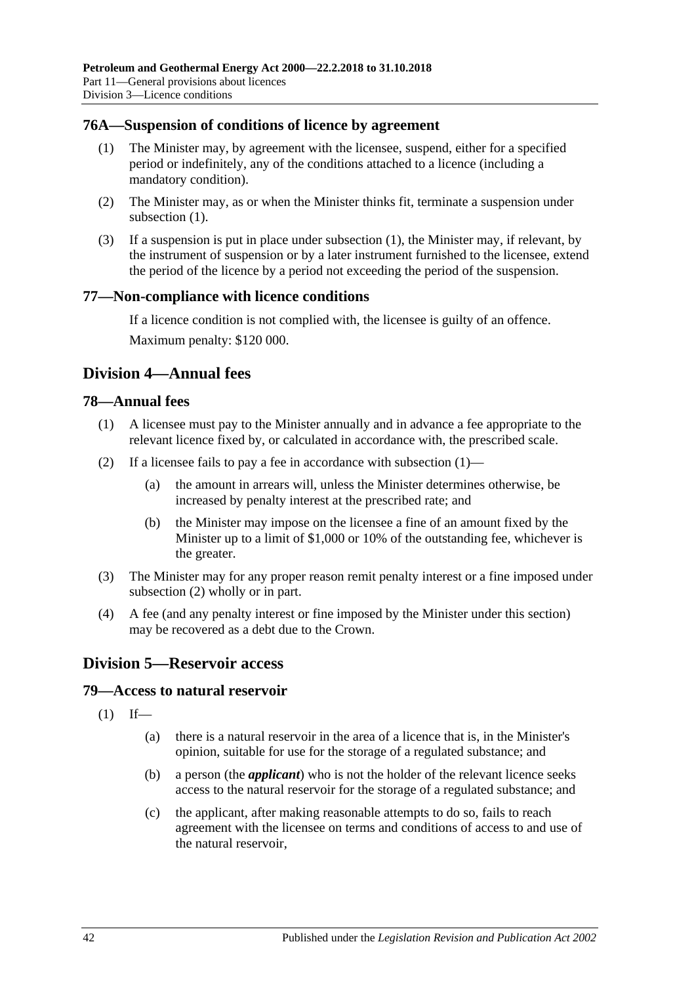#### <span id="page-41-1"></span>**76A—Suspension of conditions of licence by agreement**

- (1) The Minister may, by agreement with the licensee, suspend, either for a specified period or indefinitely, any of the conditions attached to a licence (including a mandatory condition).
- (2) The Minister may, as or when the Minister thinks fit, terminate a suspension under [subsection](#page-41-1)  $(1)$ .
- (3) If a suspension is put in place under [subsection](#page-41-1) (1), the Minister may, if relevant, by the instrument of suspension or by a later instrument furnished to the licensee, extend the period of the licence by a period not exceeding the period of the suspension.

#### **77—Non-compliance with licence conditions**

If a licence condition is not complied with, the licensee is guilty of an offence. Maximum penalty: \$120 000.

### **Division 4—Annual fees**

#### <span id="page-41-2"></span>**78—Annual fees**

- (1) A licensee must pay to the Minister annually and in advance a fee appropriate to the relevant licence fixed by, or calculated in accordance with, the prescribed scale.
- <span id="page-41-3"></span>(2) If a licensee fails to pay a fee in accordance with [subsection](#page-41-2)  $(1)$ —
	- (a) the amount in arrears will, unless the Minister determines otherwise, be increased by penalty interest at the prescribed rate; and
	- (b) the Minister may impose on the licensee a fine of an amount fixed by the Minister up to a limit of \$1,000 or 10% of the outstanding fee, whichever is the greater.
- (3) The Minister may for any proper reason remit penalty interest or a fine imposed under [subsection](#page-41-3) (2) wholly or in part.
- (4) A fee (and any penalty interest or fine imposed by the Minister under this section) may be recovered as a debt due to the Crown.

## <span id="page-41-0"></span>**Division 5—Reservoir access**

#### **79—Access to natural reservoir**

- $(1)$  If—
	- (a) there is a natural reservoir in the area of a licence that is, in the Minister's opinion, suitable for use for the storage of a regulated substance; and
	- (b) a person (the *applicant*) who is not the holder of the relevant licence seeks access to the natural reservoir for the storage of a regulated substance; and
	- (c) the applicant, after making reasonable attempts to do so, fails to reach agreement with the licensee on terms and conditions of access to and use of the natural reservoir,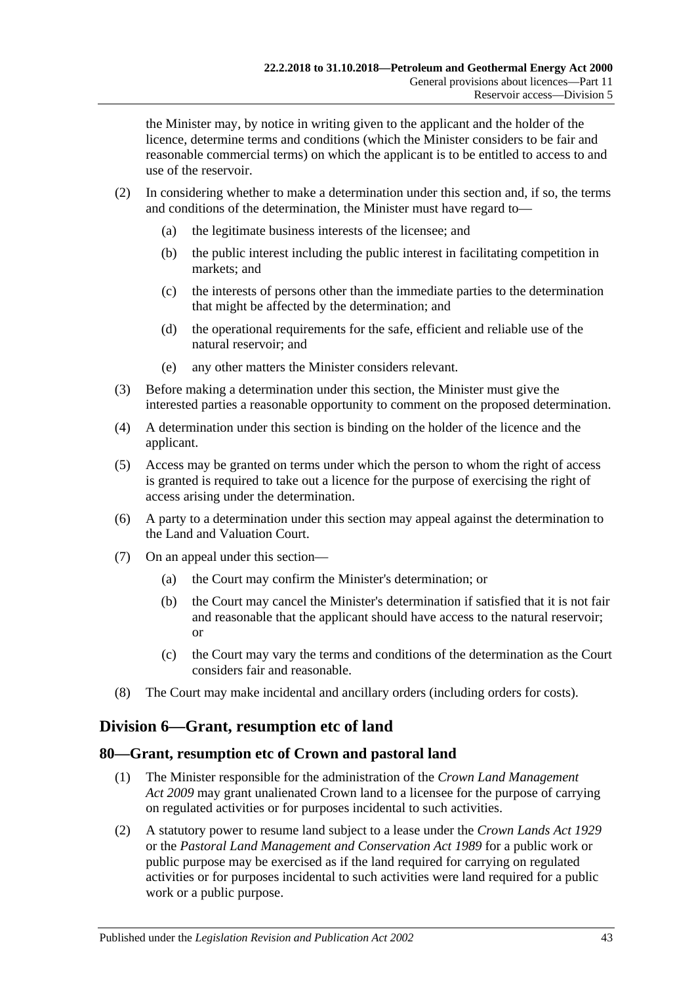the Minister may, by notice in writing given to the applicant and the holder of the licence, determine terms and conditions (which the Minister considers to be fair and reasonable commercial terms) on which the applicant is to be entitled to access to and use of the reservoir.

- (2) In considering whether to make a determination under this section and, if so, the terms and conditions of the determination, the Minister must have regard to—
	- (a) the legitimate business interests of the licensee; and
	- (b) the public interest including the public interest in facilitating competition in markets; and
	- (c) the interests of persons other than the immediate parties to the determination that might be affected by the determination; and
	- (d) the operational requirements for the safe, efficient and reliable use of the natural reservoir; and
	- (e) any other matters the Minister considers relevant.
- (3) Before making a determination under this section, the Minister must give the interested parties a reasonable opportunity to comment on the proposed determination.
- (4) A determination under this section is binding on the holder of the licence and the applicant.
- (5) Access may be granted on terms under which the person to whom the right of access is granted is required to take out a licence for the purpose of exercising the right of access arising under the determination.
- (6) A party to a determination under this section may appeal against the determination to the Land and Valuation Court.
- (7) On an appeal under this section—
	- (a) the Court may confirm the Minister's determination; or
	- (b) the Court may cancel the Minister's determination if satisfied that it is not fair and reasonable that the applicant should have access to the natural reservoir; or
	- (c) the Court may vary the terms and conditions of the determination as the Court considers fair and reasonable.
- (8) The Court may make incidental and ancillary orders (including orders for costs).

#### **Division 6—Grant, resumption etc of land**

#### **80—Grant, resumption etc of Crown and pastoral land**

- (1) The Minister responsible for the administration of the *[Crown Land Management](http://www.legislation.sa.gov.au/index.aspx?action=legref&type=act&legtitle=Crown%20Land%20Management%20Act%202009)  Act [2009](http://www.legislation.sa.gov.au/index.aspx?action=legref&type=act&legtitle=Crown%20Land%20Management%20Act%202009)* may grant unalienated Crown land to a licensee for the purpose of carrying on regulated activities or for purposes incidental to such activities.
- (2) A statutory power to resume land subject to a lease under the *[Crown Lands Act](http://www.legislation.sa.gov.au/index.aspx?action=legref&type=act&legtitle=Crown%20Lands%20Act%201929) 1929* or the *[Pastoral Land Management and Conservation Act](http://www.legislation.sa.gov.au/index.aspx?action=legref&type=act&legtitle=Pastoral%20Land%20Management%20and%20Conservation%20Act%201989) 1989* for a public work or public purpose may be exercised as if the land required for carrying on regulated activities or for purposes incidental to such activities were land required for a public work or a public purpose.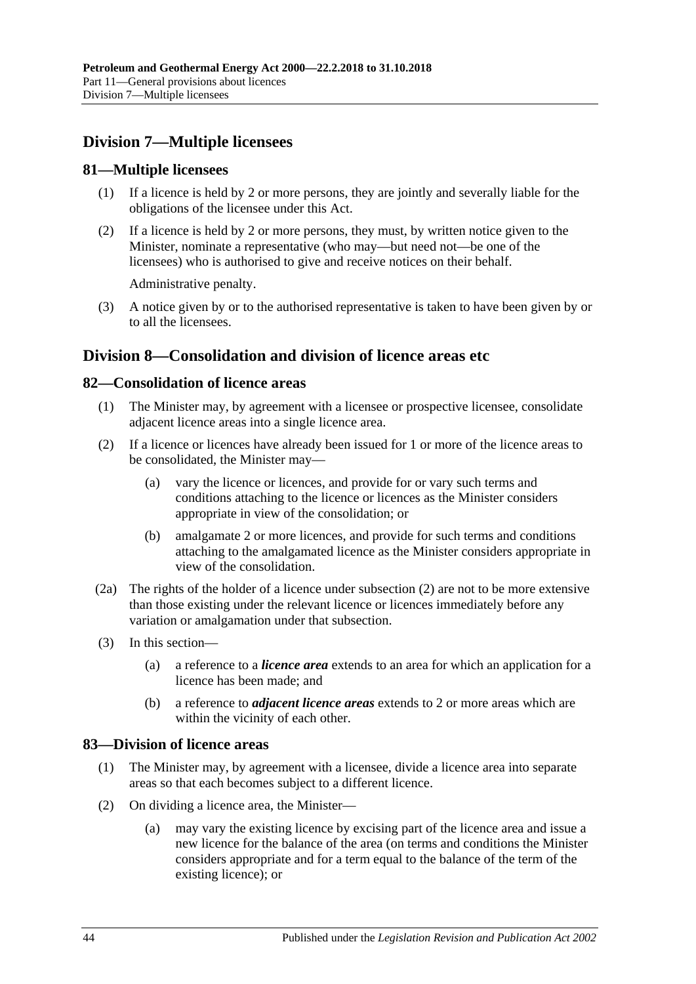## **Division 7—Multiple licensees**

#### **81—Multiple licensees**

- (1) If a licence is held by 2 or more persons, they are jointly and severally liable for the obligations of the licensee under this Act.
- (2) If a licence is held by 2 or more persons, they must, by written notice given to the Minister, nominate a representative (who may—but need not—be one of the licensees) who is authorised to give and receive notices on their behalf.

Administrative penalty.

(3) A notice given by or to the authorised representative is taken to have been given by or to all the licensees.

## **Division 8—Consolidation and division of licence areas etc**

#### <span id="page-43-2"></span>**82—Consolidation of licence areas**

- (1) The Minister may, by agreement with a licensee or prospective licensee, consolidate adjacent licence areas into a single licence area.
- (2) If a licence or licences have already been issued for 1 or more of the licence areas to be consolidated, the Minister may—
	- (a) vary the licence or licences, and provide for or vary such terms and conditions attaching to the licence or licences as the Minister considers appropriate in view of the consolidation; or
	- (b) amalgamate 2 or more licences, and provide for such terms and conditions attaching to the amalgamated licence as the Minister considers appropriate in view of the consolidation.
- (2a) The rights of the holder of a licence under subsection (2) are not to be more extensive than those existing under the relevant licence or licences immediately before any variation or amalgamation under that subsection.
- (3) In this section—
	- (a) a reference to a *licence area* extends to an area for which an application for a licence has been made; and
	- (b) a reference to *adjacent licence areas* extends to 2 or more areas which are within the vicinity of each other.

#### <span id="page-43-3"></span>**83—Division of licence areas**

- (1) The Minister may, by agreement with a licensee, divide a licence area into separate areas so that each becomes subject to a different licence.
- <span id="page-43-1"></span><span id="page-43-0"></span>(2) On dividing a licence area, the Minister—
	- (a) may vary the existing licence by excising part of the licence area and issue a new licence for the balance of the area (on terms and conditions the Minister considers appropriate and for a term equal to the balance of the term of the existing licence); or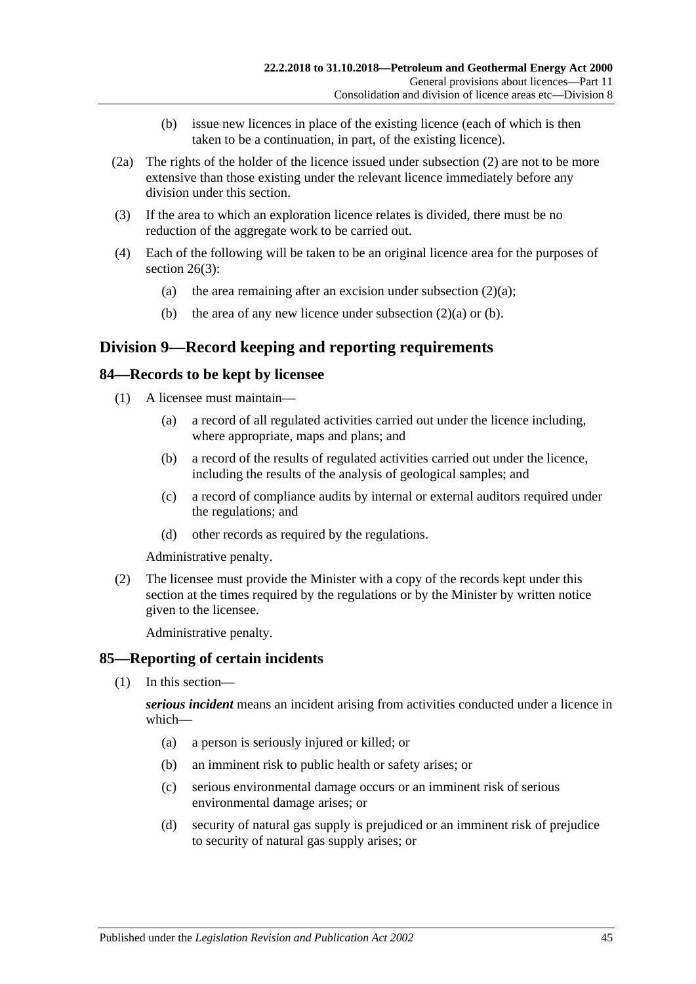- (b) issue new licences in place of the existing licence (each of which is then taken to be a continuation, in part, of the existing licence).
- <span id="page-44-0"></span>(2a) The rights of the holder of the licence issued under [subsection](#page-43-0) (2) are not to be more extensive than those existing under the relevant licence immediately before any division under this section.
- (3) If the area to which an exploration licence relates is divided, there must be no reduction of the aggregate work to be carried out.
- (4) Each of the following will be taken to be an original licence area for the purposes of [section](#page-18-0) 26(3):
	- (a) the area remaining after an excision under [subsection](#page-43-1)  $(2)(a)$ ;
	- (b) the area of any new licence under [subsection](#page-43-1)  $(2)(a)$  or [\(b\).](#page-44-0)

## **Division 9—Record keeping and reporting requirements**

#### **84—Records to be kept by licensee**

- (1) A licensee must maintain—
	- (a) a record of all regulated activities carried out under the licence including, where appropriate, maps and plans; and
	- (b) a record of the results of regulated activities carried out under the licence, including the results of the analysis of geological samples; and
	- (c) a record of compliance audits by internal or external auditors required under the regulations; and
	- (d) other records as required by the regulations.

Administrative penalty.

(2) The licensee must provide the Minister with a copy of the records kept under this section at the times required by the regulations or by the Minister by written notice given to the licensee.

Administrative penalty.

#### <span id="page-44-1"></span>**85—Reporting of certain incidents**

(1) In this section—

*serious incident* means an incident arising from activities conducted under a licence in which—

- (a) a person is seriously injured or killed; or
- (b) an imminent risk to public health or safety arises; or
- (c) serious environmental damage occurs or an imminent risk of serious environmental damage arises; or
- (d) security of natural gas supply is prejudiced or an imminent risk of prejudice to security of natural gas supply arises; or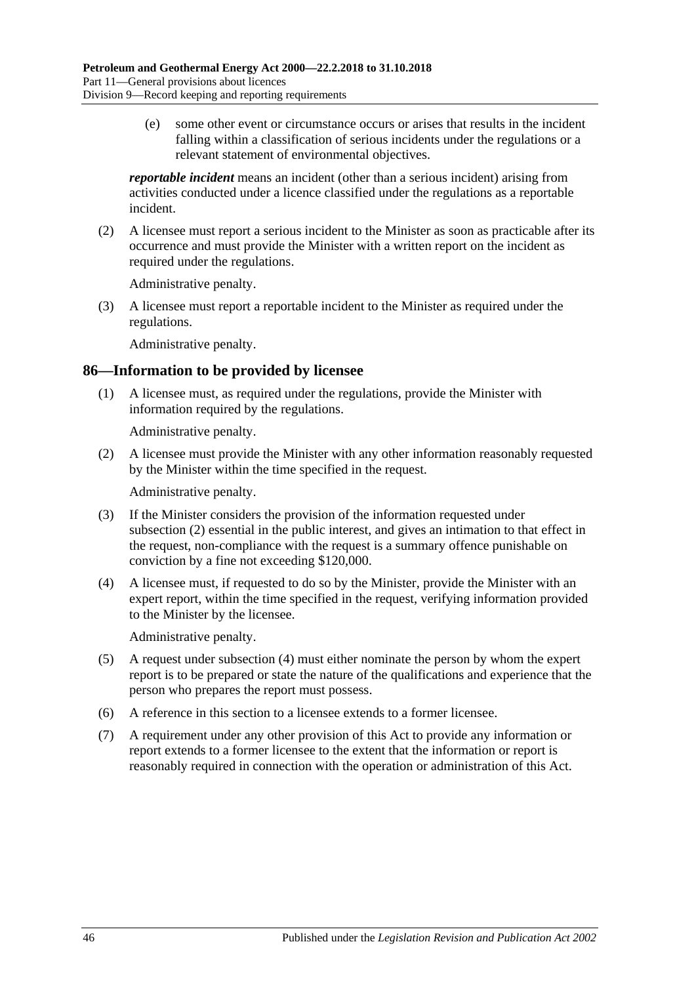(e) some other event or circumstance occurs or arises that results in the incident falling within a classification of serious incidents under the regulations or a relevant statement of environmental objectives.

*reportable incident* means an incident (other than a serious incident) arising from activities conducted under a licence classified under the regulations as a reportable incident.

(2) A licensee must report a serious incident to the Minister as soon as practicable after its occurrence and must provide the Minister with a written report on the incident as required under the regulations.

Administrative penalty.

(3) A licensee must report a reportable incident to the Minister as required under the regulations.

Administrative penalty.

#### **86—Information to be provided by licensee**

(1) A licensee must, as required under the regulations, provide the Minister with information required by the regulations.

Administrative penalty.

<span id="page-45-0"></span>(2) A licensee must provide the Minister with any other information reasonably requested by the Minister within the time specified in the request.

Administrative penalty.

- (3) If the Minister considers the provision of the information requested under [subsection](#page-45-0) (2) essential in the public interest, and gives an intimation to that effect in the request, non-compliance with the request is a summary offence punishable on conviction by a fine not exceeding \$120,000.
- <span id="page-45-1"></span>(4) A licensee must, if requested to do so by the Minister, provide the Minister with an expert report, within the time specified in the request, verifying information provided to the Minister by the licensee.

Administrative penalty.

- (5) A request under [subsection](#page-45-1) (4) must either nominate the person by whom the expert report is to be prepared or state the nature of the qualifications and experience that the person who prepares the report must possess.
- (6) A reference in this section to a licensee extends to a former licensee.
- (7) A requirement under any other provision of this Act to provide any information or report extends to a former licensee to the extent that the information or report is reasonably required in connection with the operation or administration of this Act.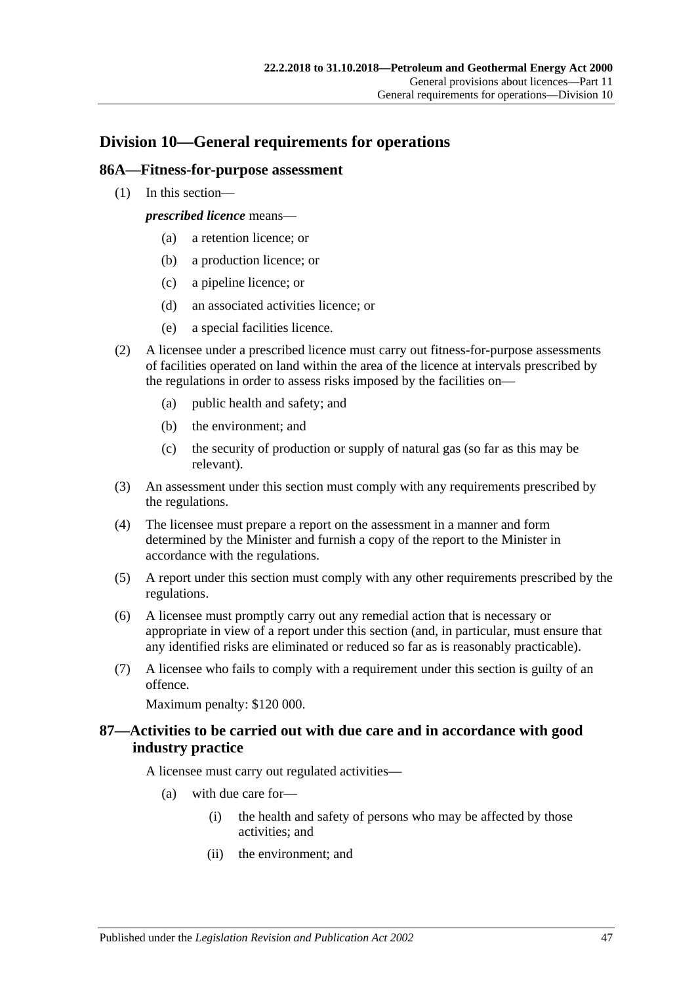## **Division 10—General requirements for operations**

#### **86A—Fitness-for-purpose assessment**

(1) In this section—

*prescribed licence* means—

- (a) a retention licence; or
- (b) a production licence; or
- (c) a pipeline licence; or
- (d) an associated activities licence; or
- (e) a special facilities licence.
- (2) A licensee under a prescribed licence must carry out fitness-for-purpose assessments of facilities operated on land within the area of the licence at intervals prescribed by the regulations in order to assess risks imposed by the facilities on—
	- (a) public health and safety; and
	- (b) the environment; and
	- (c) the security of production or supply of natural gas (so far as this may be relevant).
- (3) An assessment under this section must comply with any requirements prescribed by the regulations.
- (4) The licensee must prepare a report on the assessment in a manner and form determined by the Minister and furnish a copy of the report to the Minister in accordance with the regulations.
- (5) A report under this section must comply with any other requirements prescribed by the regulations.
- (6) A licensee must promptly carry out any remedial action that is necessary or appropriate in view of a report under this section (and, in particular, must ensure that any identified risks are eliminated or reduced so far as is reasonably practicable).
- (7) A licensee who fails to comply with a requirement under this section is guilty of an offence.

Maximum penalty: \$120 000.

#### **87—Activities to be carried out with due care and in accordance with good industry practice**

A licensee must carry out regulated activities—

- (a) with due care for—
	- (i) the health and safety of persons who may be affected by those activities; and
	- (ii) the environment; and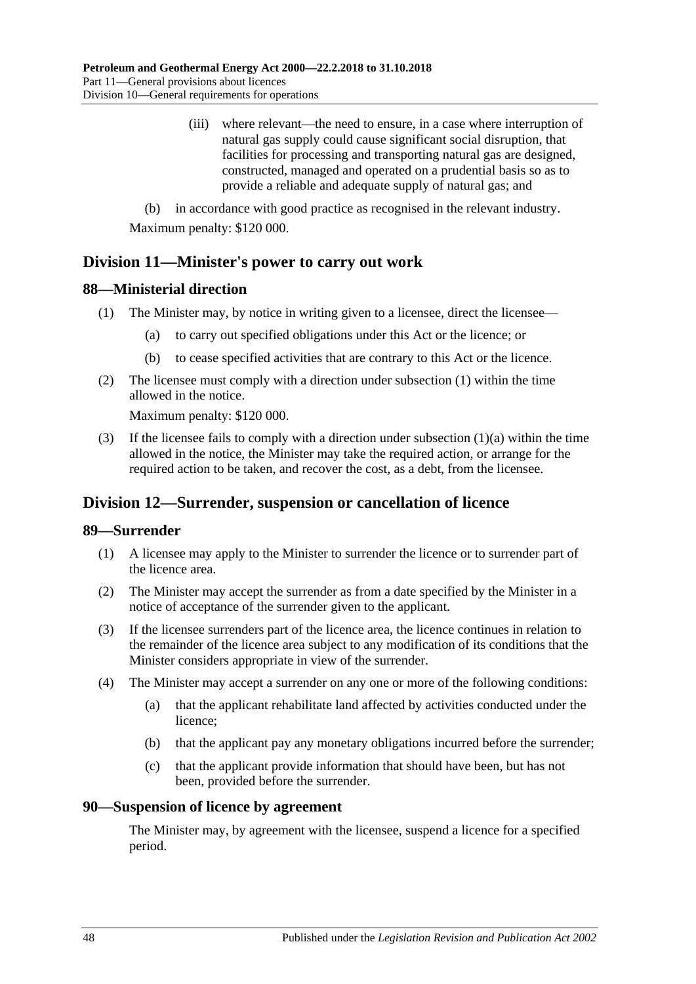(iii) where relevant—the need to ensure, in a case where interruption of natural gas supply could cause significant social disruption, that facilities for processing and transporting natural gas are designed, constructed, managed and operated on a prudential basis so as to provide a reliable and adequate supply of natural gas; and

(b) in accordance with good practice as recognised in the relevant industry. Maximum penalty: \$120 000.

## **Division 11—Minister's power to carry out work**

#### <span id="page-47-0"></span>**88—Ministerial direction**

- <span id="page-47-1"></span>(1) The Minister may, by notice in writing given to a licensee, direct the licensee—
	- (a) to carry out specified obligations under this Act or the licence; or
	- (b) to cease specified activities that are contrary to this Act or the licence.
- (2) The licensee must comply with a direction under [subsection](#page-47-0) (1) within the time allowed in the notice.

Maximum penalty: \$120 000.

(3) If the licensee fails to comply with a direction under [subsection](#page-47-1)  $(1)(a)$  within the time allowed in the notice, the Minister may take the required action, or arrange for the required action to be taken, and recover the cost, as a debt, from the licensee.

## **Division 12—Surrender, suspension or cancellation of licence**

#### **89—Surrender**

- (1) A licensee may apply to the Minister to surrender the licence or to surrender part of the licence area.
- (2) The Minister may accept the surrender as from a date specified by the Minister in a notice of acceptance of the surrender given to the applicant.
- (3) If the licensee surrenders part of the licence area, the licence continues in relation to the remainder of the licence area subject to any modification of its conditions that the Minister considers appropriate in view of the surrender.
- (4) The Minister may accept a surrender on any one or more of the following conditions:
	- (a) that the applicant rehabilitate land affected by activities conducted under the licence;
	- (b) that the applicant pay any monetary obligations incurred before the surrender;
	- (c) that the applicant provide information that should have been, but has not been, provided before the surrender.

#### **90—Suspension of licence by agreement**

The Minister may, by agreement with the licensee, suspend a licence for a specified period.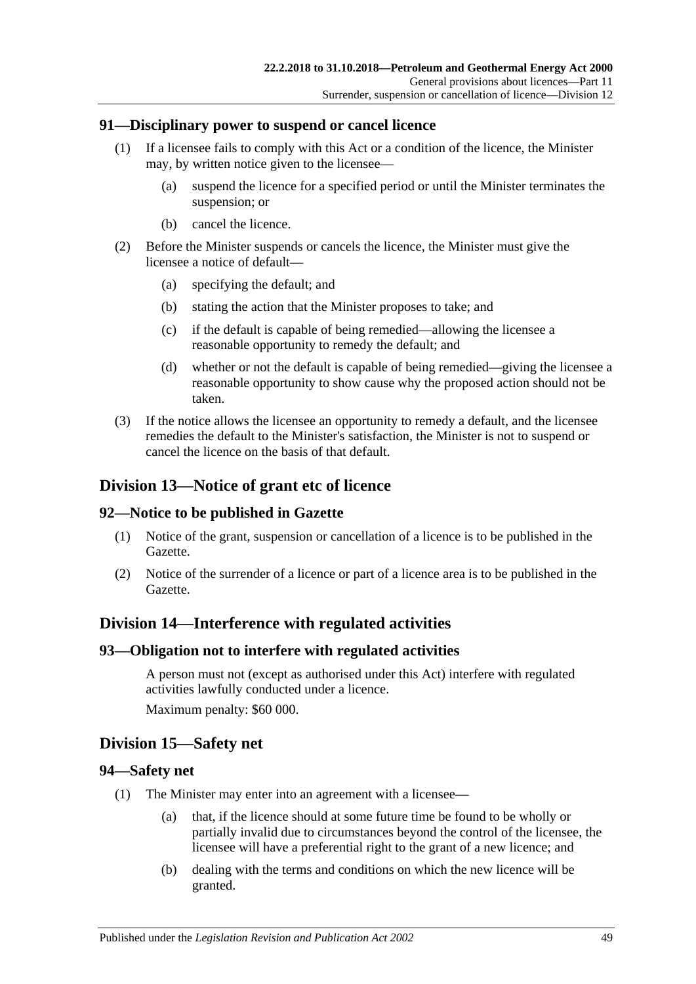#### **91—Disciplinary power to suspend or cancel licence**

- (1) If a licensee fails to comply with this Act or a condition of the licence, the Minister may, by written notice given to the licensee—
	- (a) suspend the licence for a specified period or until the Minister terminates the suspension; or
	- (b) cancel the licence.
- (2) Before the Minister suspends or cancels the licence, the Minister must give the licensee a notice of default—
	- (a) specifying the default; and
	- (b) stating the action that the Minister proposes to take; and
	- (c) if the default is capable of being remedied—allowing the licensee a reasonable opportunity to remedy the default; and
	- (d) whether or not the default is capable of being remedied—giving the licensee a reasonable opportunity to show cause why the proposed action should not be taken.
- (3) If the notice allows the licensee an opportunity to remedy a default, and the licensee remedies the default to the Minister's satisfaction, the Minister is not to suspend or cancel the licence on the basis of that default.

### **Division 13—Notice of grant etc of licence**

#### **92—Notice to be published in Gazette**

- (1) Notice of the grant, suspension or cancellation of a licence is to be published in the Gazette.
- (2) Notice of the surrender of a licence or part of a licence area is to be published in the Gazette.

## **Division 14—Interference with regulated activities**

#### **93—Obligation not to interfere with regulated activities**

A person must not (except as authorised under this Act) interfere with regulated activities lawfully conducted under a licence. Maximum penalty: \$60 000.

#### **Division 15—Safety net**

#### **94—Safety net**

- (1) The Minister may enter into an agreement with a licensee—
	- (a) that, if the licence should at some future time be found to be wholly or partially invalid due to circumstances beyond the control of the licensee, the licensee will have a preferential right to the grant of a new licence; and
	- (b) dealing with the terms and conditions on which the new licence will be granted.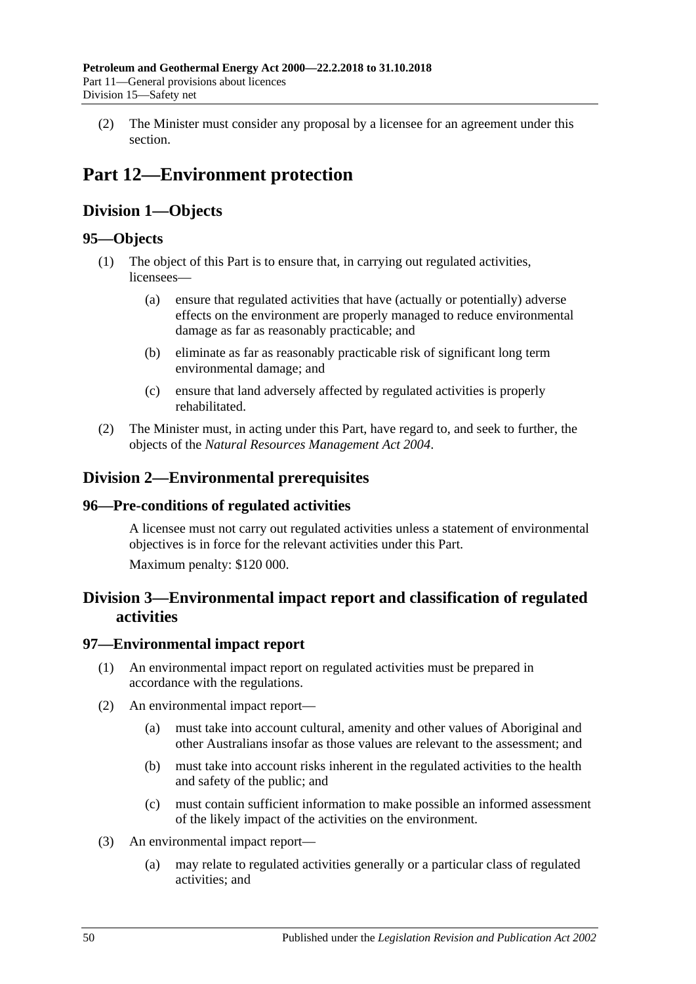(2) The Minister must consider any proposal by a licensee for an agreement under this section.

# **Part 12—Environment protection**

## **Division 1—Objects**

## **95—Objects**

- (1) The object of this Part is to ensure that, in carrying out regulated activities, licensees—
	- (a) ensure that regulated activities that have (actually or potentially) adverse effects on the environment are properly managed to reduce environmental damage as far as reasonably practicable; and
	- (b) eliminate as far as reasonably practicable risk of significant long term environmental damage; and
	- (c) ensure that land adversely affected by regulated activities is properly rehabilitated.
- (2) The Minister must, in acting under this Part, have regard to, and seek to further, the objects of the *[Natural Resources Management Act](http://www.legislation.sa.gov.au/index.aspx?action=legref&type=act&legtitle=Natural%20Resources%20Management%20Act%202004) 2004*.

## **Division 2—Environmental prerequisites**

## **96—Pre-conditions of regulated activities**

A licensee must not carry out regulated activities unless a statement of environmental objectives is in force for the relevant activities under this Part.

Maximum penalty: \$120 000.

## **Division 3—Environmental impact report and classification of regulated activities**

## **97—Environmental impact report**

- (1) An environmental impact report on regulated activities must be prepared in accordance with the regulations.
- (2) An environmental impact report—
	- (a) must take into account cultural, amenity and other values of Aboriginal and other Australians insofar as those values are relevant to the assessment; and
	- (b) must take into account risks inherent in the regulated activities to the health and safety of the public; and
	- (c) must contain sufficient information to make possible an informed assessment of the likely impact of the activities on the environment.
- (3) An environmental impact report—
	- (a) may relate to regulated activities generally or a particular class of regulated activities; and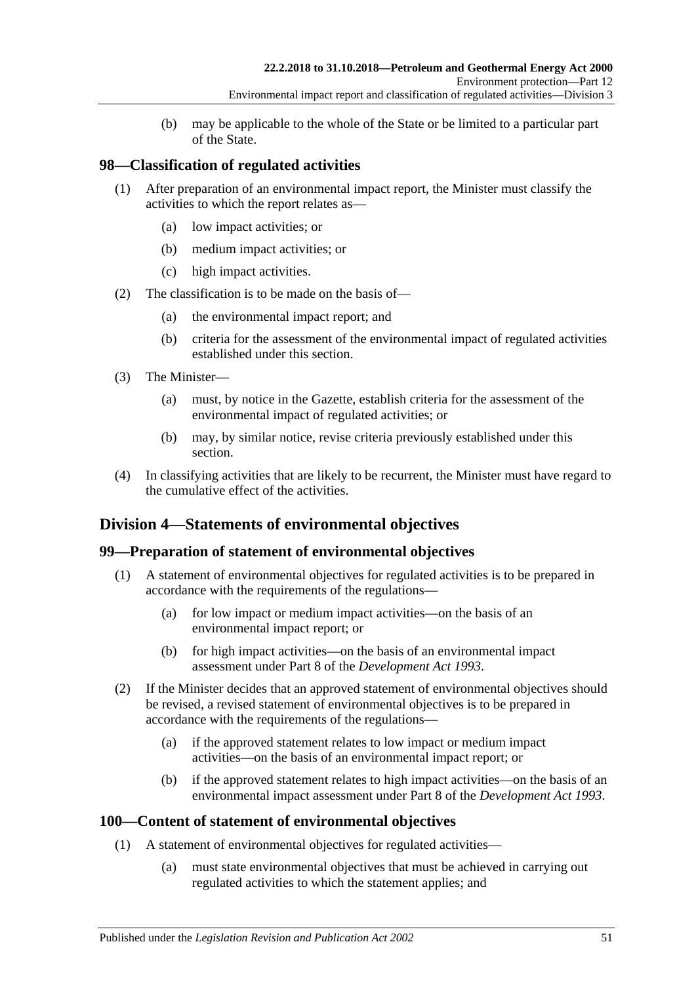(b) may be applicable to the whole of the State or be limited to a particular part of the State.

## **98—Classification of regulated activities**

- (1) After preparation of an environmental impact report, the Minister must classify the activities to which the report relates as—
	- (a) low impact activities; or
	- (b) medium impact activities; or
	- (c) high impact activities.
- (2) The classification is to be made on the basis of—
	- (a) the environmental impact report; and
	- (b) criteria for the assessment of the environmental impact of regulated activities established under this section.
- (3) The Minister—
	- (a) must, by notice in the Gazette, establish criteria for the assessment of the environmental impact of regulated activities; or
	- (b) may, by similar notice, revise criteria previously established under this section.
- (4) In classifying activities that are likely to be recurrent, the Minister must have regard to the cumulative effect of the activities.

## **Division 4—Statements of environmental objectives**

#### **99—Preparation of statement of environmental objectives**

- (1) A statement of environmental objectives for regulated activities is to be prepared in accordance with the requirements of the regulations—
	- (a) for low impact or medium impact activities—on the basis of an environmental impact report; or
	- (b) for high impact activities—on the basis of an environmental impact assessment under Part 8 of the *[Development Act](http://www.legislation.sa.gov.au/index.aspx?action=legref&type=act&legtitle=Development%20Act%201993) 1993*.
- (2) If the Minister decides that an approved statement of environmental objectives should be revised, a revised statement of environmental objectives is to be prepared in accordance with the requirements of the regulations—
	- (a) if the approved statement relates to low impact or medium impact activities—on the basis of an environmental impact report; or
	- (b) if the approved statement relates to high impact activities—on the basis of an environmental impact assessment under Part 8 of the *[Development Act](http://www.legislation.sa.gov.au/index.aspx?action=legref&type=act&legtitle=Development%20Act%201993) 1993*.

#### **100—Content of statement of environmental objectives**

- (1) A statement of environmental objectives for regulated activities—
	- (a) must state environmental objectives that must be achieved in carrying out regulated activities to which the statement applies; and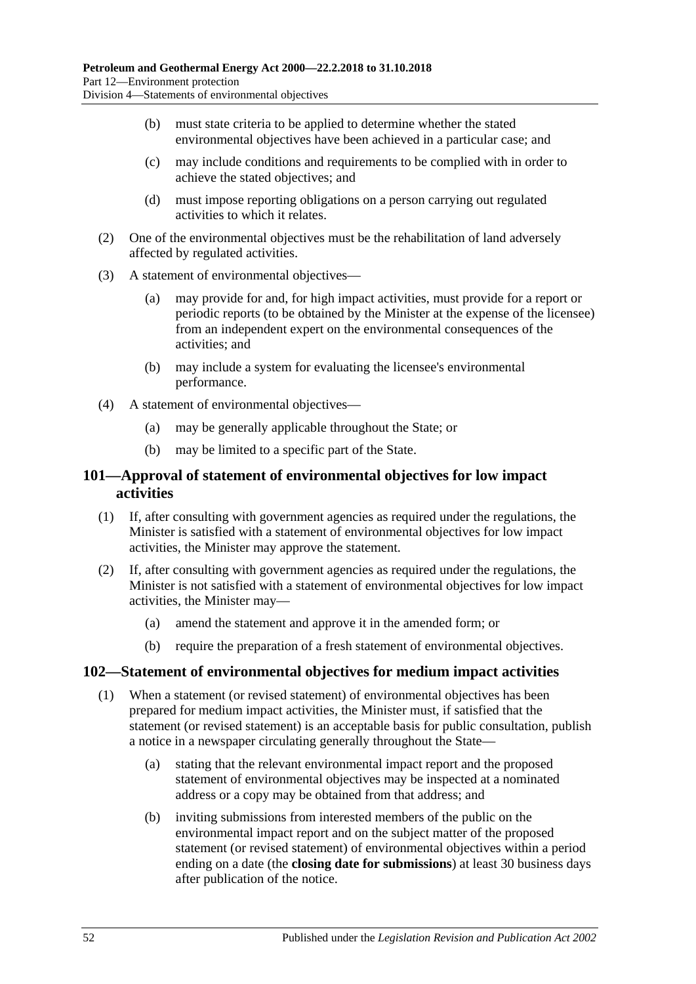- (b) must state criteria to be applied to determine whether the stated environmental objectives have been achieved in a particular case; and
- (c) may include conditions and requirements to be complied with in order to achieve the stated objectives; and
- (d) must impose reporting obligations on a person carrying out regulated activities to which it relates.
- (2) One of the environmental objectives must be the rehabilitation of land adversely affected by regulated activities.
- (3) A statement of environmental objectives—
	- (a) may provide for and, for high impact activities, must provide for a report or periodic reports (to be obtained by the Minister at the expense of the licensee) from an independent expert on the environmental consequences of the activities; and
	- (b) may include a system for evaluating the licensee's environmental performance.
- (4) A statement of environmental objectives—
	- (a) may be generally applicable throughout the State; or
	- (b) may be limited to a specific part of the State.

### **101—Approval of statement of environmental objectives for low impact activities**

- (1) If, after consulting with government agencies as required under the regulations, the Minister is satisfied with a statement of environmental objectives for low impact activities, the Minister may approve the statement.
- (2) If, after consulting with government agencies as required under the regulations, the Minister is not satisfied with a statement of environmental objectives for low impact activities, the Minister may—
	- (a) amend the statement and approve it in the amended form; or
	- (b) require the preparation of a fresh statement of environmental objectives.

#### **102—Statement of environmental objectives for medium impact activities**

- (1) When a statement (or revised statement) of environmental objectives has been prepared for medium impact activities, the Minister must, if satisfied that the statement (or revised statement) is an acceptable basis for public consultation, publish a notice in a newspaper circulating generally throughout the State—
	- (a) stating that the relevant environmental impact report and the proposed statement of environmental objectives may be inspected at a nominated address or a copy may be obtained from that address; and
	- (b) inviting submissions from interested members of the public on the environmental impact report and on the subject matter of the proposed statement (or revised statement) of environmental objectives within a period ending on a date (the **closing date for submissions**) at least 30 business days after publication of the notice.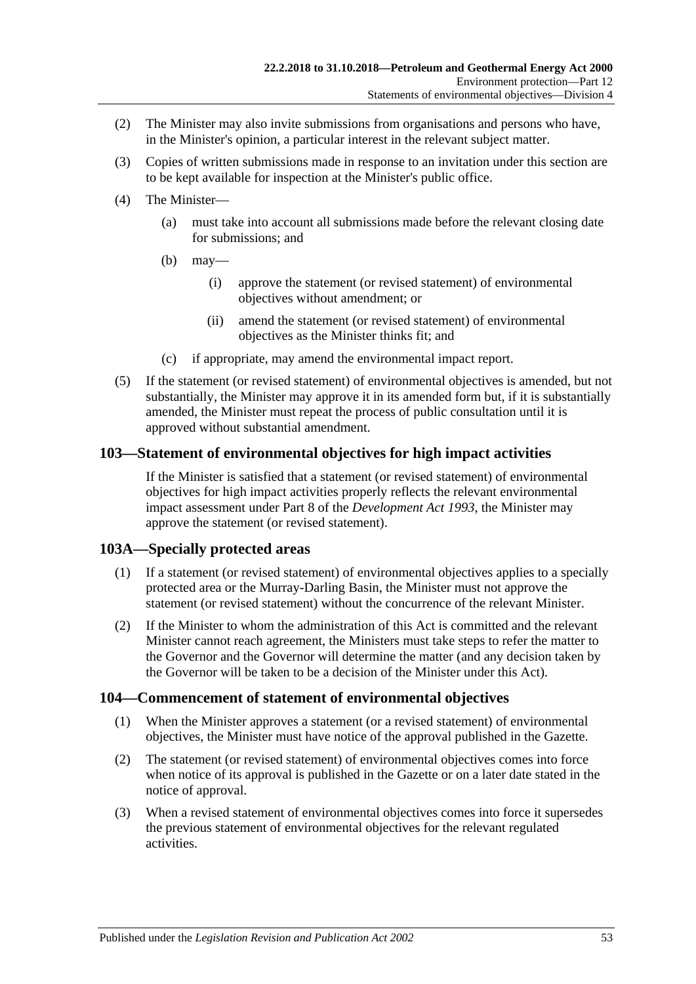- (2) The Minister may also invite submissions from organisations and persons who have, in the Minister's opinion, a particular interest in the relevant subject matter.
- (3) Copies of written submissions made in response to an invitation under this section are to be kept available for inspection at the Minister's public office.
- (4) The Minister—
	- (a) must take into account all submissions made before the relevant closing date for submissions; and
	- (b) may—
		- (i) approve the statement (or revised statement) of environmental objectives without amendment; or
		- (ii) amend the statement (or revised statement) of environmental objectives as the Minister thinks fit; and
	- (c) if appropriate, may amend the environmental impact report.
- (5) If the statement (or revised statement) of environmental objectives is amended, but not substantially, the Minister may approve it in its amended form but, if it is substantially amended, the Minister must repeat the process of public consultation until it is approved without substantial amendment.

### **103—Statement of environmental objectives for high impact activities**

If the Minister is satisfied that a statement (or revised statement) of environmental objectives for high impact activities properly reflects the relevant environmental impact assessment under Part 8 of the *[Development Act](http://www.legislation.sa.gov.au/index.aspx?action=legref&type=act&legtitle=Development%20Act%201993) 1993*, the Minister may approve the statement (or revised statement).

#### **103A—Specially protected areas**

- (1) If a statement (or revised statement) of environmental objectives applies to a specially protected area or the Murray-Darling Basin, the Minister must not approve the statement (or revised statement) without the concurrence of the relevant Minister.
- (2) If the Minister to whom the administration of this Act is committed and the relevant Minister cannot reach agreement, the Ministers must take steps to refer the matter to the Governor and the Governor will determine the matter (and any decision taken by the Governor will be taken to be a decision of the Minister under this Act).

#### **104—Commencement of statement of environmental objectives**

- (1) When the Minister approves a statement (or a revised statement) of environmental objectives, the Minister must have notice of the approval published in the Gazette.
- (2) The statement (or revised statement) of environmental objectives comes into force when notice of its approval is published in the Gazette or on a later date stated in the notice of approval.
- (3) When a revised statement of environmental objectives comes into force it supersedes the previous statement of environmental objectives for the relevant regulated activities.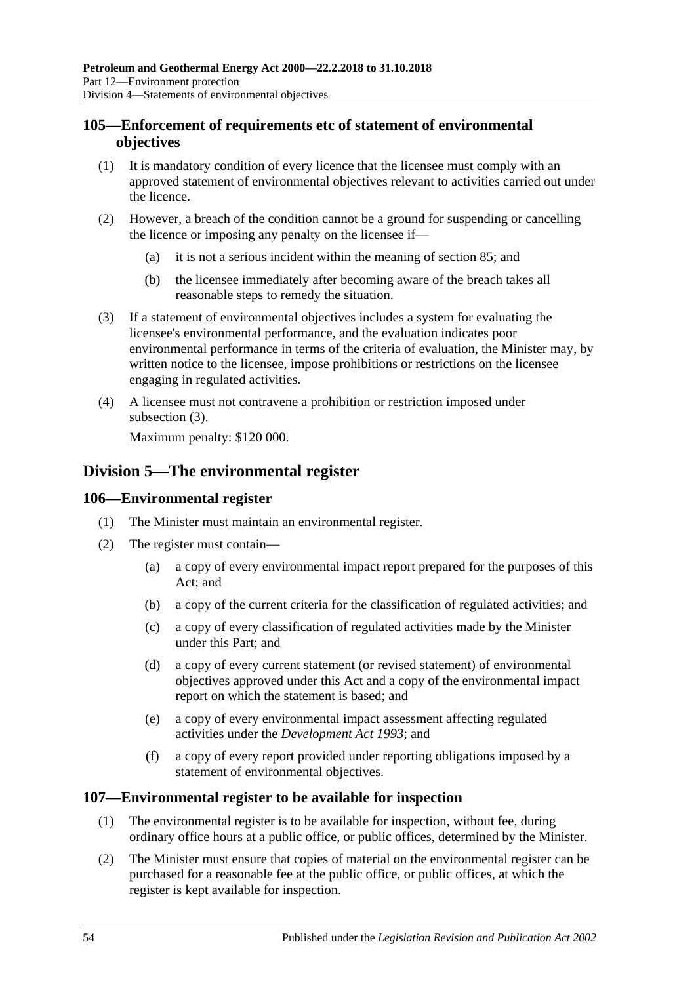#### **105—Enforcement of requirements etc of statement of environmental objectives**

- (1) It is mandatory condition of every licence that the licensee must comply with an approved statement of environmental objectives relevant to activities carried out under the licence.
- (2) However, a breach of the condition cannot be a ground for suspending or cancelling the licence or imposing any penalty on the licensee if—
	- (a) it is not a serious incident within the meaning of [section](#page-44-1) 85; and
	- (b) the licensee immediately after becoming aware of the breach takes all reasonable steps to remedy the situation.
- <span id="page-53-0"></span>(3) If a statement of environmental objectives includes a system for evaluating the licensee's environmental performance, and the evaluation indicates poor environmental performance in terms of the criteria of evaluation, the Minister may, by written notice to the licensee, impose prohibitions or restrictions on the licensee engaging in regulated activities.
- (4) A licensee must not contravene a prohibition or restriction imposed under [subsection](#page-53-0) (3).

Maximum penalty: \$120 000.

## **Division 5—The environmental register**

#### **106—Environmental register**

- (1) The Minister must maintain an environmental register.
- (2) The register must contain—
	- (a) a copy of every environmental impact report prepared for the purposes of this Act; and
	- (b) a copy of the current criteria for the classification of regulated activities; and
	- (c) a copy of every classification of regulated activities made by the Minister under this Part; and
	- (d) a copy of every current statement (or revised statement) of environmental objectives approved under this Act and a copy of the environmental impact report on which the statement is based; and
	- (e) a copy of every environmental impact assessment affecting regulated activities under the *[Development Act](http://www.legislation.sa.gov.au/index.aspx?action=legref&type=act&legtitle=Development%20Act%201993) 1993*; and
	- (f) a copy of every report provided under reporting obligations imposed by a statement of environmental objectives.

#### **107—Environmental register to be available for inspection**

- (1) The environmental register is to be available for inspection, without fee, during ordinary office hours at a public office, or public offices, determined by the Minister.
- (2) The Minister must ensure that copies of material on the environmental register can be purchased for a reasonable fee at the public office, or public offices, at which the register is kept available for inspection.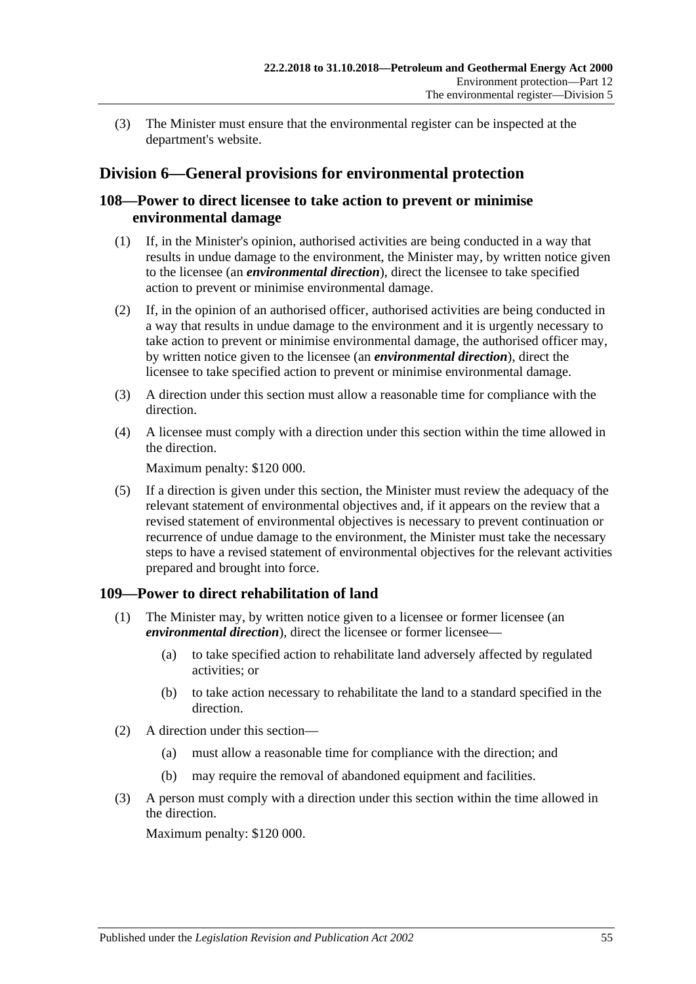(3) The Minister must ensure that the environmental register can be inspected at the department's website.

## **Division 6—General provisions for environmental protection**

#### **108—Power to direct licensee to take action to prevent or minimise environmental damage**

- (1) If, in the Minister's opinion, authorised activities are being conducted in a way that results in undue damage to the environment, the Minister may, by written notice given to the licensee (an *environmental direction*), direct the licensee to take specified action to prevent or minimise environmental damage.
- (2) If, in the opinion of an authorised officer, authorised activities are being conducted in a way that results in undue damage to the environment and it is urgently necessary to take action to prevent or minimise environmental damage, the authorised officer may, by written notice given to the licensee (an *environmental direction*), direct the licensee to take specified action to prevent or minimise environmental damage.
- (3) A direction under this section must allow a reasonable time for compliance with the direction.
- (4) A licensee must comply with a direction under this section within the time allowed in the direction.

Maximum penalty: \$120 000.

(5) If a direction is given under this section, the Minister must review the adequacy of the relevant statement of environmental objectives and, if it appears on the review that a revised statement of environmental objectives is necessary to prevent continuation or recurrence of undue damage to the environment, the Minister must take the necessary steps to have a revised statement of environmental objectives for the relevant activities prepared and brought into force.

#### **109—Power to direct rehabilitation of land**

- (1) The Minister may, by written notice given to a licensee or former licensee (an *environmental direction*), direct the licensee or former licensee—
	- (a) to take specified action to rehabilitate land adversely affected by regulated activities; or
	- (b) to take action necessary to rehabilitate the land to a standard specified in the direction.
- (2) A direction under this section—
	- (a) must allow a reasonable time for compliance with the direction; and
	- (b) may require the removal of abandoned equipment and facilities.
- (3) A person must comply with a direction under this section within the time allowed in the direction.

Maximum penalty: \$120 000.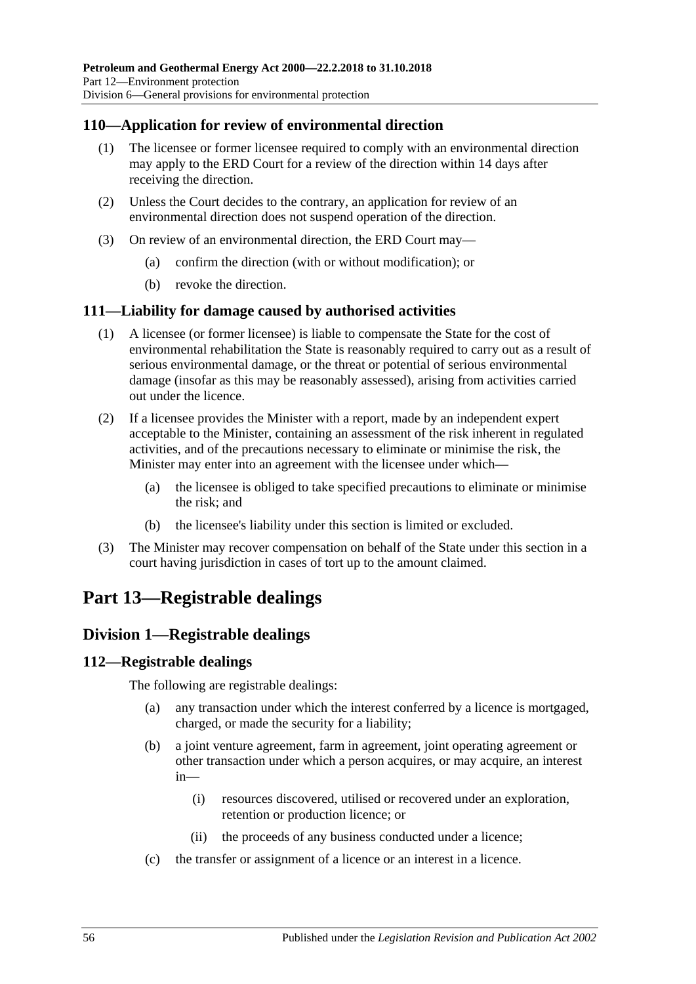### **110—Application for review of environmental direction**

- (1) The licensee or former licensee required to comply with an environmental direction may apply to the ERD Court for a review of the direction within 14 days after receiving the direction.
- (2) Unless the Court decides to the contrary, an application for review of an environmental direction does not suspend operation of the direction.
- (3) On review of an environmental direction, the ERD Court may—
	- (a) confirm the direction (with or without modification); or
	- (b) revoke the direction.

#### **111—Liability for damage caused by authorised activities**

- (1) A licensee (or former licensee) is liable to compensate the State for the cost of environmental rehabilitation the State is reasonably required to carry out as a result of serious environmental damage, or the threat or potential of serious environmental damage (insofar as this may be reasonably assessed), arising from activities carried out under the licence.
- (2) If a licensee provides the Minister with a report, made by an independent expert acceptable to the Minister, containing an assessment of the risk inherent in regulated activities, and of the precautions necessary to eliminate or minimise the risk, the Minister may enter into an agreement with the licensee under which—
	- (a) the licensee is obliged to take specified precautions to eliminate or minimise the risk; and
	- (b) the licensee's liability under this section is limited or excluded.
- (3) The Minister may recover compensation on behalf of the State under this section in a court having jurisdiction in cases of tort up to the amount claimed.

## **Part 13—Registrable dealings**

#### **Division 1—Registrable dealings**

#### **112—Registrable dealings**

The following are registrable dealings:

- (a) any transaction under which the interest conferred by a licence is mortgaged, charged, or made the security for a liability;
- (b) a joint venture agreement, farm in agreement, joint operating agreement or other transaction under which a person acquires, or may acquire, an interest in—
	- (i) resources discovered, utilised or recovered under an exploration, retention or production licence; or
	- (ii) the proceeds of any business conducted under a licence;
- (c) the transfer or assignment of a licence or an interest in a licence.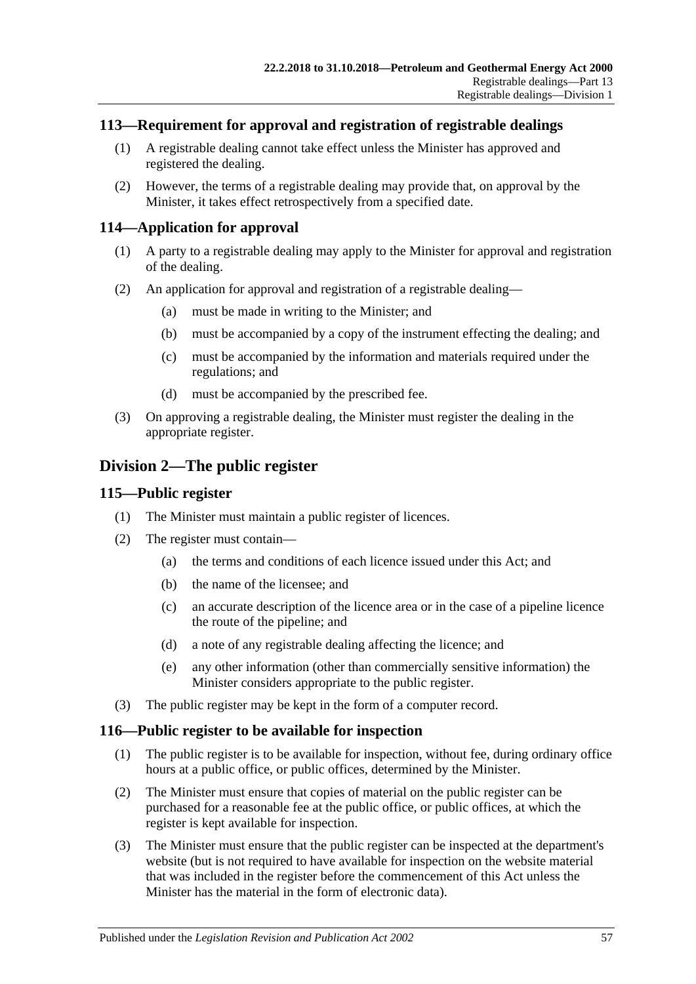#### **113—Requirement for approval and registration of registrable dealings**

- (1) A registrable dealing cannot take effect unless the Minister has approved and registered the dealing.
- (2) However, the terms of a registrable dealing may provide that, on approval by the Minister, it takes effect retrospectively from a specified date.

### **114—Application for approval**

- (1) A party to a registrable dealing may apply to the Minister for approval and registration of the dealing.
- (2) An application for approval and registration of a registrable dealing—
	- (a) must be made in writing to the Minister; and
	- (b) must be accompanied by a copy of the instrument effecting the dealing; and
	- (c) must be accompanied by the information and materials required under the regulations; and
	- (d) must be accompanied by the prescribed fee.
- (3) On approving a registrable dealing, the Minister must register the dealing in the appropriate register.

## **Division 2—The public register**

#### **115—Public register**

- (1) The Minister must maintain a public register of licences.
- (2) The register must contain—
	- (a) the terms and conditions of each licence issued under this Act; and
	- (b) the name of the licensee; and
	- (c) an accurate description of the licence area or in the case of a pipeline licence the route of the pipeline; and
	- (d) a note of any registrable dealing affecting the licence; and
	- (e) any other information (other than commercially sensitive information) the Minister considers appropriate to the public register.
- (3) The public register may be kept in the form of a computer record.

#### **116—Public register to be available for inspection**

- (1) The public register is to be available for inspection, without fee, during ordinary office hours at a public office, or public offices, determined by the Minister.
- (2) The Minister must ensure that copies of material on the public register can be purchased for a reasonable fee at the public office, or public offices, at which the register is kept available for inspection.
- (3) The Minister must ensure that the public register can be inspected at the department's website (but is not required to have available for inspection on the website material that was included in the register before the commencement of this Act unless the Minister has the material in the form of electronic data).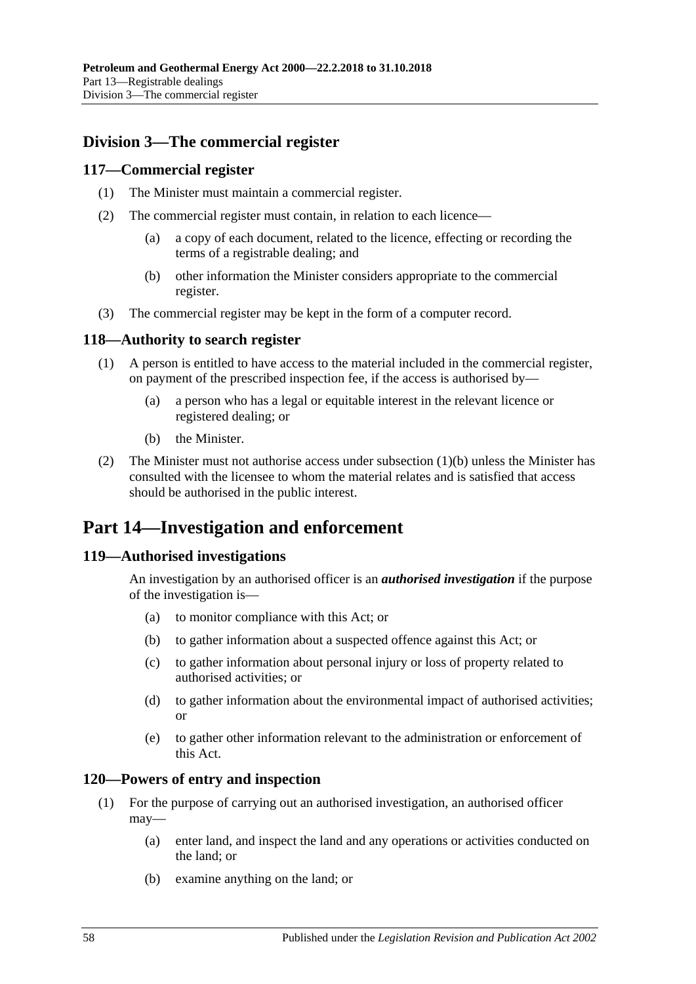## **Division 3—The commercial register**

#### **117—Commercial register**

- (1) The Minister must maintain a commercial register.
- (2) The commercial register must contain, in relation to each licence—
	- (a) a copy of each document, related to the licence, effecting or recording the terms of a registrable dealing; and
	- (b) other information the Minister considers appropriate to the commercial register.
- (3) The commercial register may be kept in the form of a computer record.

#### **118—Authority to search register**

- (1) A person is entitled to have access to the material included in the commercial register, on payment of the prescribed inspection fee, if the access is authorised by—
	- (a) a person who has a legal or equitable interest in the relevant licence or registered dealing; or
	- (b) the Minister.
- <span id="page-57-0"></span>(2) The Minister must not authorise access under [subsection](#page-57-0)  $(1)(b)$  unless the Minister has consulted with the licensee to whom the material relates and is satisfied that access should be authorised in the public interest.

## **Part 14—Investigation and enforcement**

#### **119—Authorised investigations**

An investigation by an authorised officer is an *authorised investigation* if the purpose of the investigation is—

- (a) to monitor compliance with this Act; or
- (b) to gather information about a suspected offence against this Act; or
- (c) to gather information about personal injury or loss of property related to authorised activities; or
- (d) to gather information about the environmental impact of authorised activities; or
- (e) to gather other information relevant to the administration or enforcement of this Act.

#### **120—Powers of entry and inspection**

- (1) For the purpose of carrying out an authorised investigation, an authorised officer may—
	- (a) enter land, and inspect the land and any operations or activities conducted on the land; or
	- (b) examine anything on the land; or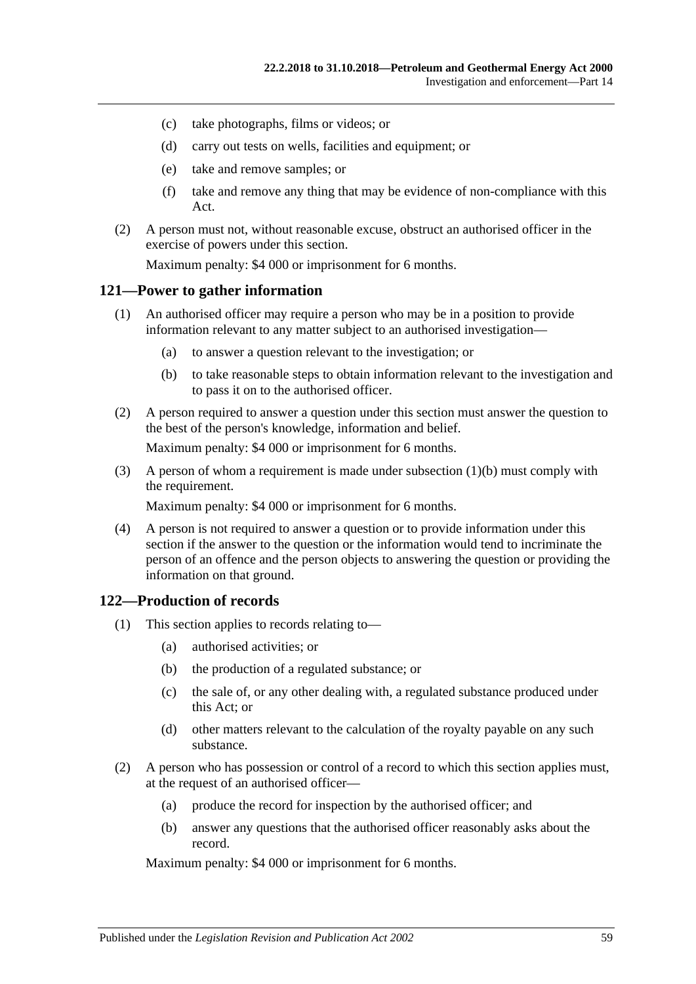- (c) take photographs, films or videos; or
- (d) carry out tests on wells, facilities and equipment; or
- (e) take and remove samples; or
- (f) take and remove any thing that may be evidence of non-compliance with this Act.
- (2) A person must not, without reasonable excuse, obstruct an authorised officer in the exercise of powers under this section.

Maximum penalty: \$4 000 or imprisonment for 6 months.

#### **121—Power to gather information**

- (1) An authorised officer may require a person who may be in a position to provide information relevant to any matter subject to an authorised investigation—
	- (a) to answer a question relevant to the investigation; or
	- (b) to take reasonable steps to obtain information relevant to the investigation and to pass it on to the authorised officer.
- <span id="page-58-0"></span>(2) A person required to answer a question under this section must answer the question to the best of the person's knowledge, information and belief.

Maximum penalty: \$4 000 or imprisonment for 6 months.

(3) A person of whom a requirement is made under [subsection](#page-58-0) (1)(b) must comply with the requirement.

Maximum penalty: \$4 000 or imprisonment for 6 months.

(4) A person is not required to answer a question or to provide information under this section if the answer to the question or the information would tend to incriminate the person of an offence and the person objects to answering the question or providing the information on that ground.

#### **122—Production of records**

- (1) This section applies to records relating to—
	- (a) authorised activities; or
	- (b) the production of a regulated substance; or
	- (c) the sale of, or any other dealing with, a regulated substance produced under this Act; or
	- (d) other matters relevant to the calculation of the royalty payable on any such substance.
- (2) A person who has possession or control of a record to which this section applies must, at the request of an authorised officer—
	- (a) produce the record for inspection by the authorised officer; and
	- (b) answer any questions that the authorised officer reasonably asks about the record.

Maximum penalty: \$4 000 or imprisonment for 6 months.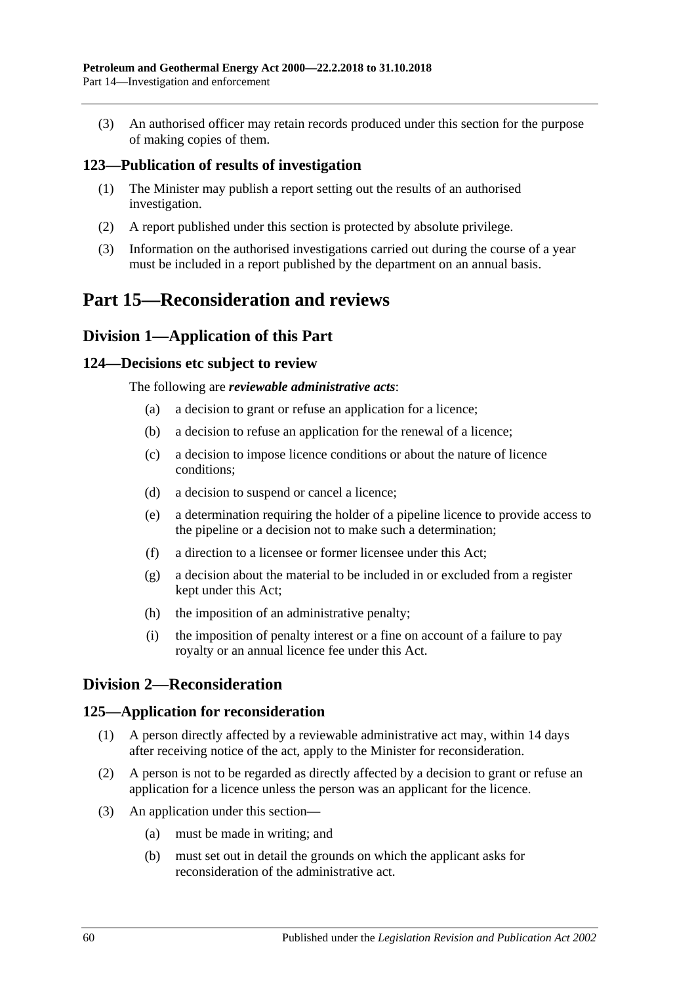(3) An authorised officer may retain records produced under this section for the purpose of making copies of them.

#### **123—Publication of results of investigation**

- (1) The Minister may publish a report setting out the results of an authorised investigation.
- (2) A report published under this section is protected by absolute privilege.
- (3) Information on the authorised investigations carried out during the course of a year must be included in a report published by the department on an annual basis.

## **Part 15—Reconsideration and reviews**

## **Division 1—Application of this Part**

#### **124—Decisions etc subject to review**

The following are *reviewable administrative acts*:

- (a) a decision to grant or refuse an application for a licence;
- (b) a decision to refuse an application for the renewal of a licence;
- (c) a decision to impose licence conditions or about the nature of licence conditions;
- (d) a decision to suspend or cancel a licence;
- (e) a determination requiring the holder of a pipeline licence to provide access to the pipeline or a decision not to make such a determination;
- (f) a direction to a licensee or former licensee under this Act;
- (g) a decision about the material to be included in or excluded from a register kept under this Act;
- (h) the imposition of an administrative penalty;
- (i) the imposition of penalty interest or a fine on account of a failure to pay royalty or an annual licence fee under this Act.

## **Division 2—Reconsideration**

#### **125—Application for reconsideration**

- (1) A person directly affected by a reviewable administrative act may, within 14 days after receiving notice of the act, apply to the Minister for reconsideration.
- (2) A person is not to be regarded as directly affected by a decision to grant or refuse an application for a licence unless the person was an applicant for the licence.
- (3) An application under this section—
	- (a) must be made in writing; and
	- (b) must set out in detail the grounds on which the applicant asks for reconsideration of the administrative act.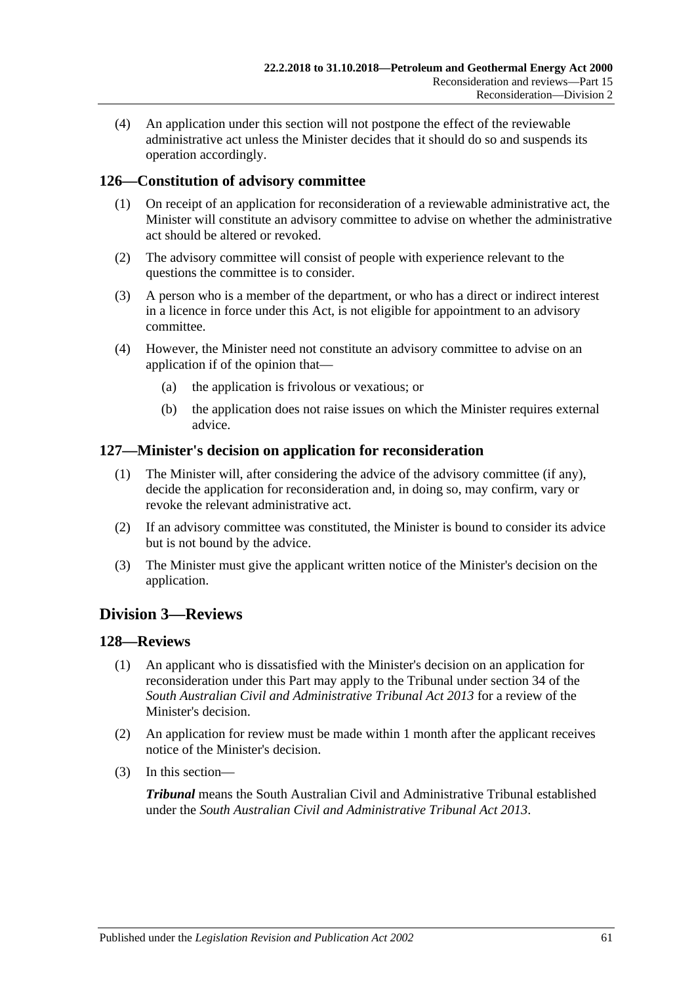(4) An application under this section will not postpone the effect of the reviewable administrative act unless the Minister decides that it should do so and suspends its operation accordingly.

### **126—Constitution of advisory committee**

- (1) On receipt of an application for reconsideration of a reviewable administrative act, the Minister will constitute an advisory committee to advise on whether the administrative act should be altered or revoked.
- (2) The advisory committee will consist of people with experience relevant to the questions the committee is to consider.
- (3) A person who is a member of the department, or who has a direct or indirect interest in a licence in force under this Act, is not eligible for appointment to an advisory committee.
- (4) However, the Minister need not constitute an advisory committee to advise on an application if of the opinion that—
	- (a) the application is frivolous or vexatious; or
	- (b) the application does not raise issues on which the Minister requires external advice.

#### **127—Minister's decision on application for reconsideration**

- (1) The Minister will, after considering the advice of the advisory committee (if any), decide the application for reconsideration and, in doing so, may confirm, vary or revoke the relevant administrative act.
- (2) If an advisory committee was constituted, the Minister is bound to consider its advice but is not bound by the advice.
- (3) The Minister must give the applicant written notice of the Minister's decision on the application.

## **Division 3—Reviews**

#### **128—Reviews**

- (1) An applicant who is dissatisfied with the Minister's decision on an application for reconsideration under this Part may apply to the Tribunal under section 34 of the *[South Australian Civil and Administrative Tribunal Act](http://www.legislation.sa.gov.au/index.aspx?action=legref&type=act&legtitle=South%20Australian%20Civil%20and%20Administrative%20Tribunal%20Act%202013) 2013* for a review of the Minister's decision.
- (2) An application for review must be made within 1 month after the applicant receives notice of the Minister's decision.
- (3) In this section—

*Tribunal* means the South Australian Civil and Administrative Tribunal established under the *[South Australian Civil and Administrative Tribunal Act](http://www.legislation.sa.gov.au/index.aspx?action=legref&type=act&legtitle=South%20Australian%20Civil%20and%20Administrative%20Tribunal%20Act%202013) 2013*.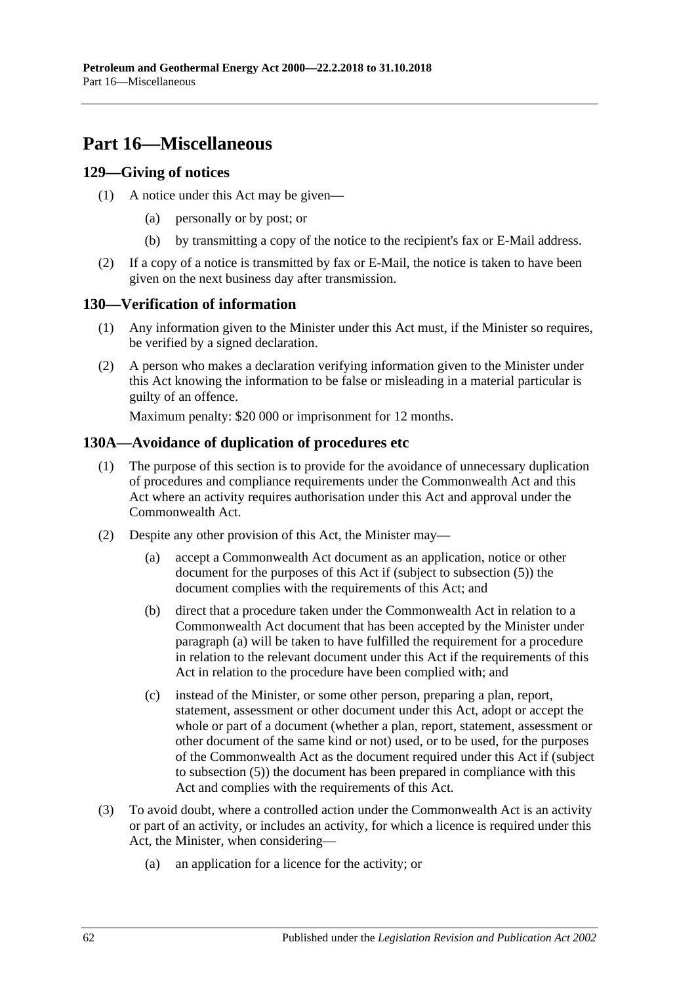## **Part 16—Miscellaneous**

#### **129—Giving of notices**

- (1) A notice under this Act may be given—
	- (a) personally or by post; or
	- (b) by transmitting a copy of the notice to the recipient's fax or E-Mail address.
- (2) If a copy of a notice is transmitted by fax or E-Mail, the notice is taken to have been given on the next business day after transmission.

### **130—Verification of information**

- (1) Any information given to the Minister under this Act must, if the Minister so requires, be verified by a signed declaration.
- (2) A person who makes a declaration verifying information given to the Minister under this Act knowing the information to be false or misleading in a material particular is guilty of an offence.

Maximum penalty: \$20 000 or imprisonment for 12 months.

### **130A—Avoidance of duplication of procedures etc**

- (1) The purpose of this section is to provide for the avoidance of unnecessary duplication of procedures and compliance requirements under the Commonwealth Act and this Act where an activity requires authorisation under this Act and approval under the Commonwealth Act.
- <span id="page-61-2"></span><span id="page-61-1"></span><span id="page-61-0"></span>(2) Despite any other provision of this Act, the Minister may—
	- (a) accept a Commonwealth Act document as an application, notice or other document for the purposes of this Act if (subject to [subsection](#page-62-0) (5)) the document complies with the requirements of this Act; and
	- (b) direct that a procedure taken under the Commonwealth Act in relation to a Commonwealth Act document that has been accepted by the Minister under [paragraph](#page-61-0) (a) will be taken to have fulfilled the requirement for a procedure in relation to the relevant document under this Act if the requirements of this Act in relation to the procedure have been complied with; and
	- (c) instead of the Minister, or some other person, preparing a plan, report, statement, assessment or other document under this Act, adopt or accept the whole or part of a document (whether a plan, report, statement, assessment or other document of the same kind or not) used, or to be used, for the purposes of the Commonwealth Act as the document required under this Act if (subject to [subsection](#page-62-0) (5)) the document has been prepared in compliance with this Act and complies with the requirements of this Act.
- (3) To avoid doubt, where a controlled action under the Commonwealth Act is an activity or part of an activity, or includes an activity, for which a licence is required under this Act, the Minister, when considering—
	- (a) an application for a licence for the activity; or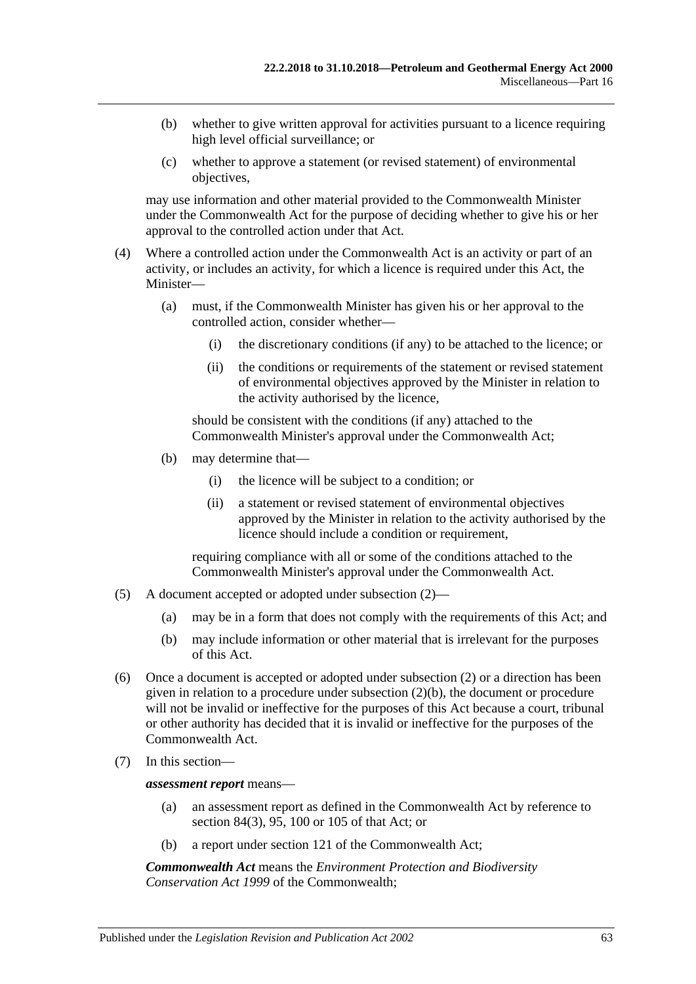- (b) whether to give written approval for activities pursuant to a licence requiring high level official surveillance; or
- (c) whether to approve a statement (or revised statement) of environmental objectives,

may use information and other material provided to the Commonwealth Minister under the Commonwealth Act for the purpose of deciding whether to give his or her approval to the controlled action under that Act.

- (4) Where a controlled action under the Commonwealth Act is an activity or part of an activity, or includes an activity, for which a licence is required under this Act, the Minister—
	- (a) must, if the Commonwealth Minister has given his or her approval to the controlled action, consider whether—
		- (i) the discretionary conditions (if any) to be attached to the licence; or
		- (ii) the conditions or requirements of the statement or revised statement of environmental objectives approved by the Minister in relation to the activity authorised by the licence,

should be consistent with the conditions (if any) attached to the Commonwealth Minister's approval under the Commonwealth Act;

- (b) may determine that—
	- (i) the licence will be subject to a condition; or
	- (ii) a statement or revised statement of environmental objectives approved by the Minister in relation to the activity authorised by the licence should include a condition or requirement,

requiring compliance with all or some of the conditions attached to the Commonwealth Minister's approval under the Commonwealth Act.

- <span id="page-62-0"></span>(5) A document accepted or adopted under [subsection](#page-61-1) (2)—
	- (a) may be in a form that does not comply with the requirements of this Act; and
	- (b) may include information or other material that is irrelevant for the purposes of this Act.
- (6) Once a document is accepted or adopted under [subsection](#page-61-1) (2) or a direction has been given in relation to a procedure under [subsection](#page-61-2) (2)(b), the document or procedure will not be invalid or ineffective for the purposes of this Act because a court, tribunal or other authority has decided that it is invalid or ineffective for the purposes of the Commonwealth Act.
- (7) In this section—

*assessment report* means—

- (a) an assessment report as defined in the Commonwealth Act by reference to section 84(3), 95, 100 or 105 of that Act; or
- (b) a report under section 121 of the Commonwealth Act;

*Commonwealth Act* means the *Environment Protection and Biodiversity Conservation Act 1999* of the Commonwealth;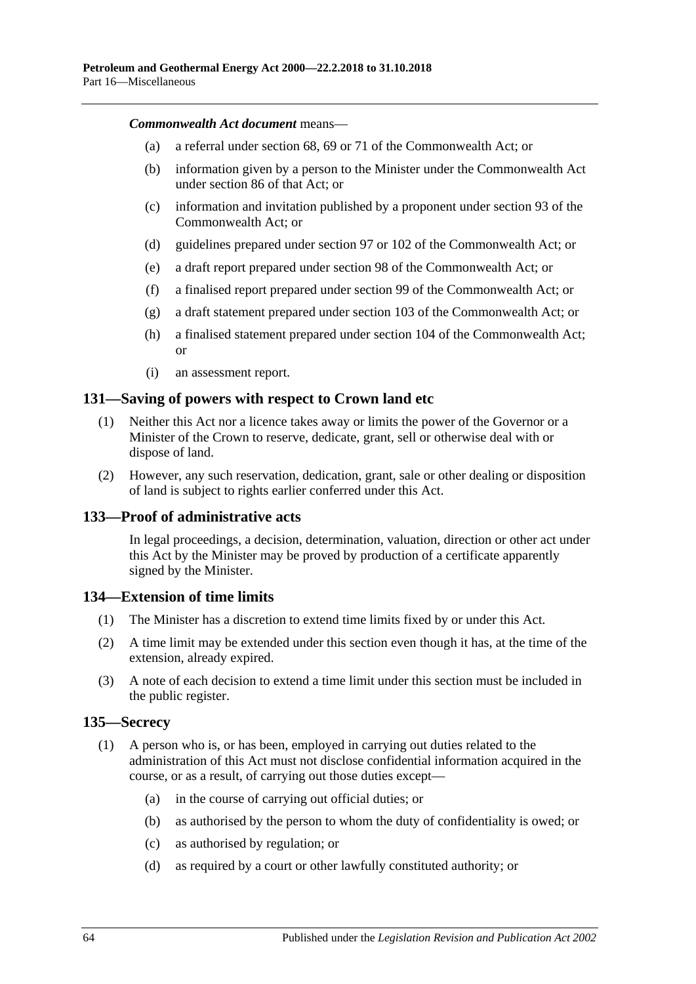#### *Commonwealth Act document* means—

- (a) a referral under section 68, 69 or 71 of the Commonwealth Act; or
- (b) information given by a person to the Minister under the Commonwealth Act under section 86 of that Act; or
- (c) information and invitation published by a proponent under section 93 of the Commonwealth Act; or
- (d) guidelines prepared under section 97 or 102 of the Commonwealth Act; or
- (e) a draft report prepared under section 98 of the Commonwealth Act; or
- (f) a finalised report prepared under section 99 of the Commonwealth Act; or
- (g) a draft statement prepared under section 103 of the Commonwealth Act; or
- (h) a finalised statement prepared under section 104 of the Commonwealth Act; or
- (i) an assessment report.

#### **131—Saving of powers with respect to Crown land etc**

- (1) Neither this Act nor a licence takes away or limits the power of the Governor or a Minister of the Crown to reserve, dedicate, grant, sell or otherwise deal with or dispose of land.
- (2) However, any such reservation, dedication, grant, sale or other dealing or disposition of land is subject to rights earlier conferred under this Act.

#### **133—Proof of administrative acts**

In legal proceedings, a decision, determination, valuation, direction or other act under this Act by the Minister may be proved by production of a certificate apparently signed by the Minister.

#### **134—Extension of time limits**

- (1) The Minister has a discretion to extend time limits fixed by or under this Act.
- (2) A time limit may be extended under this section even though it has, at the time of the extension, already expired.
- (3) A note of each decision to extend a time limit under this section must be included in the public register.

#### <span id="page-63-0"></span>**135—Secrecy**

- (1) A person who is, or has been, employed in carrying out duties related to the administration of this Act must not disclose confidential information acquired in the course, or as a result, of carrying out those duties except—
	- (a) in the course of carrying out official duties; or
	- (b) as authorised by the person to whom the duty of confidentiality is owed; or
	- (c) as authorised by regulation; or
	- (d) as required by a court or other lawfully constituted authority; or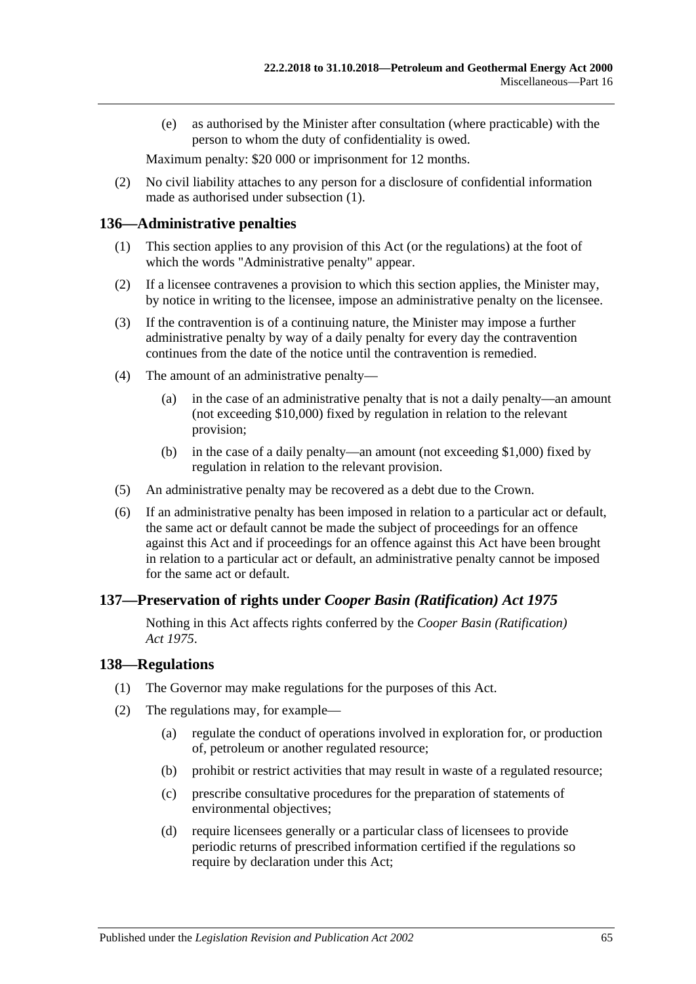(e) as authorised by the Minister after consultation (where practicable) with the person to whom the duty of confidentiality is owed.

Maximum penalty: \$20 000 or imprisonment for 12 months.

(2) No civil liability attaches to any person for a disclosure of confidential information made as authorised under [subsection](#page-63-0) (1).

#### **136—Administrative penalties**

- (1) This section applies to any provision of this Act (or the regulations) at the foot of which the words "Administrative penalty" appear.
- (2) If a licensee contravenes a provision to which this section applies, the Minister may, by notice in writing to the licensee, impose an administrative penalty on the licensee.
- (3) If the contravention is of a continuing nature, the Minister may impose a further administrative penalty by way of a daily penalty for every day the contravention continues from the date of the notice until the contravention is remedied.
- (4) The amount of an administrative penalty—
	- (a) in the case of an administrative penalty that is not a daily penalty—an amount (not exceeding \$10,000) fixed by regulation in relation to the relevant provision;
	- (b) in the case of a daily penalty—an amount (not exceeding \$1,000) fixed by regulation in relation to the relevant provision.
- (5) An administrative penalty may be recovered as a debt due to the Crown.
- (6) If an administrative penalty has been imposed in relation to a particular act or default, the same act or default cannot be made the subject of proceedings for an offence against this Act and if proceedings for an offence against this Act have been brought in relation to a particular act or default, an administrative penalty cannot be imposed for the same act or default.

#### **137—Preservation of rights under** *Cooper Basin (Ratification) Act 1975*

Nothing in this Act affects rights conferred by the *[Cooper Basin \(Ratification\)](http://www.legislation.sa.gov.au/index.aspx?action=legref&type=act&legtitle=Cooper%20Basin%20(Ratification)%20Act%201975)  Act [1975](http://www.legislation.sa.gov.au/index.aspx?action=legref&type=act&legtitle=Cooper%20Basin%20(Ratification)%20Act%201975)*.

#### **138—Regulations**

- (1) The Governor may make regulations for the purposes of this Act.
- (2) The regulations may, for example—
	- (a) regulate the conduct of operations involved in exploration for, or production of, petroleum or another regulated resource;
	- (b) prohibit or restrict activities that may result in waste of a regulated resource;
	- (c) prescribe consultative procedures for the preparation of statements of environmental objectives;
	- (d) require licensees generally or a particular class of licensees to provide periodic returns of prescribed information certified if the regulations so require by declaration under this Act;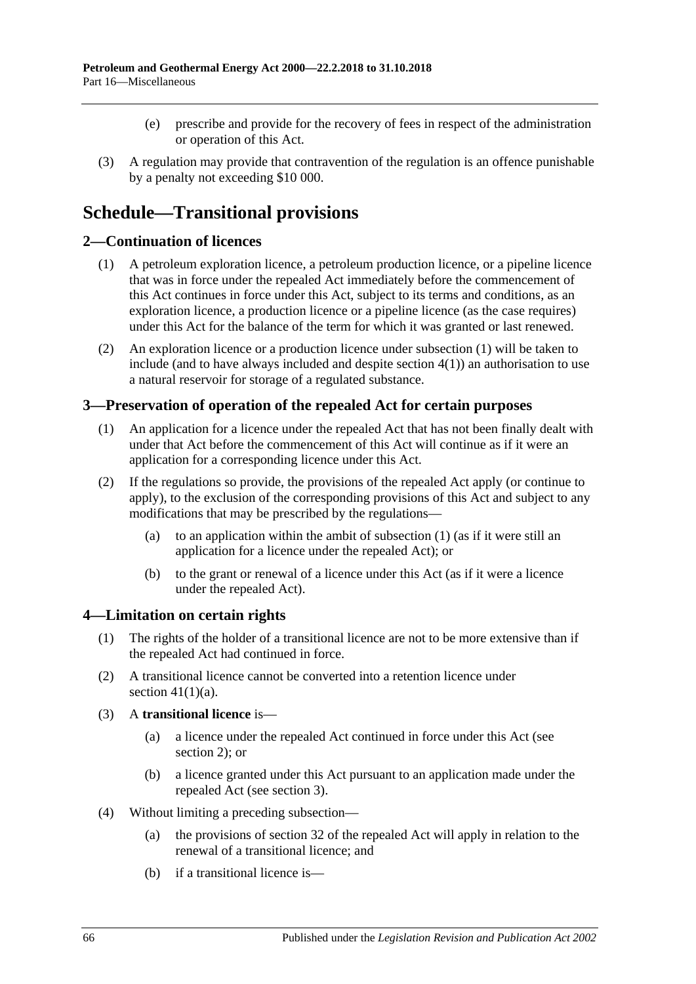- (e) prescribe and provide for the recovery of fees in respect of the administration or operation of this Act.
- (3) A regulation may provide that contravention of the regulation is an offence punishable by a penalty not exceeding \$10 000.

# **Schedule—Transitional provisions**

### <span id="page-65-3"></span><span id="page-65-0"></span>**2—Continuation of licences**

- (1) A petroleum exploration licence, a petroleum production licence, or a pipeline licence that was in force under the repealed Act immediately before the commencement of this Act continues in force under this Act, subject to its terms and conditions, as an exploration licence, a production licence or a pipeline licence (as the case requires) under this Act for the balance of the term for which it was granted or last renewed.
- (2) An exploration licence or a production licence under [subsection](#page-65-0) (1) will be taken to include (and to have always included and despite [section](#page-65-1) 4(1)) an authorisation to use a natural reservoir for storage of a regulated substance.

#### <span id="page-65-4"></span><span id="page-65-2"></span>**3—Preservation of operation of the repealed Act for certain purposes**

- (1) An application for a licence under the repealed Act that has not been finally dealt with under that Act before the commencement of this Act will continue as if it were an application for a corresponding licence under this Act.
- (2) If the regulations so provide, the provisions of the repealed Act apply (or continue to apply), to the exclusion of the corresponding provisions of this Act and subject to any modifications that may be prescribed by the regulations—
	- (a) to an application within the ambit of [subsection](#page-65-2) (1) (as if it were still an application for a licence under the repealed Act); or
	- (b) to the grant or renewal of a licence under this Act (as if it were a licence under the repealed Act).

#### <span id="page-65-1"></span>**4—Limitation on certain rights**

- (1) The rights of the holder of a transitional licence are not to be more extensive than if the repealed Act had continued in force.
- (2) A transitional licence cannot be converted into a retention licence under section  $41(1)(a)$ .
- (3) A **transitional licence** is—
	- (a) a licence under the repealed Act continued in force under this Act (see [section](#page-65-3) 2); or
	- (b) a licence granted under this Act pursuant to an application made under the repealed Act (see [section](#page-65-4) 3).
- <span id="page-65-5"></span>(4) Without limiting a preceding subsection—
	- (a) the provisions of section 32 of the repealed Act will apply in relation to the renewal of a transitional licence; and
	- (b) if a transitional licence is—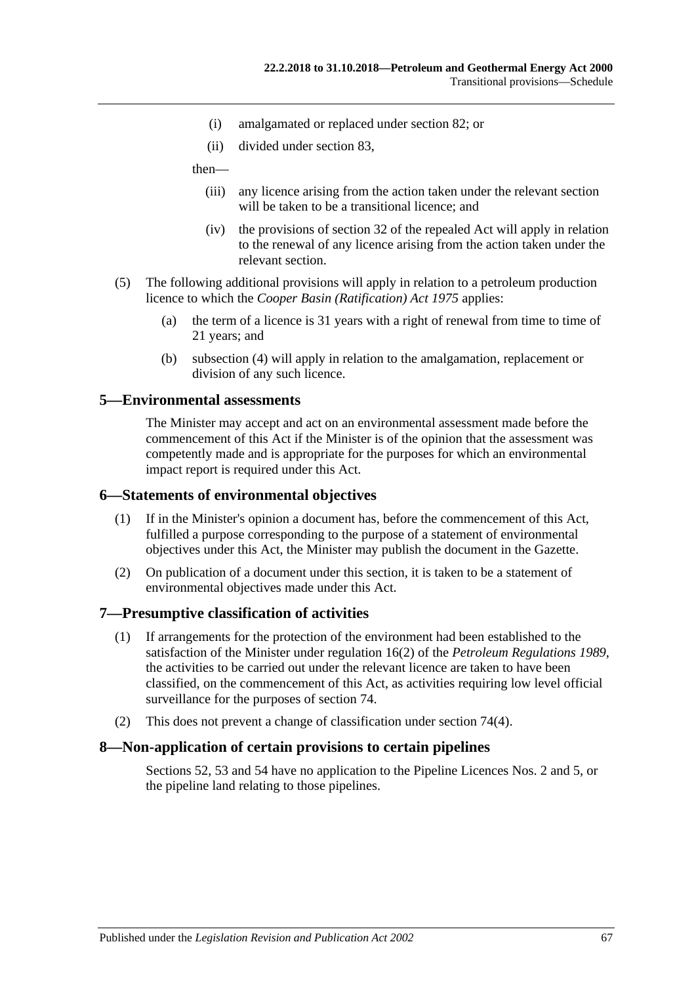- (i) amalgamated or replaced under [section](#page-43-2) 82; or
- (ii) divided under [section](#page-43-3) 83,

then—

- (iii) any licence arising from the action taken under the relevant section will be taken to be a transitional licence; and
- (iv) the provisions of section 32 of the repealed Act will apply in relation to the renewal of any licence arising from the action taken under the relevant section.
- (5) The following additional provisions will apply in relation to a petroleum production licence to which the *[Cooper Basin \(Ratification\) Act](http://www.legislation.sa.gov.au/index.aspx?action=legref&type=act&legtitle=Cooper%20Basin%20(Ratification)%20Act%201975) 1975* applies:
	- (a) the term of a licence is 31 years with a right of renewal from time to time of 21 years; and
	- (b) [subsection](#page-65-5) (4) will apply in relation to the amalgamation, replacement or division of any such licence.

#### **5—Environmental assessments**

The Minister may accept and act on an environmental assessment made before the commencement of this Act if the Minister is of the opinion that the assessment was competently made and is appropriate for the purposes for which an environmental impact report is required under this Act.

#### **6—Statements of environmental objectives**

- (1) If in the Minister's opinion a document has, before the commencement of this Act, fulfilled a purpose corresponding to the purpose of a statement of environmental objectives under this Act, the Minister may publish the document in the Gazette.
- (2) On publication of a document under this section, it is taken to be a statement of environmental objectives made under this Act.

#### **7—Presumptive classification of activities**

- (1) If arrangements for the protection of the environment had been established to the satisfaction of the Minister under regulation 16(2) of the *[Petroleum Regulations](http://www.legislation.sa.gov.au/index.aspx?action=legref&type=subordleg&legtitle=Petroleum%20Regulations%201989) 1989*, the activities to be carried out under the relevant licence are taken to have been classified, on the commencement of this Act, as activities requiring low level official surveillance for the purposes of [section](#page-40-0) 74.
- (2) This does not prevent a change of classification under [section](#page-40-1) 74(4).

#### **8—Non-application of certain provisions to certain pipelines**

[Sections](#page-29-0) 52, [53](#page-29-1) and [54](#page-29-2) have no application to the Pipeline Licences Nos. 2 and 5, or the pipeline land relating to those pipelines.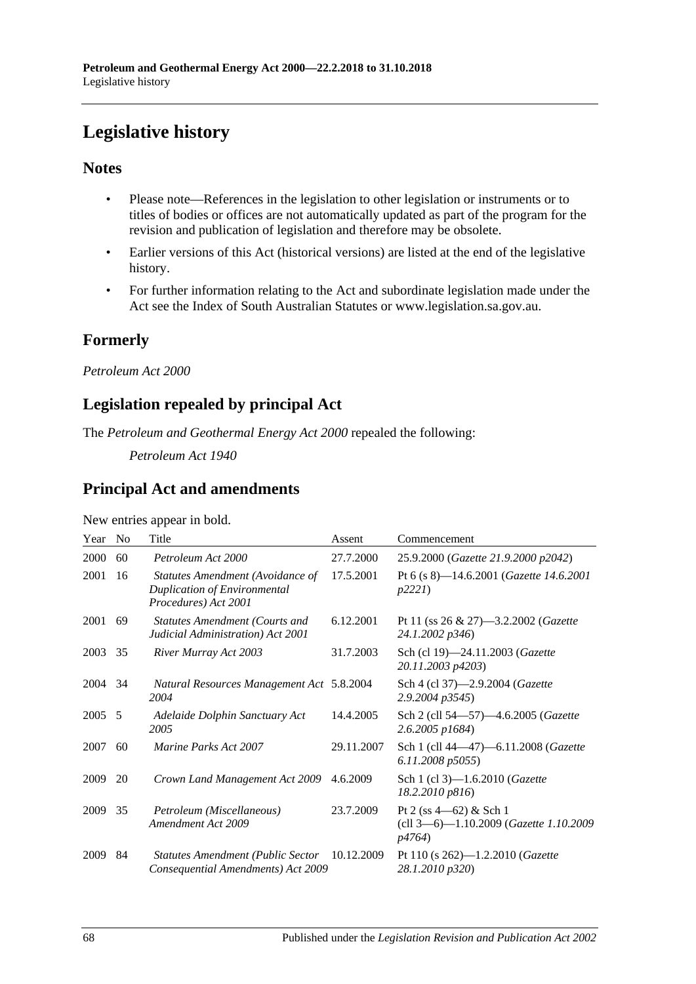# **Legislative history**

### **Notes**

- Please note—References in the legislation to other legislation or instruments or to titles of bodies or offices are not automatically updated as part of the program for the revision and publication of legislation and therefore may be obsolete.
- Earlier versions of this Act (historical versions) are listed at the end of the legislative history.
- For further information relating to the Act and subordinate legislation made under the Act see the Index of South Australian Statutes or www.legislation.sa.gov.au.

## **Formerly**

*Petroleum Act 2000*

## **Legislation repealed by principal Act**

The *Petroleum and Geothermal Energy Act 2000* repealed the following:

*Petroleum Act 1940*

## **Principal Act and amendments**

| Year   | N <sub>o</sub> | Title                                                                                    | Assent     | Commencement                                                                       |
|--------|----------------|------------------------------------------------------------------------------------------|------------|------------------------------------------------------------------------------------|
| 2000   | 60             | Petroleum Act 2000                                                                       | 27.7.2000  | 25.9.2000 (Gazette 21.9.2000 p2042)                                                |
| 2001   | 16             | Statutes Amendment (Avoidance of<br>Duplication of Environmental<br>Procedures) Act 2001 | 17.5.2001  | Pt 6 (s 8)-14.6.2001 (Gazette 14.6.2001<br>p2221                                   |
| 2001   | 69             | Statutes Amendment (Courts and<br>Judicial Administration) Act 2001                      | 6.12.2001  | Pt 11 (ss $26 \& 27$ )—3.2.2002 ( <i>Gazette</i><br>24.1.2002 p346)                |
| 2003   | 35             | River Murray Act 2003                                                                    | 31.7.2003  | Sch (cl 19)-24.11.2003 (Gazette<br>20.11.2003 p4203)                               |
| 2004   | 34             | Natural Resources Management Act 5.8.2004<br>2004                                        |            | Sch 4 (cl 37)-2.9.2004 (Gazette<br>2.9.2004 p3545)                                 |
| 2005 5 |                | Adelaide Dolphin Sanctuary Act<br>2005                                                   | 14.4.2005  | Sch 2 (cll 54-57)-4.6.2005 (Gazette<br>2.6.2005 p1684)                             |
| 2007   | 60             | Marine Parks Act 2007                                                                    | 29.11.2007 | Sch 1 (cll 44-47)-6.11.2008 (Gazette<br>6.11.2008 p5055)                           |
| 2009   | 20             | Crown Land Management Act 2009                                                           | 4.6.2009   | Sch 1 (cl 3)-1.6.2010 (Gazette<br>18.2.2010 p816)                                  |
| 2009   | 35             | Petroleum (Miscellaneous)<br>Amendment Act 2009                                          | 23.7.2009  | Pt 2 (ss 4-62) & Sch 1<br>(cll 3-6)-1.10.2009 (Gazette 1.10.2009<br><i>p</i> 4764) |
| 2009   | 84             | <b>Statutes Amendment (Public Sector</b><br>Consequential Amendments) Act 2009           | 10.12.2009 | Pt 110 (s 262)-1.2.2010 (Gazette<br>28.1.2010 p320)                                |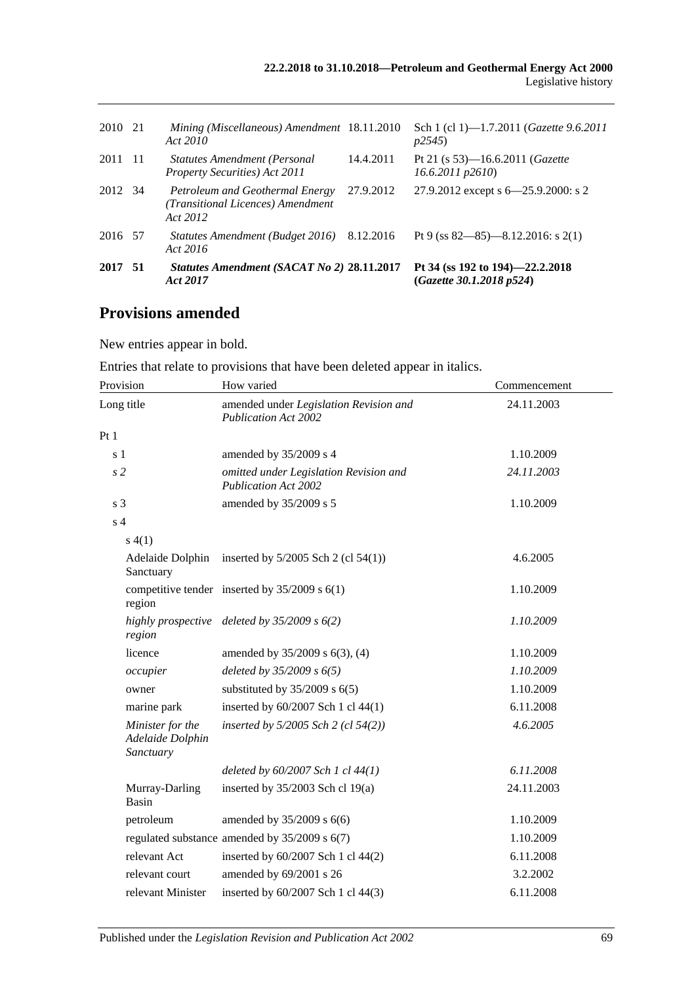| 2017 51 |      | Statutes Amendment (SACAT No 2) 28.11.2017<br>Act 2017                           |           | Pt 34 (ss 192 to 194)–22.2.2018<br>(Gazette 30.1.2018 p524)    |
|---------|------|----------------------------------------------------------------------------------|-----------|----------------------------------------------------------------|
| 2016 57 |      | Statutes Amendment (Budget 2016) 8.12.2016<br>Act 2016                           |           | Pt 9 (ss $82 - 85$ ) -8.12.2016: s 2(1)                        |
| 2012 34 |      | Petroleum and Geothermal Energy<br>(Transitional Licences) Amendment<br>Act 2012 | 27.9.2012 | 27.9.2012 except s 6–25.9.2000: s 2                            |
| 2011    | - 11 | <b>Statutes Amendment (Personal</b><br>Property Securities) Act 2011             | 14.4.2011 | Pt 21 (s 53)—16.6.2011 ( <i>Gazette</i><br>$16.6.2011$ $p2610$ |
| 2010 21 |      | Mining (Miscellaneous) Amendment 18.11.2010<br>Act 2010                          |           | Sch 1 (cl 1)-1.7.2011 ( <i>Gazette 9.6.2011</i><br>p2545       |
|         |      |                                                                                  |           |                                                                |

## **Provisions amended**

New entries appear in bold.

|  | Entries that relate to provisions that have been deleted appear in italics. |  |  |  |  |
|--|-----------------------------------------------------------------------------|--|--|--|--|
|  |                                                                             |  |  |  |  |
|  |                                                                             |  |  |  |  |
|  |                                                                             |  |  |  |  |

| Provision                                         | How varied                                                            | Commencement |  |  |
|---------------------------------------------------|-----------------------------------------------------------------------|--------------|--|--|
| Long title                                        | amended under Legislation Revision and<br><b>Publication Act 2002</b> | 24.11.2003   |  |  |
| Pt 1                                              |                                                                       |              |  |  |
| s <sub>1</sub>                                    | amended by 35/2009 s 4                                                | 1.10.2009    |  |  |
| s <sub>2</sub>                                    | omitted under Legislation Revision and<br><b>Publication Act 2002</b> | 24.11.2003   |  |  |
| s <sub>3</sub>                                    | amended by 35/2009 s 5                                                | 1.10.2009    |  |  |
| s <sub>4</sub>                                    |                                                                       |              |  |  |
| s(4(1))                                           |                                                                       |              |  |  |
| Adelaide Dolphin<br>Sanctuary                     | inserted by $5/2005$ Sch 2 (cl $54(1)$ )                              | 4.6.2005     |  |  |
| region                                            | competitive tender inserted by $35/2009$ s $6(1)$                     | 1.10.2009    |  |  |
| region                                            | highly prospective deleted by $35/2009$ s $6(2)$                      | 1.10.2009    |  |  |
| licence                                           | amended by 35/2009 s 6(3), (4)                                        | 1.10.2009    |  |  |
| occupier                                          | deleted by $35/2009 s 6(5)$                                           | 1.10.2009    |  |  |
| owner                                             | substituted by $35/2009$ s $6(5)$                                     | 1.10.2009    |  |  |
| marine park                                       | inserted by 60/2007 Sch 1 cl 44(1)                                    | 6.11.2008    |  |  |
| Minister for the<br>Adelaide Dolphin<br>Sanctuary | inserted by $5/2005$ Sch 2 (cl $54(2)$ )                              | 4.6.2005     |  |  |
|                                                   | deleted by $60/2007$ Sch 1 cl $44(1)$                                 | 6.11.2008    |  |  |
| Murray-Darling<br>Basin                           | inserted by $35/2003$ Sch cl 19(a)                                    | 24.11.2003   |  |  |
| petroleum                                         | amended by $35/2009$ s $6(6)$                                         | 1.10.2009    |  |  |
|                                                   | regulated substance amended by $35/2009$ s $6(7)$                     | 1.10.2009    |  |  |
| relevant Act                                      | inserted by 60/2007 Sch 1 cl 44(2)                                    | 6.11.2008    |  |  |
| relevant court                                    | amended by 69/2001 s 26                                               | 3.2.2002     |  |  |
| relevant Minister                                 | inserted by 60/2007 Sch 1 cl 44(3)                                    | 6.11.2008    |  |  |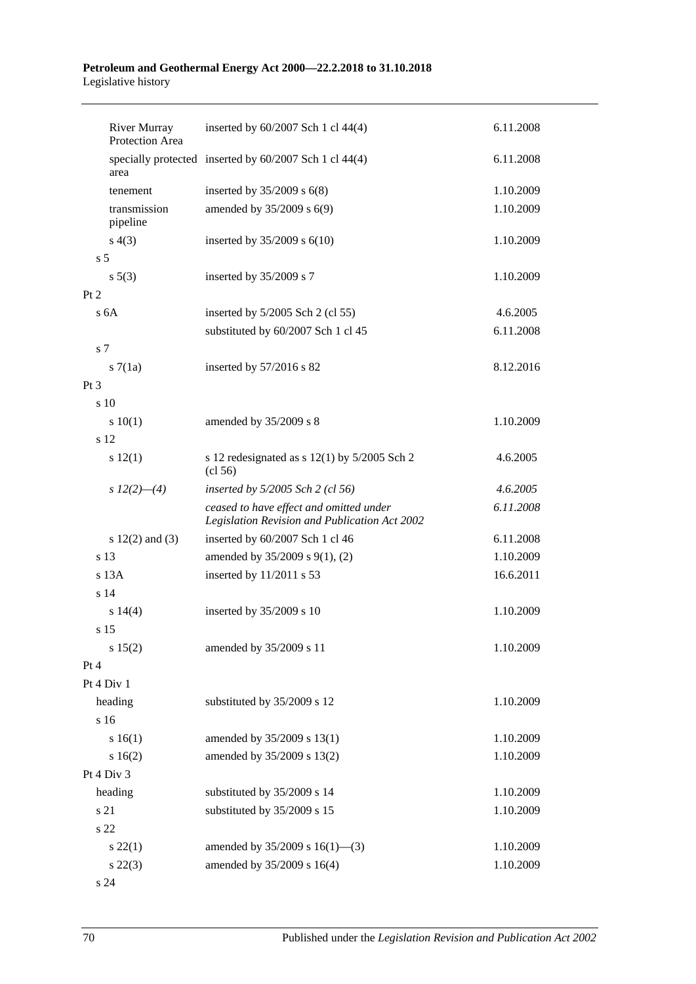#### **Petroleum and Geothermal Energy Act 2000—22.2.2018 to 31.10.2018** Legislative history

|                | <b>River Murray</b><br>Protection Area | inserted by 60/2007 Sch 1 cl 44(4)                                                       | 6.11.2008 |
|----------------|----------------------------------------|------------------------------------------------------------------------------------------|-----------|
|                | area                                   | specially protected inserted by 60/2007 Sch 1 cl 44(4)                                   | 6.11.2008 |
|                | tenement                               | inserted by $35/2009$ s $6(8)$                                                           | 1.10.2009 |
|                | transmission<br>pipeline               | amended by 35/2009 s 6(9)                                                                | 1.10.2009 |
|                | s(4(3))                                | inserted by $35/2009$ s $6(10)$                                                          | 1.10.2009 |
| s <sub>5</sub> |                                        |                                                                                          |           |
|                | $s\ 5(3)$                              | inserted by 35/2009 s 7                                                                  | 1.10.2009 |
| Pt 2           |                                        |                                                                                          |           |
|                | s <sub>6A</sub>                        | inserted by $5/2005$ Sch 2 (cl 55)                                                       | 4.6.2005  |
|                |                                        | substituted by 60/2007 Sch 1 cl 45                                                       | 6.11.2008 |
| s <sub>7</sub> |                                        |                                                                                          |           |
|                | s7(1a)                                 | inserted by 57/2016 s 82                                                                 | 8.12.2016 |
| $Pt\,3$        |                                        |                                                                                          |           |
|                | s 10                                   |                                                                                          |           |
|                | 10(1)                                  | amended by 35/2009 s 8                                                                   | 1.10.2009 |
|                | s 12                                   |                                                                                          |           |
|                | s 12(1)                                | s 12 redesignated as $s$ 12(1) by 5/2005 Sch 2<br>(cl 56)                                | 4.6.2005  |
|                | s $12(2)$ - (4)                        | inserted by 5/2005 Sch 2 (cl 56)                                                         | 4.6.2005  |
|                |                                        | ceased to have effect and omitted under<br>Legislation Revision and Publication Act 2002 | 6.11.2008 |
|                | s $12(2)$ and $(3)$                    | inserted by 60/2007 Sch 1 cl 46                                                          | 6.11.2008 |
|                | s 13                                   | amended by 35/2009 s 9(1), (2)                                                           | 1.10.2009 |
|                | $s$ 13 $A$                             | inserted by 11/2011 s 53                                                                 | 16.6.2011 |
|                | s 14                                   |                                                                                          |           |
|                | s 14(4)                                | inserted by 35/2009 s 10                                                                 | 1.10.2009 |
|                | s 15                                   |                                                                                          |           |
|                | s 15(2)                                | amended by 35/2009 s 11                                                                  | 1.10.2009 |
| Pt 4           |                                        |                                                                                          |           |
|                | Pt 4 Div 1                             |                                                                                          |           |
|                | heading                                | substituted by 35/2009 s 12                                                              | 1.10.2009 |
|                | s 16                                   |                                                                                          |           |
|                | s 16(1)                                | amended by 35/2009 s 13(1)                                                               | 1.10.2009 |
|                | s 16(2)                                | amended by 35/2009 s 13(2)                                                               | 1.10.2009 |
|                | Pt 4 Div 3                             |                                                                                          |           |
|                | heading                                | substituted by 35/2009 s 14                                                              | 1.10.2009 |
|                | s 21                                   | substituted by 35/2009 s 15                                                              | 1.10.2009 |
|                | s 22                                   |                                                                                          |           |
|                | $s\ 22(1)$                             | amended by $35/2009$ s $16(1)$ —(3)                                                      | 1.10.2009 |
|                | $s\ 22(3)$                             | amended by 35/2009 s 16(4)                                                               | 1.10.2009 |
|                | s 24                                   |                                                                                          |           |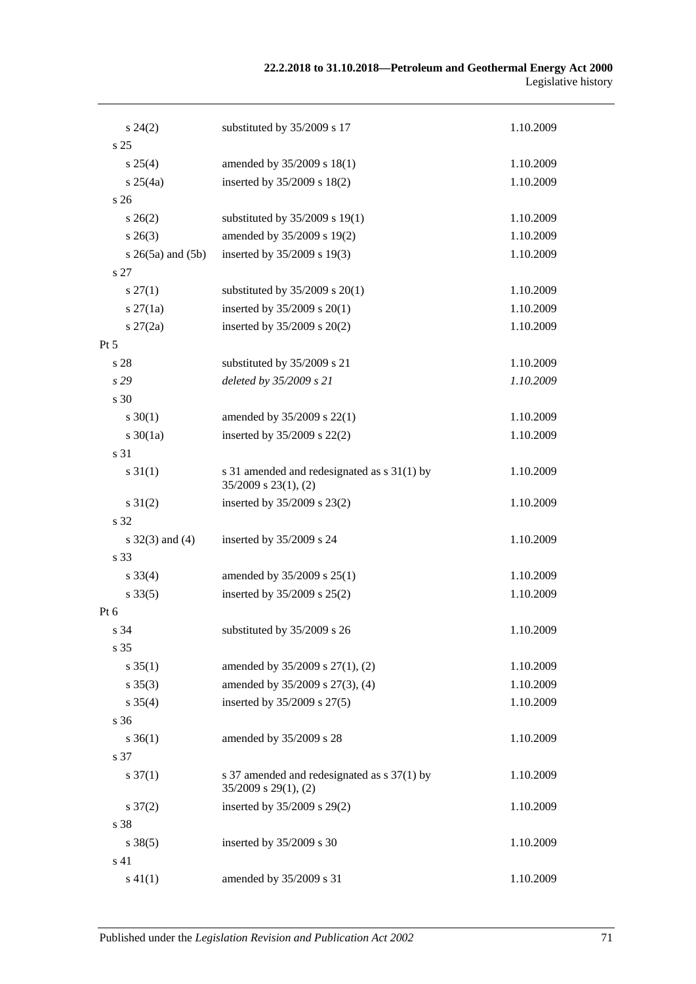#### **22.2.2018 to 31.10.2018—Petroleum and Geothermal Energy Act 2000** Legislative history

| $s\,24(2)$               | substituted by 35/2009 s 17                                              | 1.10.2009 |
|--------------------------|--------------------------------------------------------------------------|-----------|
| s <sub>25</sub>          |                                                                          |           |
| $s \, 25(4)$             | amended by 35/2009 s 18(1)                                               | 1.10.2009 |
| $s \, 25(4a)$            | inserted by 35/2009 s 18(2)                                              | 1.10.2009 |
| s 26                     |                                                                          |           |
| $s \, 26(2)$             | substituted by 35/2009 s 19(1)                                           | 1.10.2009 |
| $s \; 26(3)$             | amended by 35/2009 s 19(2)                                               | 1.10.2009 |
| $s \; 26(5a)$ and $(5b)$ | inserted by 35/2009 s 19(3)                                              | 1.10.2009 |
| s 27                     |                                                                          |           |
| $s\,27(1)$               | substituted by $35/2009$ s $20(1)$                                       | 1.10.2009 |
| $s \, 27(1a)$            | inserted by $35/2009$ s $20(1)$                                          | 1.10.2009 |
| $s \, 27(2a)$            | inserted by 35/2009 s 20(2)                                              | 1.10.2009 |
| Pt 5                     |                                                                          |           |
| s 28                     | substituted by 35/2009 s 21                                              | 1.10.2009 |
| s29                      | deleted by 35/2009 s 21                                                  | 1.10.2009 |
| s 30                     |                                                                          |           |
| $s \ 30(1)$              | amended by 35/2009 s 22(1)                                               | 1.10.2009 |
| $s \ 30(1a)$             | inserted by 35/2009 s 22(2)                                              | 1.10.2009 |
| s 31                     |                                                                          |           |
| $s \, 31(1)$             | s 31 amended and redesignated as s 31(1) by<br>$35/2009$ s $23(1)$ , (2) | 1.10.2009 |
| $s \, 31(2)$             | inserted by 35/2009 s 23(2)                                              | 1.10.2009 |
| s 32                     |                                                                          |           |
| $s \, 32(3)$ and (4)     | inserted by 35/2009 s 24                                                 | 1.10.2009 |
| s 33                     |                                                                          |           |
| $s \, 33(4)$             | amended by 35/2009 s 25(1)                                               | 1.10.2009 |
| $s \, 33(5)$             | inserted by 35/2009 s 25(2)                                              | 1.10.2009 |
| Pt 6                     |                                                                          |           |
| s 34                     | substituted by 35/2009 s 26                                              | 1.10.2009 |
| s 35                     |                                                                          |           |
| $s \, 35(1)$             | amended by 35/2009 s 27(1), (2)                                          | 1.10.2009 |
| $s \, 35(3)$             | amended by 35/2009 s 27(3), (4)                                          | 1.10.2009 |
| $s \; 35(4)$             | inserted by 35/2009 s 27(5)                                              | 1.10.2009 |
| s 36                     |                                                                          |           |
| $s \, 36(1)$             | amended by 35/2009 s 28                                                  | 1.10.2009 |
| s 37                     |                                                                          |           |
| $s \frac{37(1)}{2}$      | s 37 amended and redesignated as s 37(1) by<br>$35/2009$ s $29(1)$ , (2) | 1.10.2009 |
| $s \frac{37(2)}{2}$      | inserted by 35/2009 s 29(2)                                              | 1.10.2009 |
| s 38                     |                                                                          |           |
| $s \, 38(5)$             | inserted by 35/2009 s 30                                                 | 1.10.2009 |
| s 41                     |                                                                          |           |
| $s\ 41(1)$               | amended by 35/2009 s 31                                                  | 1.10.2009 |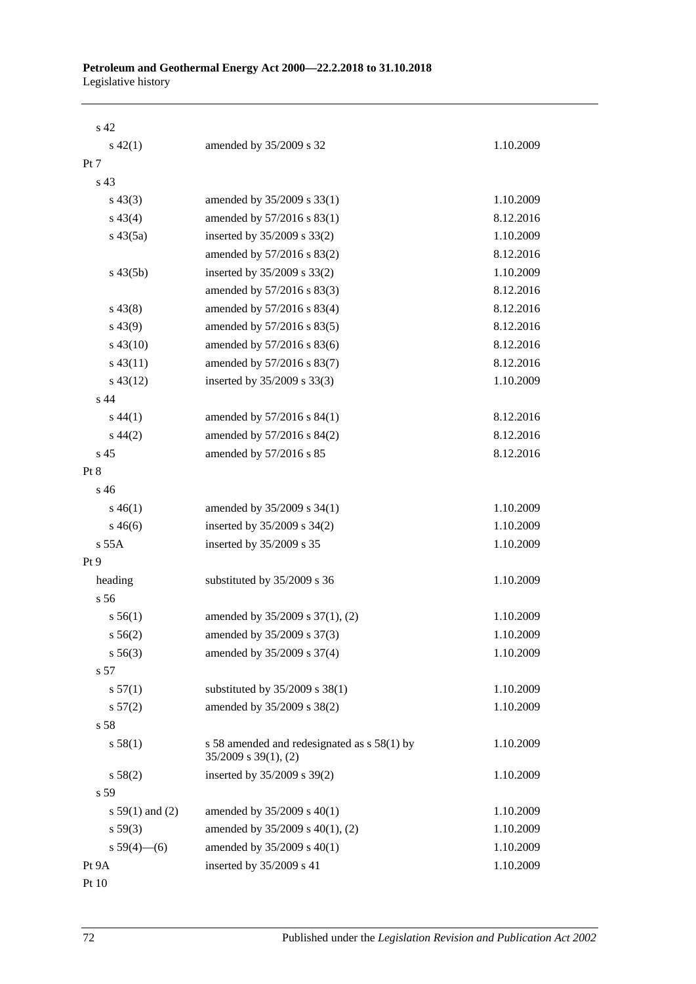| s 42              |                                                                          |           |
|-------------------|--------------------------------------------------------------------------|-----------|
| $s\ 42(1)$        | amended by 35/2009 s 32                                                  | 1.10.2009 |
| Pt 7              |                                                                          |           |
| s <sub>43</sub>   |                                                                          |           |
| $s\,43(3)$        | amended by 35/2009 s 33(1)                                               | 1.10.2009 |
| $s\,43(4)$        | amended by 57/2016 s 83(1)                                               | 8.12.2016 |
| $s\,43(5a)$       | inserted by 35/2009 s 33(2)                                              | 1.10.2009 |
|                   | amended by 57/2016 s 83(2)                                               | 8.12.2016 |
| $s\,43(5b)$       | inserted by 35/2009 s 33(2)                                              | 1.10.2009 |
|                   | amended by 57/2016 s 83(3)                                               | 8.12.2016 |
| $s\,43(8)$        | amended by 57/2016 s 83(4)                                               | 8.12.2016 |
| $s\,43(9)$        | amended by 57/2016 s 83(5)                                               | 8.12.2016 |
| $s\,43(10)$       | amended by 57/2016 s 83(6)                                               | 8.12.2016 |
| $s\,43(11)$       | amended by 57/2016 s 83(7)                                               | 8.12.2016 |
| $s\,43(12)$       | inserted by 35/2009 s 33(3)                                              | 1.10.2009 |
| s <sub>44</sub>   |                                                                          |           |
| $s\,44(1)$        | amended by 57/2016 s 84(1)                                               | 8.12.2016 |
| $s\,44(2)$        | amended by 57/2016 s 84(2)                                               | 8.12.2016 |
| s <sub>45</sub>   | amended by 57/2016 s 85                                                  | 8.12.2016 |
| Pt 8              |                                                                          |           |
| s 46              |                                                                          |           |
| $s\,46(1)$        | amended by 35/2009 s 34(1)                                               | 1.10.2009 |
| $s\,46(6)$        | inserted by 35/2009 s 34(2)                                              | 1.10.2009 |
| s 55A             | inserted by 35/2009 s 35                                                 | 1.10.2009 |
| Pt <sub>9</sub>   |                                                                          |           |
| heading           | substituted by 35/2009 s 36                                              | 1.10.2009 |
| s 56              |                                                                          |           |
| s 56(1)           | amended by 35/2009 s 37(1), (2)                                          | 1.10.2009 |
| s 56(2)           | amended by 35/2009 s 37(3)                                               | 1.10.2009 |
| $s\,56(3)$        | amended by 35/2009 s 37(4)                                               | 1.10.2009 |
| s 57              |                                                                          |           |
| s 57(1)           | substituted by 35/2009 s 38(1)                                           | 1.10.2009 |
| s 57(2)           | amended by 35/2009 s 38(2)                                               | 1.10.2009 |
| s 58              |                                                                          |           |
| s 58(1)           | s 58 amended and redesignated as s 58(1) by<br>$35/2009$ s $39(1)$ , (2) | 1.10.2009 |
| s 58(2)           | inserted by 35/2009 s 39(2)                                              | 1.10.2009 |
| s 59              |                                                                          |           |
| s $59(1)$ and (2) | amended by 35/2009 s 40(1)                                               | 1.10.2009 |
| s 59(3)           | amended by 35/2009 s 40(1), (2)                                          | 1.10.2009 |
| $s 59(4)$ (6)     | amended by 35/2009 s 40(1)                                               | 1.10.2009 |
| Pt 9A             | inserted by 35/2009 s 41                                                 | 1.10.2009 |
| Pt 10             |                                                                          |           |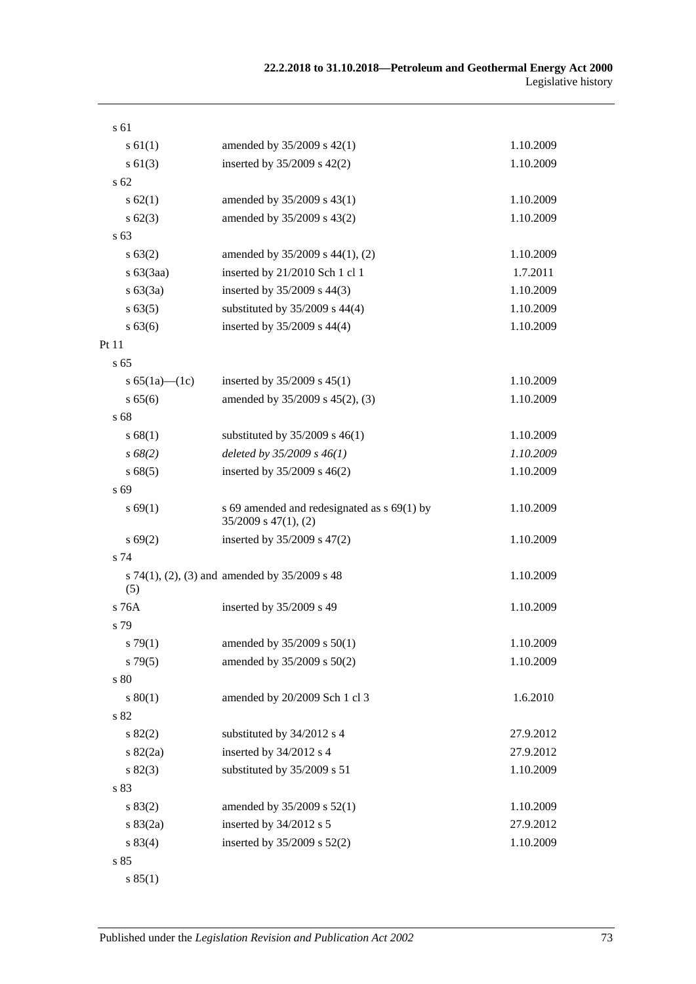| s 61                |                                                                          |           |
|---------------------|--------------------------------------------------------------------------|-----------|
| $s \, 61(1)$        | amended by 35/2009 s 42(1)                                               | 1.10.2009 |
| $s \ 61(3)$         | inserted by $35/2009$ s $42(2)$                                          | 1.10.2009 |
| s 62                |                                                                          |           |
| s 62(1)             | amended by 35/2009 s 43(1)                                               | 1.10.2009 |
| $s \, 62(3)$        | amended by 35/2009 s 43(2)                                               | 1.10.2009 |
| s 63                |                                                                          |           |
| s 63(2)             | amended by 35/2009 s 44(1), (2)                                          | 1.10.2009 |
| $s\ 63(3aa)$        | inserted by 21/2010 Sch 1 cl 1                                           | 1.7.2011  |
| s 63(3a)            | inserted by 35/2009 s 44(3)                                              | 1.10.2009 |
| s 63(5)             | substituted by $35/2009$ s $44(4)$                                       | 1.10.2009 |
| s 63(6)             | inserted by 35/2009 s 44(4)                                              | 1.10.2009 |
| Pt 11               |                                                                          |           |
| s <sub>65</sub>     |                                                                          |           |
| s $65(1a)$ — $(1c)$ | inserted by $35/2009$ s $45(1)$                                          | 1.10.2009 |
| s 65(6)             | amended by 35/2009 s 45(2), (3)                                          | 1.10.2009 |
| s 68                |                                                                          |           |
| s 68(1)             | substituted by $35/2009$ s $46(1)$                                       | 1.10.2009 |
| $s\,68(2)$          | deleted by $35/2009 s 46(1)$                                             | 1.10.2009 |
| s68(5)              | inserted by $35/2009$ s $46(2)$                                          | 1.10.2009 |
| s 69                |                                                                          |           |
| s 69(1)             | s 69 amended and redesignated as s 69(1) by<br>$35/2009$ s $47(1)$ , (2) | 1.10.2009 |
| s 69(2)             | inserted by 35/2009 s 47(2)                                              | 1.10.2009 |
| s 74                |                                                                          |           |
| (5)                 | s 74(1), (2), (3) and amended by $35/2009$ s 48                          | 1.10.2009 |
| s 76A               | inserted by 35/2009 s 49                                                 | 1.10.2009 |
| s 79                |                                                                          |           |
| $s \, 79(1)$        | amended by 35/2009 s 50(1)                                               | 1.10.2009 |
| $s\,79(5)$          | amended by 35/2009 s 50(2)                                               | 1.10.2009 |
| s 80                |                                                                          |           |
| s 80(1)             | amended by 20/2009 Sch 1 cl 3                                            | 1.6.2010  |
| $\sqrt{s}$ 82       |                                                                          |           |
| s 82(2)             | substituted by 34/2012 s 4                                               | 27.9.2012 |
| $s \, 82(2a)$       | inserted by 34/2012 s 4                                                  | 27.9.2012 |
| s 82(3)             | substituted by 35/2009 s 51                                              | 1.10.2009 |
| s 83                |                                                                          |           |
| s 83(2)             | amended by 35/2009 s 52(1)                                               | 1.10.2009 |
| s 83(2a)            | inserted by 34/2012 s 5                                                  | 27.9.2012 |
| s 83(4)             | inserted by 35/2009 s 52(2)                                              | 1.10.2009 |
| s 85                |                                                                          |           |

s 85(1)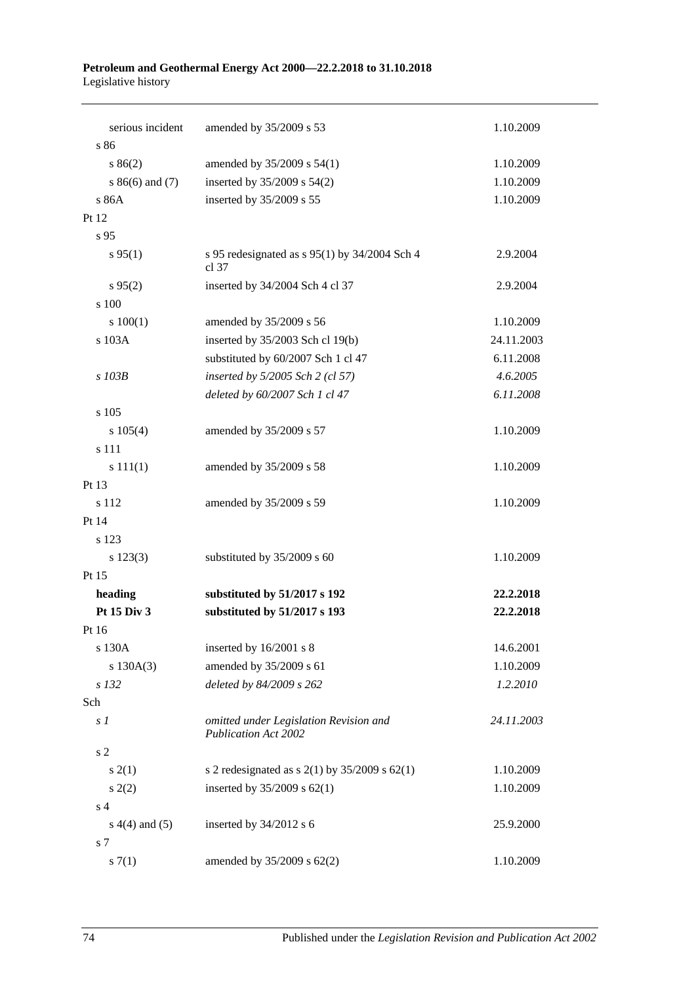#### **Petroleum and Geothermal Energy Act 2000—22.2.2018 to 31.10.2018** Legislative history

| serious incident     | amended by 35/2009 s 53                                               | 1.10.2009  |
|----------------------|-----------------------------------------------------------------------|------------|
| s 86                 |                                                                       |            |
| s 86(2)              | amended by 35/2009 s 54(1)                                            | 1.10.2009  |
| $s86(6)$ and (7)     | inserted by 35/2009 s 54(2)                                           | 1.10.2009  |
| s 86A                | inserted by 35/2009 s 55                                              | 1.10.2009  |
| Pt 12                |                                                                       |            |
| s 95                 |                                                                       |            |
| s 95(1)              | s 95 redesignated as s 95(1) by 34/2004 Sch 4<br>cl 37                | 2.9.2004   |
| s 95(2)              | inserted by 34/2004 Sch 4 cl 37                                       | 2.9.2004   |
| s 100                |                                                                       |            |
| 100(1)               | amended by 35/2009 s 56                                               | 1.10.2009  |
| s 103A               | inserted by 35/2003 Sch cl 19(b)                                      | 24.11.2003 |
|                      | substituted by 60/2007 Sch 1 cl 47                                    | 6.11.2008  |
| s 103B               | inserted by 5/2005 Sch 2 (cl 57)                                      | 4.6.2005   |
|                      | deleted by 60/2007 Sch 1 cl 47                                        | 6.11.2008  |
| s 105                |                                                                       |            |
| s 105(4)             | amended by 35/2009 s 57                                               | 1.10.2009  |
| s 111                |                                                                       |            |
| s 111(1)             | amended by 35/2009 s 58                                               | 1.10.2009  |
| Pt 13                |                                                                       |            |
| s 112                | amended by 35/2009 s 59                                               | 1.10.2009  |
| Pt 14                |                                                                       |            |
| s 123                |                                                                       |            |
| $s\ 123(3)$          | substituted by 35/2009 s 60                                           | 1.10.2009  |
| Pt 15                |                                                                       |            |
| heading              | substituted by 51/2017 s 192                                          | 22.2.2018  |
| Pt 15 Div 3          | substituted by 51/2017 s 193                                          | 22.2.2018  |
| Pt 16                |                                                                       |            |
| s 130A               | inserted by 16/2001 s 8                                               | 14.6.2001  |
|                      | amended by 35/2009 s 61                                               | 1.10.2009  |
| s 130A(3)<br>$s$ 132 |                                                                       |            |
|                      | deleted by 84/2009 s 262                                              | 1.2.2010   |
| Sch                  |                                                                       |            |
| s <sub>1</sub>       | omitted under Legislation Revision and<br><b>Publication Act 2002</b> | 24.11.2003 |
| s <sub>2</sub>       |                                                                       |            |
| s(2(1))              | s 2 redesignated as s $2(1)$ by $35/2009$ s $62(1)$                   | 1.10.2009  |
| s(2)                 | inserted by $35/2009$ s $62(1)$                                       | 1.10.2009  |
| s <sub>4</sub>       |                                                                       |            |
| $s(4(4)$ and $(5)$   | inserted by 34/2012 s 6                                               | 25.9.2000  |
| s 7                  |                                                                       |            |
| s(7(1)               | amended by 35/2009 s 62(2)                                            | 1.10.2009  |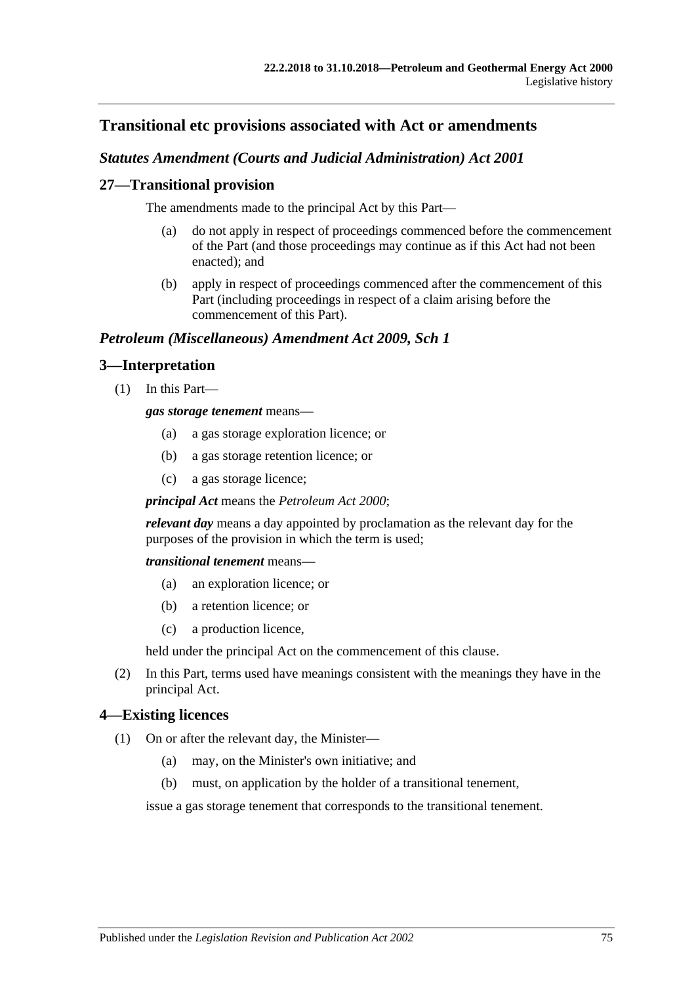# **Transitional etc provisions associated with Act or amendments**

# *Statutes Amendment (Courts and Judicial Administration) Act 2001*

# **27—Transitional provision**

The amendments made to the principal Act by this Part—

- (a) do not apply in respect of proceedings commenced before the commencement of the Part (and those proceedings may continue as if this Act had not been enacted); and
- (b) apply in respect of proceedings commenced after the commencement of this Part (including proceedings in respect of a claim arising before the commencement of this Part).

# *Petroleum (Miscellaneous) Amendment Act 2009, Sch 1*

# **3—Interpretation**

(1) In this Part—

#### *gas storage tenement* means—

- (a) a gas storage exploration licence; or
- (b) a gas storage retention licence; or
- (c) a gas storage licence;

*principal Act* means the *[Petroleum Act](http://www.legislation.sa.gov.au/index.aspx?action=legref&type=act&legtitle=Petroleum%20Act%202000) 2000*;

*relevant day* means a day appointed by proclamation as the relevant day for the purposes of the provision in which the term is used;

*transitional tenement* means—

- (a) an exploration licence; or
- (b) a retention licence; or
- (c) a production licence,

held under the principal Act on the commencement of this clause.

(2) In this Part, terms used have meanings consistent with the meanings they have in the principal Act.

# <span id="page-74-0"></span>**4—Existing licences**

- (1) On or after the relevant day, the Minister—
	- (a) may, on the Minister's own initiative; and
	- (b) must, on application by the holder of a transitional tenement,

issue a gas storage tenement that corresponds to the transitional tenement.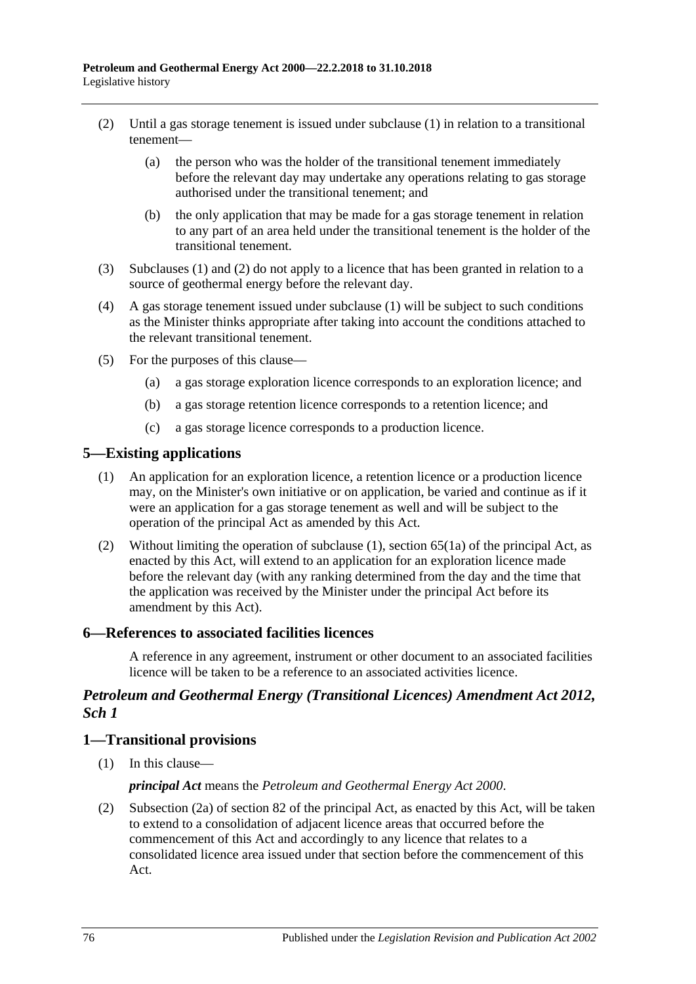- <span id="page-75-0"></span>(2) Until a gas storage tenement is issued under [subclause](#page-74-0) (1) in relation to a transitional tenement—
	- (a) the person who was the holder of the transitional tenement immediately before the relevant day may undertake any operations relating to gas storage authorised under the transitional tenement; and
	- (b) the only application that may be made for a gas storage tenement in relation to any part of an area held under the transitional tenement is the holder of the transitional tenement.
- (3) [Subclauses](#page-74-0) (1) and [\(2\)](#page-75-0) do not apply to a licence that has been granted in relation to a source of geothermal energy before the relevant day.
- (4) A gas storage tenement issued under [subclause](#page-74-0) (1) will be subject to such conditions as the Minister thinks appropriate after taking into account the conditions attached to the relevant transitional tenement.
- (5) For the purposes of this clause—
	- (a) a gas storage exploration licence corresponds to an exploration licence; and
	- (b) a gas storage retention licence corresponds to a retention licence; and
	- (c) a gas storage licence corresponds to a production licence.

### <span id="page-75-1"></span>**5—Existing applications**

- (1) An application for an exploration licence, a retention licence or a production licence may, on the Minister's own initiative or on application, be varied and continue as if it were an application for a gas storage tenement as well and will be subject to the operation of the principal Act as amended by this Act.
- (2) Without limiting the operation of [subclause](#page-75-1) (1), section 65(1a) of the principal Act, as enacted by this Act, will extend to an application for an exploration licence made before the relevant day (with any ranking determined from the day and the time that the application was received by the Minister under the principal Act before its amendment by this Act).

#### **6—References to associated facilities licences**

A reference in any agreement, instrument or other document to an associated facilities licence will be taken to be a reference to an associated activities licence.

# *Petroleum and Geothermal Energy (Transitional Licences) Amendment Act 2012, Sch 1*

#### **1—Transitional provisions**

(1) In this clause—

#### *principal Act* means the *[Petroleum and Geothermal Energy Act](http://www.legislation.sa.gov.au/index.aspx?action=legref&type=act&legtitle=Petroleum%20and%20Geothermal%20Energy%20Act%202000) 2000*.

(2) Subsection (2a) of section 82 of the principal Act, as enacted by this Act, will be taken to extend to a consolidation of adjacent licence areas that occurred before the commencement of this Act and accordingly to any licence that relates to a consolidated licence area issued under that section before the commencement of this Act.